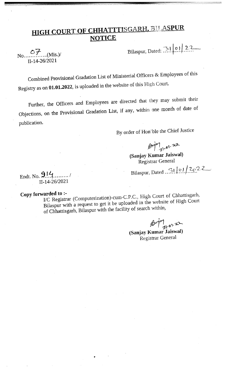## HIGH COURT OF CHHATTTISGARH, BILASPUR **NOTICE**

1144-26/2021

p • — —.

 $\overline{OP}_{\text{M0}}(Mis)/$  Bilaspur, Dated:  $\overline{P}$  | 01 | 22

- .

Combined Provisional Gradation List of Ministerial Officers & Employees of this Registry as on 01.01.2022, is uploaded in the website of this High Court.

Further, the Officers and Employees are directed that they may submit their Objections, on the Provisional Gradation List, if any, within one month of date of publication.

By order of Hon'ble the Chief Justice

 $k''$  ,  $310$ 

(Sanjay Kumar Jaiswal) Registrar General

Endt. No. / Bilaspur, Dated ..7.1.i9.f].2c

11-14-26/2021

## Copy forwarded to :-

I/C Registrar (Computerization)-cum-C.P.C., High Court of Chhattisgarh, Bilaspur with <sup>a</sup> reques<sup>t</sup> to ge<sup>t</sup> it be uploaded in the website of High Court of Chhattisgarh, Bilaspur with the facility of search within,

 $\int_{31.01.22}^{\infty}$ 

(Sanjay Kumar Jaiswal) Registrar General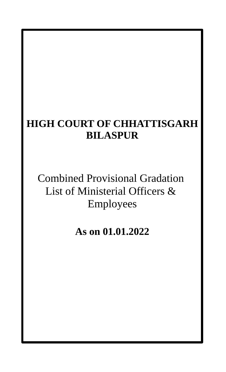## **HIGH COURT OF CHHATTISGARH BILASPUR**

Combined Provisional Gradation List of Ministerial Officers & Employees

**As on 01.01.2022**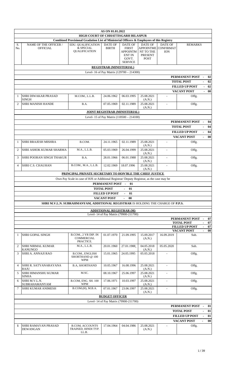|                |                                            |                                                                                                                                 | AS ON 01.01.2022                |                                                                                               |                                                                           |                                           |                                            |                                |
|----------------|--------------------------------------------|---------------------------------------------------------------------------------------------------------------------------------|---------------------------------|-----------------------------------------------------------------------------------------------|---------------------------------------------------------------------------|-------------------------------------------|--------------------------------------------|--------------------------------|
|                |                                            | HIGH COURT OF CHHATTISGARH BILASPUR<br>Combined Provisional Gradation List of Ministerial Officers & Employees of this Registry |                                 |                                                                                               |                                                                           |                                           |                                            |                                |
| S.<br>No.      | NAME OF THE OFFICER /<br><b>OFFICIAL</b>   | EDU. QUALIFICATION<br>& SPECIAL<br>QUALIFICATION                                                                                | <b>DATE OF</b><br><b>BIRTH</b>  | <b>DATE OF</b><br><b>FIRST</b><br><b>APPOINTM</b><br><b>ENT IN</b><br>GOVT.<br><b>SERVICE</b> | <b>DATE OF</b><br><b>APPOINTME</b><br>NT TO THE<br>PRESENT<br><b>POST</b> | DATE OF<br><b>CONFIRMAT</b><br><b>ION</b> | <b>REMARKS</b>                             |                                |
|                |                                            |                                                                                                                                 | <b>REGISTRAR (MINISTERIAL)</b>  |                                                                                               |                                                                           |                                           |                                            |                                |
|                |                                            |                                                                                                                                 |                                 | Level- 16 of Pay Matrix (129700 - 214300)                                                     |                                                                           |                                           |                                            |                                |
|                |                                            |                                                                                                                                 |                                 |                                                                                               |                                                                           |                                           | PERMANENT POST                             | 02                             |
|                |                                            |                                                                                                                                 |                                 |                                                                                               |                                                                           |                                           | <b>TOTAL POST</b>                          | 02                             |
|                |                                            |                                                                                                                                 |                                 |                                                                                               |                                                                           |                                           | <b>FILLED UP POST</b>                      | 02<br>$\sim$                   |
|                |                                            |                                                                                                                                 |                                 |                                                                                               |                                                                           |                                           | <b>VACANT POST</b>                         | $-00$                          |
| $\mathbf{1}$   | SHRI DIWAKAR PRASAD<br><b>SINGH</b>        | M.COM., L.L.B.                                                                                                                  | 24.06.1962                      | 06.03.1995                                                                                    | 25.08.2021<br>(A.N.)                                                      | $\sim$                                    | Offg.                                      |                                |
| $\overline{2}$ | <b>SHRI MANISH HANDE</b>                   | B.A.                                                                                                                            | 07.05.1969                      | 02.11.1989                                                                                    | 25.08.2021<br>(A.N.)                                                      | $\blacksquare$                            | Offg.                                      |                                |
|                |                                            |                                                                                                                                 |                                 | <b>JOINT REGISTRAR (MINISTERIAL)</b>                                                          |                                                                           |                                           |                                            |                                |
|                |                                            |                                                                                                                                 |                                 | Level- 15 of Pay Matrix (118500 - 214100)                                                     |                                                                           |                                           |                                            |                                |
|                |                                            |                                                                                                                                 |                                 |                                                                                               |                                                                           |                                           | PERMANENT POST<br><b>TOTAL POST</b>        | 04<br>04                       |
|                |                                            |                                                                                                                                 |                                 |                                                                                               |                                                                           |                                           | <b>FILLED UP POST</b>                      | 04                             |
|                |                                            |                                                                                                                                 |                                 |                                                                                               |                                                                           |                                           | <b>VACANT POST</b>                         | 00<br>$\sim$                   |
| $\mathbf{1}$   | <b>SHRI BRAJESH MISHRA</b>                 | B.COM.                                                                                                                          | 24.11.1965                      | 02.11.1989                                                                                    | 25.08.2021<br>(A.N.)                                                      |                                           | Offg.                                      |                                |
| $\overline{2}$ | SHRI ASHOK KUMAR SHARMA                    | M.A., L.L.B.                                                                                                                    | 05.03.1969                      | 26.04.1999                                                                                    | 25.08.2021<br>(A.N.)                                                      | $\blacksquare$                            | Offg.                                      |                                |
| 3              | <b>SHRI POORAN SINGH THAKUR</b>            | B.A.                                                                                                                            | 28.01.1966                      | 06.01.1988                                                                                    | 25.08.2021<br>(A.N.)                                                      |                                           | Offg.                                      |                                |
| 4              | <b>SHRI C.S. CHAUHAN</b>                   | B.COM., M.A., L.L.B.                                                                                                            | 12.02.1969                      | 18.07.1996                                                                                    | 25.08.2021<br>(A.N.)                                                      |                                           | Offg.                                      |                                |
|                |                                            | PRINCIPAL PRIVATE SECRETARY TO HON'BLE THE CHIEF JUSTICE                                                                        |                                 |                                                                                               |                                                                           |                                           |                                            |                                |
|                |                                            | Own Pay Scale in case of HJS or Additional Registrar/ Deputy Registrar, as the case may be                                      |                                 |                                                                                               |                                                                           |                                           |                                            |                                |
|                |                                            |                                                                                                                                 | PERMANENT POST                  | 01<br>$\blacksquare$                                                                          |                                                                           |                                           |                                            |                                |
|                |                                            |                                                                                                                                 | <b>TOTAL POST</b>               | 01                                                                                            |                                                                           |                                           |                                            |                                |
|                |                                            |                                                                                                                                 | <b>FILLED UP POST</b>           | 01                                                                                            |                                                                           |                                           |                                            |                                |
|                |                                            |                                                                                                                                 | <b>VACANT POST</b>              | $00\,$                                                                                        |                                                                           |                                           |                                            |                                |
|                |                                            | SHRI M.V.L.N. SUBRAHMANYAM, ADDITIONAL REGISTRAR IS HOLDING THE CHARGE OF P.P.S.                                                |                                 |                                                                                               |                                                                           |                                           |                                            |                                |
|                |                                            |                                                                                                                                 | <b>ADDITIONAL REGISTRAR (M)</b> |                                                                                               |                                                                           |                                           |                                            |                                |
|                |                                            |                                                                                                                                 |                                 | Level- 14 of Pay Matrix (79900-211700)                                                        |                                                                           |                                           |                                            |                                |
|                |                                            |                                                                                                                                 |                                 |                                                                                               |                                                                           |                                           | PERMANENT POST                             | 07<br>$\overline{\phantom{a}}$ |
|                |                                            |                                                                                                                                 |                                 |                                                                                               |                                                                           |                                           | <b>TOTAL POST</b><br><b>FILLED UP POST</b> | 07<br>07                       |
|                |                                            |                                                                                                                                 |                                 |                                                                                               |                                                                           |                                           | <b>VACANT POST</b>                         | 00                             |
| 1              | <b>SHRI GOPAL SINGH</b>                    | B.COM., 2 YR DIP. IN<br>COMMERCIAL<br>PRACTICE.                                                                                 | 01.07.1970                      | 21.09.1995                                                                                    | 15.09.2017<br>(A.N.)                                                      | 16.09.2019                                | Sub.                                       |                                |
| 2              | <b>SHRI NIRMAL KUMAR</b><br><b>KANUNGO</b> | M.A., L.L.B.                                                                                                                    | 20.01.1960                      | 27.01.1988                                                                                    | 04.05.2018<br>(A.N.)                                                      | 05.05.2020                                | Sub.                                       |                                |
| 3              | <b>SHRI A. ANNAJI RAO</b>                  | B.COM., ENGLISH<br>SHORTHAND @ 100<br><b>WPM</b>                                                                                | 15.01.1965                      | 24.05.1995                                                                                    | 05.05.2018                                                                |                                           | Offg.                                      |                                |
| 4              | SHRI R. SATYANARAYANA<br>RAJU              | <b>B.A, SHORTHAND</b>                                                                                                           | 10.05.1967                      | 16.08.1996                                                                                    | 25.08.2021<br>(A.N.)                                                      | $\sim$                                    | Offg.                                      |                                |
| 5              | <b>SHRI HIMANSHU KUMAR</b><br><b>SINHA</b> | M.SC.                                                                                                                           | 08.10.1967                      | 25.06.1997                                                                                    | 25.08.2021<br>(A.N.)                                                      |                                           | Offg.                                      |                                |
| 6              | SHRI M.V.L.N.<br><b>SUBRAHAMANYAM</b>      | B.COM, ENG. SH. 100<br><b>WPM</b>                                                                                               | 17.06.1971                      | 10.03.1997                                                                                    | 25.08.2021<br>(A.N.)                                                      | $\mathbf{r}$                              | Offg.                                      |                                |
| 7              | SHRI KUMAR ANIMESH                         | B. COM.(H), M.B.A.                                                                                                              | 07.01.1967                      | 23.06.1997                                                                                    | 25.08.2021<br>(A.N.)                                                      |                                           | Offg.                                      |                                |
|                |                                            |                                                                                                                                 | <b>BUDGET OFFICER</b>           |                                                                                               |                                                                           |                                           |                                            |                                |
|                |                                            |                                                                                                                                 |                                 | Level- 14 of Pay Matrix (79900-211700)                                                        |                                                                           |                                           |                                            |                                |
|                |                                            |                                                                                                                                 |                                 |                                                                                               |                                                                           |                                           | PERMANENT POST                             | 01<br>$\overline{\phantom{a}}$ |
|                |                                            |                                                                                                                                 |                                 |                                                                                               |                                                                           |                                           | <b>TOTAL POST</b>                          | 01                             |
|                |                                            |                                                                                                                                 |                                 |                                                                                               |                                                                           |                                           | <b>FILLED UP POST</b>                      | 01                             |
| 1              | SHRI RAMAYAN PRASAD<br><b>DEWANGAN</b>     | <b>B.COM, ACCOUNTS</b><br>TRAINED, HINDI TYP.<br>LL.B.                                                                          | 17.04.1964                      | 04.04.1986                                                                                    | 25.08.2021<br>(A.N.)                                                      |                                           | <b>VACANT POST</b><br>Offg.                | 00<br>$\overline{\phantom{0}}$ |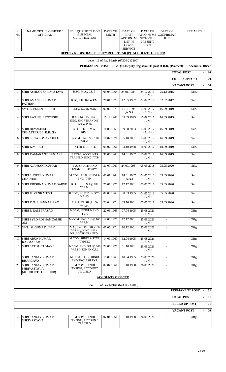| S.<br>No.      | <b>NAME OF THE OFFICER /</b><br>OFFICIAL                                                                                           | <b>EDU. QUALIFICATION</b><br>& SPECIAL<br><b>QUALIFICATION</b>       | <b>DATE OF</b><br><b>BIRTH</b> | DATE OF<br><b>FIRST</b><br>APPOINTM<br><b>ENT IN</b><br>GOVT. | <b>DATE OF</b><br><b>APPOINTME</b><br>NT TO THE<br>PRESENT<br><b>POST</b> | <b>DATE OF</b><br><b>CONFIRMAT</b><br><b>ION</b> | <b>REMARKS</b>                                       |  |  |  |  |  |
|----------------|------------------------------------------------------------------------------------------------------------------------------------|----------------------------------------------------------------------|--------------------------------|---------------------------------------------------------------|---------------------------------------------------------------------------|--------------------------------------------------|------------------------------------------------------|--|--|--|--|--|
|                |                                                                                                                                    | DEPUTY REGISTRAR, DEPUTY REGISTRAR (P)+ACCOUNTS OFFICER              |                                | <b>SERVICE</b>                                                |                                                                           |                                                  |                                                      |  |  |  |  |  |
|                |                                                                                                                                    |                                                                      |                                |                                                               |                                                                           |                                                  |                                                      |  |  |  |  |  |
|                | Level- 13 of Pay Matrix (67300-213100)<br>PERMANENT POST - 20 (18-Deputy Registrar, 01 post of D.R. (Protocol)+01 Accounts Officer |                                                                      |                                |                                                               |                                                                           |                                                  |                                                      |  |  |  |  |  |
|                | <b>TOTAL POST</b><br>$-20$                                                                                                         |                                                                      |                                |                                                               |                                                                           |                                                  |                                                      |  |  |  |  |  |
|                |                                                                                                                                    |                                                                      |                                |                                                               |                                                                           |                                                  | <b>FILLED UP POST</b><br>$-20$                       |  |  |  |  |  |
|                |                                                                                                                                    |                                                                      |                                |                                                               |                                                                           |                                                  | <b>VACANT POST</b><br>00<br>$\sim$                   |  |  |  |  |  |
| $\mathbf{1}$   | <b>SHRI ASHESH SHRIVASTAVA</b>                                                                                                     | B.SC, M.A., L.L.B.                                                   | 05.04.1964                     | 24.01.1984                                                    | 24.12.2013<br>(A.N.)                                                      | 25.12.2015                                       | Sub.                                                 |  |  |  |  |  |
| $\overline{2}$ | SHRI AVANISH KUMAR<br><b>PATHAK</b>                                                                                                | B.SC, S.H. 100 W.P.M.                                                | 26.01.1970                     | 12.05.1997                                                    | 02.02.2015                                                                | 02.02.2017                                       | Sub.                                                 |  |  |  |  |  |
| 3              | <b>SMT. LIVLEEN SHEIKH</b>                                                                                                         | B.SC, L.L.B, M.A.                                                    | 02.02.1973                     | 13.10.1998<br>(A.N.)                                          | 15.09.2017<br>(A.N.)                                                      | 16.09.2019                                       | Sub.                                                 |  |  |  |  |  |
| 4              | <b>SHRI AWANISH JYOTISHI</b>                                                                                                       | B.A, ENG. TYPING,<br>ENG. SHORTHAND @<br>120 W.P.M.                  | 15.12.1968                     | 05.09.1995                                                    | 15.09.2017<br>(A.N.)                                                      | 16.09.2019                                       | Sub.                                                 |  |  |  |  |  |
| 5              | <b>SHRI DEVASHISH</b><br>CHHATTERJEE, D.R. (P)                                                                                     | B.SC, L.L.B., M.A.,<br><b>BJMC</b>                                   | 14.09.1966                     | 09.08.2003                                                    | 15.09.2017<br>(A.N.)                                                      | 16.09.2019                                       | Sub.                                                 |  |  |  |  |  |
| 6              | <b>SHRI SISTA SOMAYAJULU</b>                                                                                                       | B.COM, ENG. SH. 120<br><b>WPM</b>                                    | 16.07.1971                     | 05.10.2001                                                    | 15.09.2017<br>(A.N.)                                                      | 16.09.2019                                       | Sub.                                                 |  |  |  |  |  |
| 7              | <b>SHRI K.V. RAO</b>                                                                                                               | <b>INTER-MEDIATE</b>                                                 | 03.07.1961                     | 03.10.1988                                                    | 18.09.2017                                                                | 18.09.2019                                       | Sub.                                                 |  |  |  |  |  |
| 8              | SHRI RAMAKANT BANJARI                                                                                                              | <b>B.COM, ACCOUNTS</b><br>TRAINED, HINDI TYP.                        | 30.06.1963                     | 14.01.1987                                                    | 15.09.2017<br>(A.N.)                                                      | 16.09.2019                                       | Sub.                                                 |  |  |  |  |  |
| 9              | SHRI A. ANJANI KUMAR                                                                                                               | <b>B.A. SHORTHAND</b><br>ENGLISH 100 WPM                             | 31.07.1967                     | 24.07.1998                                                    | 05.05.2018                                                                | 05.05.2020                                       | Sub.                                                 |  |  |  |  |  |
| 10             | SHRI SUNEEL KUMAR<br><b>CHAUHAN</b>                                                                                                | M.COM, LL.B. HINDI &<br>ENG. TYP.                                    | 01.01.1964                     | 14.01.1987<br>(A.N.)                                          | 04.05.2018<br>(A.N.)                                                      | 05.05.2020                                       | Sub.                                                 |  |  |  |  |  |
| 11             | SHRI KRISHNA KUMAR BARVE                                                                                                           | B.SC. ENG. SH @ 100<br>W.P.M.                                        | 25.07.1976                     | 12.12.2001                                                    | 05.05.2018                                                                | 05.05.2020                                       | Sub.                                                 |  |  |  |  |  |
|                | 12 SHRI K. VENKATESH                                                                                                               | B.COM, PG DIP. IN SYS.<br>MANG.                                      | 01.08.1968                     | 08.03.1995                                                    | 04.05.2018<br>(A.N.)                                                      | 05.05.2020                                       | Sub.                                                 |  |  |  |  |  |
| 13             | SHRI K.G. SHANKAR RAO                                                                                                              | B.A. ENG. SH @ 100<br>W.P.M.                                         | 22.04.1974                     | 03.10.2001                                                    | 05.05.2018                                                                | 05.05.2020                                       | Sub.                                                 |  |  |  |  |  |
| 14             | <b>SHRI P. RAM PRASAD</b>                                                                                                          | B.COM, HINDI & ENG.<br>TYP.                                          | 22.06.1965                     | 07.04.1995                                                    | 25.08.2021<br>(A.N.)                                                      |                                                  | Offg.                                                |  |  |  |  |  |
| 15             | <b>SHRI SYED ROSHAN ZAMIR</b><br>ALI                                                                                               | M.COM. ENG. SH @ 100<br>W.P.M.                                       | 12.08.1976                     | 12.12.2001                                                    | 25.08.2021<br>(A.N.)                                                      | $\overline{\phantom{a}}$                         | Offg.                                                |  |  |  |  |  |
| 16             | SMT. SUGUNA DUBEY                                                                                                                  | MA., ENGLISH SH (100<br>W.P.M.), HINDI SH. &<br>DIP. IN OFFICE AUTO. | 05.05.1974                     | 10.12.2001                                                    | 25.08.2021<br>(A.N.)                                                      |                                                  | Offg.                                                |  |  |  |  |  |
| 17             | SHRI ARUN KUMAR<br><b>KARMAKAR</b>                                                                                                 | M.COM, HINDI & ENG.<br><b>TYPING</b>                                 | 14.09.1967                     | 12.04.1995                                                    | 25.08.2021<br>(A.N.)                                                      |                                                  | Offg.                                                |  |  |  |  |  |
| 18             | <b>SHRI SATISH TUMANE</b>                                                                                                          | B.COM. ENG. SH (@ 100<br>$W.P.M.- DIP. IN C.P.)$                     | 22.06.1975                     | 01.10.2001                                                    | 25.08.2021<br>(A.N.)                                                      | $\blacksquare$                                   | Offg.                                                |  |  |  |  |  |
| 19             | SHRI SANJAY KUMAR<br><b>BHARGAVA</b>                                                                                               | M.COM, L.L.B., HINDI<br>AND ENGLISH TYP.                             | 15.08.1968                     | 10.04.1995                                                    | 25.08.2021<br>(A.N.)                                                      | $\blacksquare$                                   | Offg.                                                |  |  |  |  |  |
| 20             | <b>SHRI SANJAY KUMAR</b><br><b>SHRIVASTAVA</b><br>(ACCOUNTS OFFICER)                                                               | M.COM., HINDI<br>TYPING, ACCOUNT<br>TRAINED                          | 07.04.1961                     | 01.10.1988                                                    | 26.08.2021                                                                |                                                  | Offg.                                                |  |  |  |  |  |
|                |                                                                                                                                    |                                                                      | <b>ACCOUNTS OFFICER</b>        |                                                               |                                                                           |                                                  |                                                      |  |  |  |  |  |
|                | Level- 13 of Pay Matrix (67300-213100)                                                                                             |                                                                      |                                |                                                               |                                                                           |                                                  |                                                      |  |  |  |  |  |
|                | <b>PERMANENT POST -</b><br>01                                                                                                      |                                                                      |                                |                                                               |                                                                           |                                                  |                                                      |  |  |  |  |  |
|                | <b>TOTAL POST</b><br>01<br>$\overline{a}$                                                                                          |                                                                      |                                |                                                               |                                                                           |                                                  |                                                      |  |  |  |  |  |
|                |                                                                                                                                    |                                                                      |                                |                                                               |                                                                           |                                                  | <b>FILLED UP POST</b><br>01                          |  |  |  |  |  |
|                |                                                                                                                                    |                                                                      |                                |                                                               |                                                                           |                                                  | <b>VACANT POST</b><br>00<br>$\overline{\phantom{a}}$ |  |  |  |  |  |
| 1              | SHRI SANJAY KUMAR<br><b>SHRIVASTAVA</b>                                                                                            | M.COM., HINDI<br>TYPING, ACCOUNT<br>TRAINED                          | 07.04.1961                     | 01.10.1988                                                    | 26.08.2021                                                                |                                                  | Offg.                                                |  |  |  |  |  |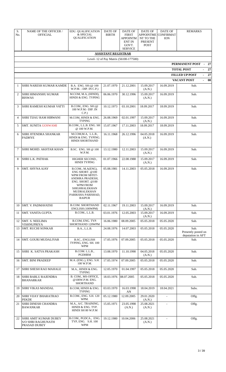| S.<br>No.      | <b>NAME OF THE OFFICER /</b><br><b>OFFICIAL</b>                           | EDU. QUALIFICATION<br>& SPECIAL<br><b>QUALIFICATION</b>                                                                                                                                  | <b>DATE OF</b><br><b>BIRTH</b> | DATE OF<br><b>FIRST</b><br>APPOINTM<br><b>ENT IN</b><br>GOVT.<br><b>SERVICE</b> | <b>DATE OF</b><br><b>APPOINTME</b><br>NT TO THE<br>PRESENT<br><b>POST</b> | <b>DATE OF</b><br><b>CONFIRMAT</b><br><b>ION</b> | <b>REMARKS</b>                                   |  |  |  |  |  |  |
|----------------|---------------------------------------------------------------------------|------------------------------------------------------------------------------------------------------------------------------------------------------------------------------------------|--------------------------------|---------------------------------------------------------------------------------|---------------------------------------------------------------------------|--------------------------------------------------|--------------------------------------------------|--|--|--|--|--|--|
|                |                                                                           |                                                                                                                                                                                          | <b>ASSISTANT REGISTRAR</b>     |                                                                                 |                                                                           |                                                  |                                                  |  |  |  |  |  |  |
|                | Level- 12 of Pay Matrix (56100-177500)                                    |                                                                                                                                                                                          |                                |                                                                                 |                                                                           |                                                  |                                                  |  |  |  |  |  |  |
|                | PERMANENT POST -<br>- 27                                                  |                                                                                                                                                                                          |                                |                                                                                 |                                                                           |                                                  |                                                  |  |  |  |  |  |  |
|                |                                                                           |                                                                                                                                                                                          |                                |                                                                                 |                                                                           |                                                  | <b>TOTAL POST</b><br>27                          |  |  |  |  |  |  |
|                |                                                                           |                                                                                                                                                                                          |                                |                                                                                 |                                                                           |                                                  | <b>FILLED UP POST</b><br>27                      |  |  |  |  |  |  |
|                |                                                                           |                                                                                                                                                                                          |                                |                                                                                 |                                                                           |                                                  | 00<br><b>VACANT POST</b><br>$\sim$               |  |  |  |  |  |  |
| 1              | SHRI NARESH KUMAR KAMDE                                                   | B.A. ENG. SH (@ 100<br>W.P.M. - DIP. IN C.P.)                                                                                                                                            | 21.07.1970                     | 21.12.2001                                                                      | 15.09.2017<br>(A.N.)                                                      | 16.09.2019                                       | Sub.                                             |  |  |  |  |  |  |
| 2              | <b>SHRI HIMANSHU KUMAR</b><br><b>BISWAS</b>                               | M.COM, M.A, (HINDI),<br>HINDI & ENG. TYPING                                                                                                                                              | 06.06.1970                     | 30.12.1996                                                                      | 15.09.2017<br>(A.N.)                                                      | 16.09.2019                                       | Sub.                                             |  |  |  |  |  |  |
| 3              | SHRI RAMESH KUMAR VATTI                                                   | B.COM., ENG. SH $(@)$<br>100 W.P.M.- DIP. IN<br>C.P.)                                                                                                                                    | 10.12.1973                     | 03.10.2001                                                                      | 18.09.2017                                                                | 18.09.2019                                       | Sub.                                             |  |  |  |  |  |  |
| $\overline{4}$ | <b>SHRI TIJAU RAM HIRWANI</b>                                             | M.COM, HINDI & ENG.<br><b>TYPING</b>                                                                                                                                                     | 26.08.1969                     | 02.01.1997                                                                      | 15.09.2017<br>(A.N.)                                                      | 16.09.2019                                       | Sub.                                             |  |  |  |  |  |  |
| 5              | <b>SMT. SUNITA GOSWAMI</b>                                                | B.COM., L.L.B. ENG. SH<br>@ 100 W.P.M.                                                                                                                                                   | 15.07.1967                     | 17.11.2003                                                                      | 18.09.2017                                                                | 18.09.2019                                       | Sub.                                             |  |  |  |  |  |  |
| 6              | <b>SHRI JITENDRA SHANKAR</b><br><b>PADHYE</b>                             | M.COM, M.A, L.L.B.,<br>HINDI & ENG. TYPING.<br>HINDI SHORTHAND                                                                                                                           | 16.11.1968                     | 26.12.1996                                                                      | 04.05.2018<br>(A.N.)                                                      | 16.09.2019                                       | Sub.                                             |  |  |  |  |  |  |
| 7              | SHRI MOHD. AKHTAR KHAN                                                    | B.SC. ENG. SH @ 100<br>W.P.M.                                                                                                                                                            | 13.12.1980                     | 12.11.2003                                                                      | 15.09.2017<br>(A.N.)                                                      | 16.09.2019                                       | Sub.                                             |  |  |  |  |  |  |
| 8              | SHRI L.K. PATHAK                                                          | HIGHER SECOND.,<br><b>HINDI TYPING</b>                                                                                                                                                   | 01.07.1966                     | 22.08.1988                                                                      | 15.09.2017<br>(A.N.)                                                      | 16.09.2019                                       | Sub.                                             |  |  |  |  |  |  |
| 9              | SMT. SHYNA AJAY                                                           | B.COM., M.A(ENG),<br>ENG SHORT. @100<br>WPM FROM SBTET-<br>ANDHRA PRADESH,<br>ENG. SHORT. @100<br><b>WPM FROM</b><br><b>SHIGHRALEKHAN</b><br>MUDRALEKHAN<br>PARIKSHA PARISHAD,<br>RAIPUR | 05.08.1981                     | 14.11.2003                                                                      | 05.05.2018                                                                | 16.09.2019                                       | Sub.                                             |  |  |  |  |  |  |
| 10             | SMT. V. PADMAVATHI                                                        | <b>B.COM. SHORTHAND</b><br>ENGLISH (100WPM)                                                                                                                                              | 02.11.1967                     | 19.11.2003                                                                      | 15.09.2017<br>(A.N.)                                                      | 16.09.2019                                       | Sub.                                             |  |  |  |  |  |  |
| 11             | <b>SMT. VANITA GUPTA</b>                                                  | B.COM., L.L.B.                                                                                                                                                                           | 03.01.1976                     | 12.05.2003                                                                      | 15.09.2017<br>(A.N.)                                                      | 16.09.2019                                       | Sub.                                             |  |  |  |  |  |  |
| 12             | SMT. S. NEELIMA<br><b>VISHNUPRIYA</b>                                     | B.COM, ENG. TYP.<br>SHORTHAND 120WPM                                                                                                                                                     | 16.06.1980                     | 08.09.2005                                                                      | 05.05.2018                                                                | 05.05.2020                                       | Sub.                                             |  |  |  |  |  |  |
| 13             | <b>SMT. RUCHI SONKAR</b>                                                  | B.A., L.L.B.                                                                                                                                                                             | 24.08.1976                     | 14.07.2003                                                                      | 05.05.2018                                                                | 05.05.2020                                       | Sub.<br>Presently posted on<br>deputation in AFT |  |  |  |  |  |  |
| 14             | <b>SMT. GOURI MUDALIYAR</b>                                               | <b>B.SC., ENGLISH</b><br>TYPING, ENG. SH. 100<br>WPM                                                                                                                                     | 17.05.1976                     | 07.09.2005                                                                      | 05.05.2018                                                                | 05.05.2020                                       | Sub.                                             |  |  |  |  |  |  |
| 15             | SHRI K. SATYA PRAKASH                                                     | B.COM. L.L.B.,<br>PGDHRM                                                                                                                                                                 | 13.08.1970                     | 11.10.1998                                                                      | 04.05.2018<br>(A.N.)                                                      | 05.05.2020                                       | Sub.                                             |  |  |  |  |  |  |
| 16             | <b>SMT. BINI PRADEEP</b>                                                  | M.A. (ENG.), ENG. S.H.<br>100 W.P.M.                                                                                                                                                     | 17.05.1974                     | 07.09.2005                                                                      | 05.05.2018                                                                | 05.05.2020                                       | Sub.                                             |  |  |  |  |  |  |
| 17             | <b>SHRI SHESH RAO MAHALE</b>                                              | M.A., HINDI & ENG.<br><b>TYPING</b>                                                                                                                                                      | 12.05.1970                     | 01.04.1997                                                                      | 05.05.2018                                                                | 05.05.2020                                       | Sub.                                             |  |  |  |  |  |  |
| 18             | <b>SHRI BABLU RAJENDRA</b><br><b>BHANARKAR</b>                            | B. COM., MS-OFFICE,<br>@100W.P.M. ENG.<br>SHORTHAND                                                                                                                                      | 18.03.1976                     | 08.07.2005                                                                      | 05.05.2018                                                                | 05.05.2020                                       | Sub.                                             |  |  |  |  |  |  |
| 19             | <b>SHRI VIKAS MANDAL</b>                                                  | B.COM, HINDI & ENG.<br><b>TYPING</b>                                                                                                                                                     | 03.03.1970                     | 16.03.1998<br>AN                                                                | 18.04.2019                                                                | 18.04.2021                                       | Subs.                                            |  |  |  |  |  |  |
| 20             | <b>SHRI VIJAY BHARATRAO</b><br>PEKDE                                      | B.COM., ENG. S.H. 120<br>WPM.                                                                                                                                                            | 05.12.1980                     | 12.09.2005                                                                      | 29.01.2020<br>(A.N.)                                                      | $\blacksquare$                                   | Offg.                                            |  |  |  |  |  |  |
| 21             | <b>SHRI DINESH CHANDRA</b><br>BAWANKAR                                    | M.A., A/C. TRAINING,<br>HINDI & ENG. TYP.<br>HINDI SH 80 W.P.M                                                                                                                           | 15.05.1971                     | 23.05.1998<br>(A.N.)                                                            | 25.08.2021<br>(A.N.)                                                      | ÷.                                               | Offg.                                            |  |  |  |  |  |  |
| 22             | <b>SHRI AMIT KUMAR DUBEY</b><br><b>S/O SHRI RAGHUNATH</b><br>PRASAD DUBEY | B.COM., PGDCA., ENG.<br>TYP, ENG. S.H. 100<br>WPM                                                                                                                                        | 19.12.1980                     | 10.04.2006                                                                      | 25.08.2021<br>(A.N.)                                                      |                                                  | Offg.                                            |  |  |  |  |  |  |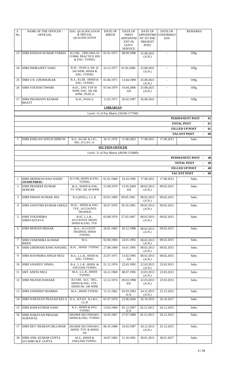| S.<br>No.      | NAME OF THE OFFICER /<br><b>OFFICIAL</b>            | <b>EDU. QUALIFICATION</b><br>& SPECIAL<br>QUALIFICATION             | <b>DATE OF</b><br><b>BIRTH</b> | <b>DATE OF</b><br><b>FIRST</b><br>APPOINTM<br><b>ENT IN</b><br>GOVT.<br><b>SERVICE</b> | DATE OF<br><b>APPOINTME</b><br>NT TO THE<br>PRESENT<br><b>POST</b> | <b>DATE OF</b><br>CONFIRMAT<br><b>ION</b> | <b>REMARKS</b>                                         |
|----------------|-----------------------------------------------------|---------------------------------------------------------------------|--------------------------------|----------------------------------------------------------------------------------------|--------------------------------------------------------------------|-------------------------------------------|--------------------------------------------------------|
| 23             | SHRI KISHAN KUMAR VERMA                             | B.COM., DIPLOMA IN<br>COMM. PRACTICE HIN<br>& ENG. TYPING           | 01.01.1971                     | 08.09.1998                                                                             | 25.08.2021<br>(A.N.)                                               | $\blacksquare$                            | Offg.                                                  |
| 24             | <b>SHRI INDRAJEET SAHU</b>                          | B.SC., PGDCA, SH. @<br>100 WPM. HINDI &<br><b>ENG. TYPING</b>       | 23.12.1977                     | 01.05.2006                                                                             | 25.08.2021<br>(A.N.)                                               |                                           | Offg.                                                  |
| 25             | SHRI S.N. CHOWKIKAR                                 | B.A., B.LIB. HINDI &<br><b>ENG. TYPING</b>                          | 01.06.1971                     | 13.04.1999                                                                             | 25.08.2021<br>(A.N.)                                               | $\omega$                                  | Offg.                                                  |
| 26             | SHRI YOGESH TIWARI                                  | B.SC., ENG TYP 50<br>WPM, ENG SH.100<br>WPM., PGDCA                 | 07.04.1979                     | 10.04.2006<br>AN                                                                       | 25.08.2021<br>(A.N.)                                               | $\sim$                                    | Offg.                                                  |
| 27             | <b>SHRI PRASHANT KUMAR</b><br><b>BHATT</b>          | B.SC, PGDCA                                                         | 11.02.1971                     | 20.02.1997                                                                             | 26.08.2021                                                         |                                           | Offg.                                                  |
|                |                                                     |                                                                     | <b>LIBRARIAN</b>               |                                                                                        |                                                                    |                                           |                                                        |
|                |                                                     |                                                                     |                                | Level- 12 of Pay Matrix (56100-177500)                                                 |                                                                    |                                           |                                                        |
|                |                                                     |                                                                     |                                |                                                                                        |                                                                    |                                           | PERMANENT POST<br>01                                   |
|                |                                                     |                                                                     |                                |                                                                                        |                                                                    |                                           | <b>TOTAL POST</b><br>01<br><b>FILLED UP POST</b><br>01 |
|                |                                                     |                                                                     |                                |                                                                                        |                                                                    |                                           | <b>VACANT POST</b><br>00<br>$\overline{\phantom{a}}$   |
| $\mathbf{1}$   | SHRI KHELAN SINGH DHRUW                             | B.A., M.LIB. & I.SC.,<br>MA., P.G.D.C.A.                            | 26.11.1976                     | 11.08.2003                                                                             | 17.08.2011                                                         | 17.08.2013                                | Subs.                                                  |
|                |                                                     |                                                                     | <b>SECTION OFFICER</b>         |                                                                                        |                                                                    |                                           |                                                        |
|                |                                                     |                                                                     |                                | Level- 11 of Pay Matrix (49100-155800)                                                 |                                                                    |                                           | PERMANENT POST<br>48                                   |
|                |                                                     |                                                                     |                                |                                                                                        |                                                                    |                                           | <b>TOTAL POST</b><br>48                                |
|                |                                                     |                                                                     |                                |                                                                                        |                                                                    |                                           | <b>FILLED UP POST</b><br>48                            |
|                |                                                     |                                                                     |                                |                                                                                        |                                                                    |                                           | <b>VACANT POST</b><br>00<br>$\overline{\phantom{a}}$   |
| $\mathbf{1}$   | <b>SHRI SRINIWAS RAO NAIDU</b><br>(SUSPENDED)       | B.COM, HINDI & ENG.<br><b>TYPING</b>                                | 01.01.1968                     | 19.10.1995                                                                             | 17.08.2011                                                         | 17.08.2013                                | Subs.                                                  |
| 2              | <b>SHRI PRADEEP KUMAR</b><br><b>DONGRE</b>          | M.A., HINDI & ENG.<br>TY. ENG. SH. 60 WPM                           | 21.08.1970                     | 15.05.2000<br>AN                                                                       | 08.02.2013<br>(A.N.)                                               | 09.02.2015                                | Subs.                                                  |
| 3              | SHRI PAWAN KUMAR JHA                                | B.A.(HON.), L.L.B.                                                  | 03.01.1969                     | 09.05.1991                                                                             | 08.02.2013<br>(A.N.)                                               | 09.02.2015                                | Subs.                                                  |
| $\overline{4}$ | SHRI SANTOSH KUMAR GHOLE                            | M.SC., HINDI & ENG.<br>TYP., ACCOUNTS<br><b>TRAINED</b>             | 20.07.1970                     | 30.10.1995                                                                             | 08.02.2013<br>(A.N.)                                               | 09.02.2015                                | Subs.                                                  |
| 5              | <b>SHRI YOGENDRA</b><br><b>SHRIVASTAVA</b>          | <b>B.SC. L.L.B.,</b><br><b>ACCOUNTS TRAIN.</b><br>HINDI & ENG. TYP. | 03.08.1970                     | 27.03.1997                                                                             | 08.02.2013<br>(A.N.)                                               | 09.02.2015                                | Subs.                                                  |
| 6              | <b>SHRI MOHAN MEHAR</b>                             | M.A., ACCOUNT<br>TRAINED, HINDI<br><b>TYPING</b>                    | 26.01.1965                     | 26.12.1988                                                                             | 08.02.2013<br>(A.N.)                                               | 09.02.2015                                | Subs.                                                  |
| 7              | <b>SHRI FANENDRA KUMAR</b><br>BISEN                 | M.A.                                                                | 02.06.1964                     | 24.01.1992                                                                             | 08.02.2013<br>(A.N.)                                               | 09.02.2015                                | Subs.                                                  |
| 8              | SHRI GIRDHARI RAM JANGHEL                           | B.SC., HINDI TYPING                                                 | 27.08.1969                     | 10.01.1995                                                                             | 08.02.2013<br>(A.N.)                                               | 09.02.2015                                | Subs.                                                  |
| 9              | SHRI RAVINDRA SINGH NEGI                            | B.A., L.L.B., HINDI &<br>ENG. TYPING                                | 25.07.1971                     | 13.02.1995<br>AN                                                                       | 08.02.2013<br>(A.N.)                                               | 09.02.2015                                | Subs.                                                  |
| 10             | <b>SHRI SANJEEV SINHA</b>                           | B.A., L.L.B., HINDI &<br><b>ENGLISH TYPING</b>                      | 21.12.1976                     | 22.03.1995                                                                             | 22.03.2013<br>(A.N.)                                               | 23.03.2015                                | Subs.                                                  |
| 11             | <b>SMT. ANITA NEGI</b>                              | M.A., L.L.B., HINDI<br><b>TYPING</b>                                | 16.12.1969                     | 08.07.1995                                                                             | 22.03.2013<br>(A.N.)                                               | 23.03.2015                                | Subs.                                                  |
| 12             | <b>SHRI NILESH DAHAKE</b>                           | B.COM., ACC. TRG.,<br>HINDI & ENG. TYP.,<br>HINDI SH. 100 WPM       | 12.12.1974                     | 09.03.1998<br>AN                                                                       | 22.03.2013<br>(A.N.)                                               | 23.03.2015                                | Subs.                                                  |
| 13             | <b>SHRI SANDEEP SHARMA</b>                          | M.A., HINDI TYPING                                                  | 15.12.1962                     | 03.03.1992<br>A.N.                                                                     | 24.12.2013<br>(A.N.)                                               | 25.12.2015                                | Subs.                                                  |
| 14             | SHRI NARAYAN PRASAD KELA                            | B.A., B.P.ED., B.J.M.C.,<br>LL.B                                    | 01.07.1970                     | 23.06.2006                                                                             | 26.10.2015                                                         | 26.10.2017                                | Subs.                                                  |
| 15             | <b>SHRI RAM KUMAR SAHU</b>                          | B.A., HINDI & ENG.<br><b>TYPING</b>                                 | 13.02.1969                     | 05.12.1997<br>A.N.                                                                     | 26.12.2013                                                         | 26.12.2015                                | Subs.                                                  |
| 16             | <b>SHRI NARAYAN PRASAD</b><br><b>AGRAWAL</b>        | HIGHER SECONDARY,<br>HINDI & ENG. TYPING                            | 16.05.1967                     | 27.07.1989                                                                             | 26.12.2013                                                         | 26.12.2015                                | Subs.                                                  |
| 17             | SHRI DEV SHARAN DILLIWAR                            | HIGHER SECONDARY,<br>HINDI TYP. & HINDI<br><b>SH</b>                | 06.10.1968                     | 10.03.1997                                                                             | 24.12.2013<br>(A.N.)                                               | 25.12.2015                                | Subs.                                                  |
| 18             | <b>SHRI ANIL KUMAR GUPTA</b><br>S/O SHRI M.P. GUPTA | M.A., HINDI &<br>ENGLISH TYPING.                                    | 10.07.1965                     | 11.10.1991                                                                             | 30.01.2015                                                         | 30.01.2017                                | Subs.                                                  |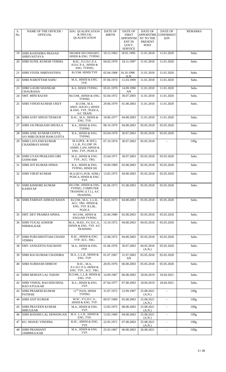| S.<br>No. | <b>NAME OF THE OFFICER /</b><br><b>OFFICIAL</b>           | EDU. QUALIFICATION<br>& SPECIAL<br><b>QUALIFICATION</b>                               | DATE OF<br><b>BIRTH</b> | DATE OF<br><b>FIRST</b><br><b>APPOINTM</b><br><b>ENT IN</b><br>GOVT.<br><b>SERVICE</b> | DATE OF<br><b>APPOINTME</b><br>NT TO THE<br>PRESENT<br>POST | DATE OF<br><b>CONFIRMAT</b><br><b>ION</b> | <b>REMARKS</b> |
|-----------|-----------------------------------------------------------|---------------------------------------------------------------------------------------|-------------------------|----------------------------------------------------------------------------------------|-------------------------------------------------------------|-------------------------------------------|----------------|
| 19        | SHRI RAJENDRA PRASAD<br><b>SHRIVASTAVA</b>                | HIGHER SECONDARY,<br>HINDI & ENG. TYPING                                              | 10.12.1963              | 18.01.1995                                                                             | 11.01.2018                                                  | 11.01.2020                                | Subs.          |
| 20        | SHRI SUNIL KUMAR VERMA                                    | B.SC., P.G.D.C.P.A<br>H.D.C.P.A., HINDI &<br>ENG. TYPING                              | 04.02.1970              | 24.11.1997                                                                             | 11.01.2018                                                  | 11.01.2020                                | Subs.          |
| 21        | <b>SHRI VIVEK SHRIVASTAVA</b>                             | B.COM. HINDI TYP.                                                                     | 05.04.1968              | 16.10.1998<br>A.N.                                                                     | 11.01.2018                                                  | 11.01.2020                                | Subs.          |
| 22        | <b>SHRI NAROTTAM SAHU</b>                                 | M.A., HINDI & ENG.<br>TYP.                                                            | 07.06.1974              | 11.03.1999                                                                             | 11.01.2018                                                  | 11.01.2020                                | Subs.          |
| 23        | SHRI GAURI SHANKAR<br><b>CHAURASIA</b>                    | <b>B.A. HINDI TYPING</b>                                                              | 05.01.1970              | 14.09.1990<br>AN                                                                       | 11.01.2018                                                  | 11.01.2020                                | Subs.          |
| 24        | <b>SMT. MINI RAJAN</b>                                    | M.COM., HINDI & ENG.<br><b>TYPING</b>                                                 | 02.04.1972              | 30.07.2003                                                                             | 11.01.2018                                                  | 11.01.2020                                | Subs.          |
| 25        | <b>SHRI VINOD KUMAR UKEY</b>                              | B.COM., M.A.<br>(HIST., SOCIO.), HINDI<br>& ENG. TYP., PGDCA,<br>A/C TRAIN.           | 29.06.1979              | 01.08.2003                                                                             | 11.01.2018                                                  | 11.01.2020                                | Subs.          |
| 26        | <b>SHRI AJAY SINGH THAKUR</b>                             | B.SC., M.A., HINDI &<br>ENG. TYP.                                                     | 18.06.1977              | 04.08.2003                                                                             | 11.01.2018                                                  | 11.01.2020                                | Subs.          |
| 27        | SHRI JAI PRAKASH SHUKLA                                   | B.A., HINDI & ENG.<br><b>TYPING</b>                                                   | 08.10.1979              | 04.08.2003                                                                             | 05.05.2018                                                  | 05.05.2020                                | Subs.          |
| 28        | SHRI ANIL KUMAR GUPTA,<br><b>S/O SHRI DUKHI RAM GUPTA</b> | B.A., HINDI & ENG.<br><b>TYPING</b>                                                   | 03.04.1970              | 30.07.2003                                                                             | 05.05.2018                                                  | 05.05.2020                                | Subs.          |
| 29        | SHRI LAVLESH KUMAR<br>CHANDRAVANSHI                       | M.A.(POL. & SOC),<br>L.L.B., P.G.DIP. IN<br>ADMN. LAW, HINDI &<br>ENG. TYP., PGDCA    | 07.10.1974              | 30.07.2003                                                                             | 05.05.2018                                                  |                                           | Offg.          |
| 30        | SHRI GYAN PRAKASH GIRI<br>GOSWAMI                         | M.A., HINDI & ENG.<br>TYP., ACC. TRG.                                                 | 23.04.1971              | 30.07.2003                                                                             | 05.05.2018                                                  | 05.05.2020                                | Subs.          |
| 31        | SHRI JOT KUMAR SINHA                                      | B.A., HINDI & ENG.<br>TYPING, HINDI SH.                                               | 19.09.1969              | 02.08.2003                                                                             | 05.05.2018                                                  | 05.05.2020                                | Subs.          |
| 32        | <b>SHRI VIRAT KUMAR</b>                                   | M.A.(ECO., PUB. ADM.)<br>PGDCA, HINDI & ENG.<br>TYP.                                  | 13.05.1975              | 04.08.2003                                                                             | 05.05.2018                                                  | 05.05.2020                                | Subs.          |
| 33        | SHRI KISHORE KUMAR<br><b>KASHYAP</b>                      | M.COM., HINDI & ENG.<br>TYPING, COMPUTER<br>TRAINING (I.T.I.), A/C<br><b>TRAINING</b> | 01.06.1973              | 01.08.2003                                                                             | 05.05.2018                                                  | 05.05.2020                                | Subs.          |
| 34        | SHRI FARHAN AHMAD KHAN                                    | B.COM., M.A., L.L.B.,<br>ACC. TRG. HINDI &<br>ENG. TYP. B.LIB.,<br>PGDCA              | 18.01.1975              | 04.08.2003                                                                             | 05.05.2018                                                  | 05.05.2020                                | Subs.          |
| 35        | <b>SMT. DEV PRABHA SINHA</b>                              | M.COM., HINDI &<br><b>ENGLISH TYPING</b>                                              | 25.06.1980              | 02.08.2003                                                                             | 05.05.2018                                                  | 05.05.2020                                | Subs.          |
| 36        | SHRI YUGAL KISHOR<br>NIRMALKAR                            | M.A., M.ED., P.G.D.C.A.,<br>HINDI & ENG. TYP. A/C<br><b>TRAINING</b>                  | 13.10.1972              | 04.08.2003                                                                             | 04.05.2018                                                  | 05.05.2020                                | Subs.          |
| 37        | SHRI PURUSHOTTAM CHAND<br>VERMA                           | B.SC., HINDI & ENG.<br>TYP. ACC. TRG.                                                 | 12.08.1972              | 04.08.2003                                                                             | 05.05.2018                                                  | 05.05.2020                                | Subs.          |
| 38        | <b>SMT. SANGEETA NAGWANI</b>                              | M.A., HINDI & ENG.<br>TYP.                                                            | 01.06.1976              | 30.07.2003                                                                             | 04.05.2018<br>(A.N.)                                        | 05.05.2020                                | Subs.          |
| 39        | SHRI RAJ KUMAR CHANDRA                                    | M.A., L.L.B., HINDI &<br>ENG. TYP.                                                    | 01.07.1967              | 31.07.2003<br>AN                                                                       | 05.05.2018                                                  | 05.05.2020                                | Subs.          |
| 40        | SHRI SUBHASH DHRUW                                        | B.SC., M.A.,<br>P.G.D.C.P.A, HINDI &<br>ENG. TYP., ACC. TRG.                          | 20.05.1976              | 06.08.2003                                                                             | 05.05.2018                                                  | 05.05.2020                                | Subs.          |
| 41        | SHRI MOHAN LAL YADAV                                      | B.COM., L.L.B. HINDI &<br>ENG. TYP.                                                   | 14.09.1967              | 06.08.2003                                                                             | 18.04.2019                                                  | 18.04.2021                                | Subs.          |
| 42        | SHRI VISHAL RAO KHUSHAL<br><b>RAO ATULKAR</b>             | B.A., HINDI & ENG.<br>TYP.                                                            | 07.04.1977              | 07.08.2003                                                                             | 18.04.2019                                                  | 18.04.2021                                | Subs.          |
| 43        | <b>SHRI PRAMOD KUMAR</b><br>PATHAK                        | $12^{\mathrm{TH}}$ PASS, HINDI<br><b>TYPING</b>                                       | 31.07.1972              | 12.09.1997                                                                             | 25.08.2021<br>(A.N.)                                        | $\blacksquare$                            | Offg.          |
| 44        | <b>SHRI ASIT KUMAR</b>                                    | M.SC., P.G.D.C.A.,<br>HINDI & ENG. TYP.                                               | 09.07.1969              | 05.08.2003                                                                             | 25.08.2021<br>(A.N.)                                        | $\blacksquare$                            | Offg.          |
| 45        | <b>SHRI PRAVEEN KUMAR</b><br><b>HIRULKAR</b>              | M.A., HINDI & ENG.<br>TYP.                                                            | 13.05.1975              | 08.08.2003                                                                             | 25.08.2021<br>(A.N.)                                        | $\blacksquare$                            | Offg.          |
| 46        | <b>SHRI BANSHI LAL DEWANGAN</b>                           | M.A., L.L.B., HINDI &<br>ENG. TYP.                                                    | 13.05.1969              | 04.08.2003                                                                             | 25.08.2021<br>(A.N.)                                        | $\blacksquare$                            | Offg.          |
| 47        | KU. MANJU VINODIA                                         | B.SC., HINDI & ENG.<br>TYP.                                                           | 22.05.1971              | 07.08.2003                                                                             | 25.08.2021<br>(A.N.)                                        | $\blacksquare$                            | Offg.          |
| 48        | <b>SHRI PRASHANT</b><br><b>JAMBHULKAR</b>                 | M.A., HINDI & ENG.<br>TYP.                                                            | 25.03.1967              | 06.08.2003                                                                             | 26.08.2021                                                  | $\blacksquare$                            | Offg.          |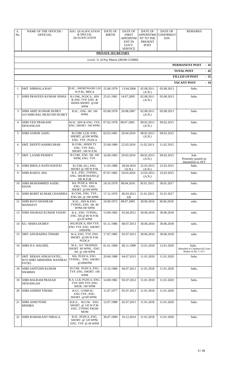| S.<br>No.      | <b>NAME OF THE OFFICER /</b><br><b>OFFICIAL</b>                         | <b>EDU. QUALIFICATION</b><br>& SPECIAL<br><b>OUALIFICATION</b>               | <b>DATE OF</b><br><b>BIRTH</b> | <b>DATE OF</b><br><b>FIRST</b><br>APPOINTM<br><b>ENT IN</b><br>GOVT.<br><b>SERVICE</b> | <b>DATE OF</b><br><b>APPOINTME</b><br>NT TO THE<br><b>PRESENT</b><br><b>POST</b> | DATE OF<br><b>CONFIRMAT</b><br><b>ION</b> | <b>REMARKS</b>                                                |  |  |  |  |  |
|----------------|-------------------------------------------------------------------------|------------------------------------------------------------------------------|--------------------------------|----------------------------------------------------------------------------------------|----------------------------------------------------------------------------------|-------------------------------------------|---------------------------------------------------------------|--|--|--|--|--|
|                |                                                                         |                                                                              | PRIVATE SECRETARY              |                                                                                        |                                                                                  |                                           |                                                               |  |  |  |  |  |
|                | Level- 11 of Pay Matrix (49100-155800)<br><b>PERMANENT POST</b><br>- 45 |                                                                              |                                |                                                                                        |                                                                                  |                                           |                                                               |  |  |  |  |  |
|                |                                                                         |                                                                              |                                |                                                                                        |                                                                                  |                                           | <b>TOTAL POST</b><br>$-45$                                    |  |  |  |  |  |
|                | $-35$<br><b>FILLED UP POST</b>                                          |                                                                              |                                |                                                                                        |                                                                                  |                                           |                                                               |  |  |  |  |  |
|                |                                                                         |                                                                              |                                |                                                                                        |                                                                                  |                                           | <b>VACANT POST</b><br>$-10$                                   |  |  |  |  |  |
| 1              | SMT. NIRMALA RAO                                                        | <b>B.SC., SHORTHAND 120</b><br>W.P.M., MDCA                                  | 25.08.1978                     | 13.04.2006                                                                             | 02.08.2011<br>(A.N.)                                                             | 03.08.2013                                | Subs.                                                         |  |  |  |  |  |
| 2              | SHRI PRAVEEN KUMAR SINHA                                                | B.COM., PGDCA., HIN<br>& ENG TYP, ENG. &<br>HINDI SHORT. @100<br><b>WPM</b>  | 25.01.1981                     | 14.07.2005                                                                             | 02.08.2011<br>(A.N.)                                                             | 03.08.2013                                | Subs.                                                         |  |  |  |  |  |
| 3              | <b>SHRI AMIT KUMAR DUBEY</b><br>S/O SHRI BAL MUKUND DUBEY               | B.SC., ENG. SH. 100<br>WPM.                                                  | 03.08.1978                     | 20.08.2007                                                                             | 02.08.2011<br>(A.N.)                                                             | 03.08.2013                                | Subs.                                                         |  |  |  |  |  |
| $\overline{4}$ | <b>SHRI VED PRAKASH</b><br><b>DEWANGAN</b>                              | M.SC. HIN & ENG. TYP,<br>ENG. SHORT. 100 WPM                                 | 07.02.1978                     | 08.07.2005                                                                             | 08.02.2013<br>(A.N.)                                                             | 09.02.2015                                | Subs.                                                         |  |  |  |  |  |
| 5              | <b>SHRI ASHOK SAHU</b>                                                  | B.COM. LLB. ENG.<br>SHORT. @100 WPM,<br>ENG. TYP., PGDCA                     | 02.03.1981                     | 20.04.2010                                                                             | 08.02.2013<br>(A.N.)                                                             | 09.02.2015                                | Subs.                                                         |  |  |  |  |  |
| 6              | SMT. DEEPTI HARIKUMAR                                                   | B.COM., HINDI TY.<br>ENG. TYP. ENG.<br>SHORT. 100 W.P.M.                     | 25.08.1980                     | 22.03.2010                                                                             | 11.02.2013                                                                       | 11.02.2015                                | Subs.                                                         |  |  |  |  |  |
| 7              | SMT. LAXMI PANDEY                                                       | B.COM., ENG. SH. 100<br>WPM, ENG. TYP.                                       | 16.09.1983                     | 29.03.2010                                                                             | 08.02.2013<br>(A.N.)                                                             | 09.02.2015                                | Sub.<br>Presently posted on<br>deputation in AFT              |  |  |  |  |  |
| 8              | SHRI BHOLA NATH KHATAI                                                  | B.COM. (H.), ENG.<br>SHORT @ 100 W.P.M.                                      | 11.03.1980                     | 28.04.2010<br>(A.N.)                                                                   | 22.03.2013<br>(A.N.)                                                             | 23.03.2015                                | Subs.                                                         |  |  |  |  |  |
| 9              | <b>SHRI RAHUL JHA</b>                                                   | B.A., ENG. TYPING,<br>ENG. SHORTHAND @<br>100 W.P.M.                         | 07.07.1985                     | 29.03.2010                                                                             | 22.03.2013<br>(A.N.)                                                             | 23.03.2015                                | Subs.                                                         |  |  |  |  |  |
| 10             | SHRI MOHAMMED AADIL<br><b>KHAN</b>                                      | BA, PGDCA, HIN &<br>ENG. TYP., ENG.<br>SHORT. @100 WPM                       | 24.10.1978                     | 08.04.2010                                                                             | 30.01.2015                                                                       | 30.01.2017                                | Subs.                                                         |  |  |  |  |  |
|                | 11 SHRI ROHIT KUMAR CHANDRA                                             | B.COM., ENG. TYP.,<br>ENG.SH. @ 100 WPM                                      | 17.12.1976                     | 06.03.2012<br>AN                                                                       | 31.01.2015                                                                       | 31.01.2017                                | subs.                                                         |  |  |  |  |  |
| 12             | <b>SHRI RAVI SHANKAR</b><br><b>MANDAVI</b>                              | B.SC., HIN & ENG.<br>TYPING, ENG. SH. 80<br><b>WPM/100 WPM</b>               | 24.09.1972                     | 08.07.2005                                                                             | 30.06.2016                                                                       | 30.06.2018                                | subs.                                                         |  |  |  |  |  |
| 13             | <b>SHRI SHARAD KUMAR YADAV</b>                                          | B.A., ENG. TYPING,<br>ENG. SH.@ 80 W.P.M.<br>@120 WPM                        | 13.09.1982                     | 02.04.2012                                                                             | 30.06.2016                                                                       | 30.06.2018                                | subs.                                                         |  |  |  |  |  |
| 14             | KU. NISHA DUBEY                                                         | MA, PGDCA, HIN TYP,<br>ENG TYP, ENG. SHORT.<br>100WPM                        | 01.11.1986                     | 08.07.2013                                                                             | 30.06.2016                                                                       | 30.06.2018                                | subs.                                                         |  |  |  |  |  |
| 15             | SMT. ANURADHA TIWARI                                                    | M.A, ENG. TYP, ENG<br>SHORT. @100 W.P.M.<br>$\ensuremath{\mathsf{PGDCA}}$    | 17.07.1985                     | 02.07.2013                                                                             | 30.06.2016                                                                       | 30.06.2018                                | subs.                                                         |  |  |  |  |  |
| 16             | SHRI D.S. BAGHEL                                                        | M.A., A/C TRAINED.<br>SHORT. 80 WPM., ENG.<br>SH. @ 100 WPM                  | 01.01.1968                     | 06.11.1998                                                                             | 12.01.2018                                                                       | 12.01.2020                                | Subs.<br>Absorbed in Commercial Court<br>Raipur as Dy. C of C |  |  |  |  |  |
| 17             | SMT. REKHA SINGH PATEL,<br>W/O SHRI ABHISHEK HANSRAJ<br>PATEL           | MA, PGDCA, ENG.<br>TYPING, ENG. SHORT.<br>@100WPM                            | 20.06.1988                     | 04.07.2013                                                                             | 11.01.2018                                                                       | 11.01.2020                                | Subs.                                                         |  |  |  |  |  |
| 18             | <b>SHRI SANTOSH KUMAR</b><br>SHARMA                                     | B.COM, PGDCA, ENG.<br>TYP, ENG. SHORT. 100<br><b>WPM</b>                     | 13.10.1980                     | 04.07.2013                                                                             | 11.01.2018                                                                       | 11.01.2020                                | Subs.                                                         |  |  |  |  |  |
| 19             | <b>SHRI BALRAM PRASAD</b><br>DEWANGAN                                   | B.A, LLB, PGDCA, ENG.<br>TYP, HIN TYP, ENG<br>SHOR. 100 WPM                  | 14.08.1982                     | '02.07.2012                                                                            | 11.01.2018                                                                       | 11.01.2020                                | Subs.                                                         |  |  |  |  |  |
| 20             | SHRI ASHISH TIWARI                                                      | B.S.C. COMP.SC.<br>ENG.TYP., ENG.<br>SHORT. @100 WPM.                        | 11.07.1977                     | 05.07.2013                                                                             | 11.01.2018                                                                       | 11.01.2020                                | Subs.                                                         |  |  |  |  |  |
| 21             | <b>SHRI ASHUTOSH</b><br><b>MISHRA</b>                                   | B.B.A., M.O.M. ENG.<br>SHORT. @ 120 W.P.M.<br>ENG. TYPING FROM<br><b>MOM</b> | 12.07.1988                     | 02.07.2013                                                                             | 11.01.2018                                                                       | 11.01.2020                                | Subs.                                                         |  |  |  |  |  |
| 22             | SHRI RAMAKANT NIRALA                                                    | B.SC. PGDCA, ENG.<br>SHORT. @ 120 WPM,<br>ENG. TYP. @ 40 WPM                 | 30.07.1990                     | 10.12.2014                                                                             | 11.01.2018                                                                       | 11.01.2020                                | Subs.                                                         |  |  |  |  |  |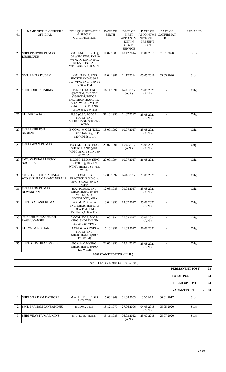| S.<br>No.    | <b>NAME OF THE OFFICER /</b><br><b>OFFICIAL</b>           | <b>EDU. QUALIFICATION</b><br>& SPECIAL<br>QUALIFICATION                                                                                 | <b>DATE OF</b><br><b>BIRTH</b>   | DATE OF<br><b>FIRST</b><br>APPOINTM<br><b>ENT IN</b><br>GOVT.<br><b>SERVICE</b> | <b>DATE OF</b><br><b>APPOINTME</b><br>NT TO THE<br>PRESENT<br><b>POST</b> | <b>DATE OF</b><br><b>CONFIRMAT</b><br>ION | <b>REMARKS</b>                                                                |
|--------------|-----------------------------------------------------------|-----------------------------------------------------------------------------------------------------------------------------------------|----------------------------------|---------------------------------------------------------------------------------|---------------------------------------------------------------------------|-------------------------------------------|-------------------------------------------------------------------------------|
| 23           | SHRI KISHORE KUMAR<br><b>DESHMUKH</b>                     | B.SC. ENG. SHORT. @<br>100 WPM, ENG. TYP 40<br>WPM, PG DIP. IN IND.<br>RELATION, LAB.<br>WELFARE & PER.MGT.                             | 11.07.1980                       | 10.12.2014                                                                      | 11.01.2018                                                                | 11.01.2020                                | Subs.                                                                         |
| 24           | <b>SMT. AMITA DUBEY</b>                                   | B.SC. PGDCA, ENG.<br>SHORTHAND @ 80 &<br>100 WPM, ENG. TYP. 30<br>& 50 W.P.M.                                                           | 11.04.1981                       | 11.12.2014                                                                      | 05.05.2018                                                                | 05.05.2020                                | Subs.                                                                         |
| 25           | <b>SHRI ROHIT SHARMA</b>                                  | B.E., STENO ENG<br>@80WPM, ENG TYP<br>@30WPM, PGDCA,<br>ENG. SHORTHAND 100<br>& 120 W.P.M., M.O.M<br>(ENG. SHORTHAND<br>@100 & 120 WPM) | 16.11.1991                       | 14.07.2017<br>(A.N.)                                                            | 25.08.2021<br>(A.N.)                                                      |                                           | Offg.                                                                         |
| 26           | KU. NIKITA JAIN                                           | B.SC.(C.S.), PGDCA,<br>M.O.M (ENG.<br>SHORTHAND @100/120<br>WPM)                                                                        | 31.10.1990                       | 11.07.2017                                                                      | 25.08.2021<br>(A.N.)                                                      |                                           | Offg.                                                                         |
| 27           | <b>SHRI AKHILESH</b><br><b>BEOHAR</b>                     | B.COM, M.O.M (ENG.<br>SHORTHAND @100/<br>120 WPM), DCA                                                                                  | 18.09.1992                       | 10.07.2017                                                                      | 25.08.2021<br>(A.N.)                                                      |                                           | Offg.                                                                         |
| 28           | <b>SHRI PAWAN KUMAR</b>                                   | B.COM., L.L.B., ENG.<br>SHORTHAND @100<br>WPM, ENG. TYPING @<br>45 W.P.M.                                                               | 20.07.1991                       | 13.07.2017<br>(A.N.)                                                            | 25.08.2021<br>(A.N.)                                                      | $\blacksquare$                            | Offg.                                                                         |
| 29           | <b>SMT. VAISHALI LUCKY</b><br>NAGARIA                     | B.COM., M.O.M (ENG.<br>SHORT. @100/120<br>WPM), HINDI TYP. @30<br>W.P.M.                                                                | 20.09.1994                       | 10.07.2017                                                                      | 26.08.2021                                                                |                                           | Offg.                                                                         |
| 30           | <b>SMT. DEEPTI JHA NIRALA</b><br>W/O SHRI RAMAKANT NIRALA | B.COM., SEC.<br>PRACTICE, P.G.D.C.A.,<br>ENG. SHORT. @ 100<br>WPM                                                                       | 17.03.1992                       | 14.07.2017                                                                      | 27.08.2021                                                                | $\blacksquare$                            | Offg.                                                                         |
| 31           | <b>SHRI ARUN KUMAR</b><br><b>DEWANGAN</b>                 | B.A., PGDCA, ENG.<br>SHORTHAND @ 100<br>W.P.M., M.A.<br>SOCIOLOGY, MBA                                                                  | 12.03.1985                       | 09.08.2017                                                                      | 25.08.2021<br>(A.N.)                                                      | $\blacksquare$                            | Offg.                                                                         |
| 32           | SHRI PRAKASH KUMAR                                        | B.COM., P.G.D.C.A.,<br>ENG. SHORTHAND. @<br>100 W.P.M., ENG.<br>TYPING @ 30 W.P.M.                                                      | 13.04.1990                       | 13.07.2017                                                                      | 25.08.2021<br>(A.N.)                                                      |                                           | Offg.                                                                         |
| 33           | SHRI SHUBHAM SINGH<br><b>RAGHUVANSHI</b>                  | B.COM., DCA, M.O.M<br>(ENG. SHORTHAND<br>@100/120 WPM),                                                                                 | 14.08.1994                       | 27.09.2017                                                                      | 25.08.2021<br>(A.N.)                                                      | $\blacksquare$                            | Offg.                                                                         |
| 34           | KU. YASMIN KHAN                                           | B.COM. (C.A.), PGDCA,<br>M.O.M (ENG.<br>SHORTHAND @100/<br>120 WPM),                                                                    | 16.10.1991                       | 21.09.2017                                                                      | 26.08.2021                                                                | $\overline{\phantom{a}}$                  | Offg.                                                                         |
| 35           | SHRI BRIJMOHAN MORLE                                      | BCA, M.O.M (ENG.<br>SHORTHAND @100/<br>120 WPM),                                                                                        | 22.06.1990                       | 17.11.2017                                                                      | 25.08.2021<br>(A.N.)                                                      |                                           | Offg.                                                                         |
|              |                                                           |                                                                                                                                         | <b>ASSISTANT EDITOR (I.L.R.)</b> |                                                                                 |                                                                           |                                           |                                                                               |
|              |                                                           |                                                                                                                                         |                                  | Level- 11 of Pay Matrix (49100-155800)                                          |                                                                           |                                           |                                                                               |
|              |                                                           |                                                                                                                                         |                                  |                                                                                 |                                                                           |                                           | PERMANENT POST -<br>03<br><b>TOTAL POST</b><br>03<br>$\overline{\phantom{a}}$ |
|              |                                                           |                                                                                                                                         |                                  |                                                                                 |                                                                           |                                           | <b>FILLED UP POST</b><br>03                                                   |
|              |                                                           |                                                                                                                                         |                                  |                                                                                 |                                                                           |                                           | <b>VACANT POST</b><br>00                                                      |
| $\mathbf{1}$ | <b>SHRI SITA RAM RATHORE</b>                              | M.A., L.L.B., HINDI &<br>ENG. TYP.                                                                                                      | 15.08.1969                       | 01.08.2003                                                                      | 30/01/15                                                                  | 30.01.2017                                | Subs.                                                                         |
| 2            | <b>SMT. PRANALI JANBANDHU</b>                             | B.COM., L.L.B.                                                                                                                          | 18.12.1977                       | 27.06.2006                                                                      | 04.05.2018<br>(A.N.)                                                      | 05.05.2020                                | Subs.                                                                         |
| 3            | <b>SHRI VIJAY KUMAR MINZ</b>                              | B.A., LL.B. (HONS.)                                                                                                                     | 15.11.1985                       | 06.03.2012<br>(A.N.)                                                            | 25.07.2018                                                                | 25.07.2020                                | Subs.                                                                         |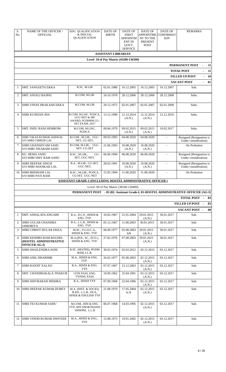| S.<br>No.      | <b>NAME OF THE OFFICER /</b><br><b>OFFICIAL</b>                          | EDU. QUALIFICATION<br>& SPECIAL<br>QUALIFICATION                                         | <b>DATE OF</b><br><b>BIRTH</b> | <b>DATE OF</b><br><b>FIRST</b><br><b>APPOINTM</b><br><b>ENT IN</b><br>GOVT.<br><b>SERVICE</b> | <b>DATE OF</b><br>APPOINTME<br>NT TO THE<br><b>PRESENT</b><br><b>POST</b> | <b>DATE OF</b><br><b>CONFIRMAT</b><br><b>ION</b> | <b>REMARKS</b>                                                                         |
|----------------|--------------------------------------------------------------------------|------------------------------------------------------------------------------------------|--------------------------------|-----------------------------------------------------------------------------------------------|---------------------------------------------------------------------------|--------------------------------------------------|----------------------------------------------------------------------------------------|
|                |                                                                          |                                                                                          | <b>ASSISTANT LIBRARIAN</b>     |                                                                                               |                                                                           |                                                  |                                                                                        |
|                |                                                                          |                                                                                          |                                | Level- 10 of Pay Matrix (43200-136500)                                                        |                                                                           |                                                  |                                                                                        |
|                |                                                                          |                                                                                          |                                |                                                                                               |                                                                           |                                                  | PERMANENT POST<br>11<br>÷,                                                             |
|                |                                                                          |                                                                                          |                                |                                                                                               |                                                                           |                                                  | <b>TOTAL POST</b><br>11                                                                |
|                |                                                                          |                                                                                          |                                |                                                                                               |                                                                           |                                                  | $-10$<br><b>FILLED UP POST</b><br><b>VACANT POST</b><br>01<br>$\overline{\phantom{0}}$ |
| $\mathbf{1}$   | <b>SMT. SANGEETA EKKA</b>                                                | B.SC, M.LIB                                                                              | 02.01.1980                     | 16.12.2005                                                                                    | 16.12.2005                                                                | 16.12.2007                                       | Sub.                                                                                   |
| 2              | <b>SMT. ANJALI BAJPAI</b>                                                | B.COM, M.LIB                                                                             | 24.10.1978                     | 28.12.2006                                                                                    | 28.12.2006                                                                | 28.12.2008                                       | Subs.                                                                                  |
| 3              | SHRI VINAY PRAKASH EKKA                                                  | M.COM, M.LIB                                                                             | 29.12.1972                     | 02.01.2007                                                                                    | 02.01.2007                                                                | 02.01.2009                                       | Subs.                                                                                  |
| $\overline{4}$ | SHRI KUNDAN JHA                                                          | B.COM, M.LISC. PGDCA,<br><b>UGC-NET &amp; JRF</b><br>AWARD, PGDHRM CG-<br>SET EXAM.-2017 | 13.12.1990                     | 12.12.2014<br>(A.N.)                                                                          | 12.12.2014<br>(A.N.)                                                      | 13.12.2016                                       | Subs.                                                                                  |
| 5              | <b>SMT. INDU RANI HEMROM</b>                                             | M.COM, M.LISC,<br>PGDCA                                                                  | 09.06.1979                     | 09.02.2015<br>(A.N.)                                                                          | 09.02.2015<br>(A.N.)                                                      | 10.02.2017                                       | Subs.                                                                                  |
| 6              | SHRI VIKAS KUMAR JAISWAL<br>S/O SHRI CHHEDI LAL                          | B.COM., M.LIB., UGC-<br>NET, CG-SET,                                                     | 09.03.1993                     | 04.08.2020                                                                                    | 04.08.2020                                                                | $\blacksquare$                                   | Resigned (Resignation is<br>Under consideration)                                       |
| 7              | <b>SHRI GHANSHYAM SAHU</b><br><b>S/O SHRI TIKARAM SAHU</b>               | B.COM, M.LIB., UGC-<br>NET, CG-SET                                                       | 21.06.1993                     | 10.08.2020<br>(A.N.)                                                                          | 10.08.2020<br>(A.N.)                                                      | $\overline{a}$                                   | On Probation                                                                           |
| 8              | <b>KU. HEMA SAHU</b><br><b>S/O SHRI SHIV RAM SAHU</b>                    | B.SC., M.LIB.,<br>$CG-$<br>SET, UGC-NET,                                                 | 06.06.1994                     | 06.08.2020                                                                                    | 06.08.2020                                                                | $\blacksquare$                                   | Resigned (Resignation is<br>Under consideration)                                       |
| 9              | <b>SHRI DEEPAK SINGH</b><br><b>S/O SHRI SHANKAR LAL</b>                  | B.A., M.LIB., CG-SET,<br>UGC-NET,                                                        | 28.03.1991                     | 10.08.2020<br>(A.N.)                                                                          | 10.08.2020<br>(A.N.)                                                      |                                                  | Resigned (Resignation is<br>Under consideration)                                       |
| 10             | <b>SHRI BHISHAM LAL</b><br><b>S/O SHRI PATI RAM</b>                      | B.SC., M.LIB., PGDCA,<br>CG-SET, UGC-NET                                                 | 15.05.1994                     | 11.08.2020                                                                                    | 11.08.2020                                                                | $\sim$                                           | On Probation                                                                           |
|                |                                                                          | <b>ASSISTANT GRADE-I (INCLUDING HOSTEL ADMINISTRATIVE OFFICER)</b>                       |                                |                                                                                               |                                                                           |                                                  |                                                                                        |
|                |                                                                          |                                                                                          |                                | Level- 09 of Pay Matrix (38100-120400)                                                        |                                                                           |                                                  | PERMANENT POST - 83 (82- Assistant Grade-I, 01-HOSTEL ADMINISTRATIVE OFFICER {AG-I}    |
|                |                                                                          |                                                                                          |                                |                                                                                               |                                                                           |                                                  | <b>TOTAL POST -</b><br>83                                                              |
|                |                                                                          |                                                                                          |                                |                                                                                               |                                                                           |                                                  | FILLED UP POST -<br>83                                                                 |
|                |                                                                          |                                                                                          |                                |                                                                                               |                                                                           |                                                  | 00<br>VACANT POST-                                                                     |
| 1              | SMT. ASHALATA ANGARE                                                     | B.A., D.C.P., HINDI &<br>ENG. TYP.                                                       | 10.02.1967                     | 21.01.2004                                                                                    | 29.01.2015<br>(A.N.)                                                      | 30.01.2017                                       | Sub.                                                                                   |
| 2              | <b>SHRI GULAB CHANDRA</b><br><b>JAMORIYA</b>                             | B.A., L.L.B., HINDI &<br>ENG. TYP.                                                       | 05.12.1967                     | 11.08.2003                                                                                    | 30.01.2015                                                                | 30.01.2017                                       | Sub.                                                                                   |
| 3              | <b>SHRI CHRIST DULAR EKKA</b>                                            | M.SC., P.G.D.C.A.,<br>HINDI & ENG. TYP.                                                  | 06.09.1977                     | 05.08.2003<br>AN                                                                              | 29.01.2015<br>(A.N.)                                                      | 30.01.2017                                       | Sub.                                                                                   |
| $\overline{4}$ | <b>SHRI KESHBO RAM BAGHEL</b><br>(HOSTEL ADMINISTRATIVE<br>OFFICER-AG-I) | M.A.(POL. SC., ECO.),<br>HINDI & ENG. TYP.                                               | 27.02.1976                     | 07.08.2003                                                                                    | 29.01.2015<br>(A.N.)                                                      | 30.01.2017                                       | Sub.                                                                                   |
| -5             | SHRI SHAILENDRA SONI                                                     | B.SC. (MATHS), PGDM<br>&SM, LL.B.                                                        | 30.03.1974                     | 03.03.2012                                                                                    | 03.12.2015                                                                | 03.12.2017                                       | Sub.                                                                                   |
| 6              | <b>SHRI ANIL DHARMIK</b>                                                 | M.A., HINDI & ENG.<br>TYP.                                                               | 26.02.1977                     | 05.08.2003                                                                                    | 02.12.2015<br>(A.N.)                                                      | 03.12.2017                                       | Sub.                                                                                   |
| 7              | <b>SHRI RANJIT XALXO</b>                                                 | B.A., HINDI & ENG.<br>TYP.                                                               | 07.07.1967                     | 15.12.2003                                                                                    | 02.12.2015<br>(A.N.)                                                      | 03.12.2017                                       | Sub.                                                                                   |
| 8              | SMT. CHANDRAKALA THAKUR                                                  | 12TH PASS, ENG.<br><b>TYPING PASS</b>                                                    | 10.09.1962                     | 25.04.1991                                                                                    | 02.12.2015<br>(A.N.)                                                      | 03.12.2017                                       | Sub.                                                                                   |
| 9              | SHRI SHIVBARAN MISHRA                                                    | B.A., HINDI TYP.                                                                         | 07.09.1968                     | 22.04.1996                                                                                    | 02.12.2015<br>(A.N.)                                                      | 03.12.2017                                       | Sub.                                                                                   |
| 10             | <b>SHRI DEEPAK KUMAR DUBEY</b>                                           | M.A. (HIST. & SOCIO),<br>B.ED., L.L.B., DCA,<br>HINDI & ENGLISH TYP                      | 21.08.1970                     | 17.05.2004<br>A.N.                                                                            | 02.12.2015<br>(A.N.)                                                      | 03.12.2017                                       | Sub.                                                                                   |
| 11             | <b>SHRI TEJ KUMAR SAHU</b>                                               | M.COM., HIN & ENG<br>TYP, HIN SHORTHAND<br>100WPM, L.L.B                                 | 06.07.1968                     | 14.03.1995                                                                                    | 02.12.2015<br>(A.N.)                                                      | 03.12.2017                                       | Sub.                                                                                   |
| 12             | <b>SHRI VINOD KUMAR DWIVEDI</b>                                          | M.A., HINDI & ENG.,<br>TYP.                                                              | 15.08.1973                     | 19.01.2002                                                                                    | 02.12.2015<br>(A.N.)                                                      | 03.12.2017                                       | Sub.                                                                                   |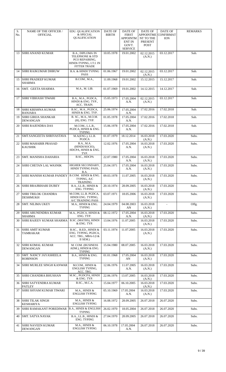| S.<br>No. | NAME OF THE OFFICER /<br><b>OFFICIAL</b>        | <b>EDU. QUALIFICATION</b><br>& SPECIAL<br><b>QUALIFICATION</b>                                                 | DATE OF<br><b>BIRTH</b> | DATE OF<br><b>FIRST</b><br>APPOINTM<br><b>ENT IN</b><br>GOVT.<br><b>SERVICE</b> | DATE OF<br><b>APPOINTME</b><br>NT TO THE<br>PRESENT<br><b>POST</b> | DATE OF<br><b>CONFIRMAT</b><br><b>ION</b> | <b>REMARKS</b> |
|-----------|-------------------------------------------------|----------------------------------------------------------------------------------------------------------------|-------------------------|---------------------------------------------------------------------------------|--------------------------------------------------------------------|-------------------------------------------|----------------|
| 13        | SHRI ANAND KUMAR                                | <b>B.A., DIPLOMA IN</b><br>TELEPHONE & STD<br>PCO REPAIRING,<br>HINDI-TYPING, I.T.I. IN<br><b>FITTER TRADE</b> | 10.05.1978              | 19.01.2002                                                                      | 02.12.2015<br>(A.N.)                                               | 03.12.2017                                | Sub.           |
| 14        | <b>SHRI RAJKUMAR DHRUW</b>                      | <b>B.A. &amp; HINDI TYPING</b><br><b>PASS</b>                                                                  | 01.06.1967              | 19.01.2002                                                                      | 02.12.2015<br>(A.N.)                                               | 03.12.2017                                | Sub.           |
| 15        | <b>SHRI PRADEEP KUMAR</b><br>SHARMA             | B.COM., M.A.,                                                                                                  | 11.09.1968              | 19.01.2002                                                                      | 15.12.2015                                                         | 15.12.2017                                | Sub.           |
| 16        | SMT. GEETA SHARMA                               | M.A., M. LIB.                                                                                                  | 01.07.1969              | 19.01.2002                                                                      | 14.12.2015                                                         | 14.12.2017                                | Sub.           |
| 17        | <b>SHRI VIBHASH TIWARI</b>                      | B.A., M.A., PGDCA,<br>HINDI & ENG. TYP.,<br>ACC. TRAIN.                                                        | 15.05.1973              | 17.05.2004<br>A.N.                                                              | 02.12.2015<br>(A.N.)                                               | 03.12.2017                                | Sub.           |
| 18        | SHRI KRISHNA KUMAR<br><b>BANJARA</b>            | B.SC., M.A., PGDCA,<br>HINDI & ENG. TYP.                                                                       | 25.06.1974              | 17.05.2004<br>A.N.                                                              | 17.02.2016                                                         | 17.02.2018                                | Sub.           |
| 19        | <b>SHRI GIRIJA SHANKAR</b><br><b>DEWANGAN</b>   | B. SC., M.A., M.O.M.<br>(H), ENG. TYP.                                                                         | 01.05.1978              | 17.05.2004<br>A.N.                                                              | 17.02.2016                                                         | 17.02.2018                                | Sub.           |
| 20        | <b>SHRI RAJENDRA DAS</b>                        | M.COM., L.L.B.,<br>PGDCA, HINDI & ENG.<br><b>TYPING</b>                                                        | 15.06.1978              | 17.05.2004<br>A.N.                                                              | 17.02.2016                                                         | 17.02.2018                                | Sub.           |
| 21        | SMT.SANGEETA SHRIVASTAVA                        | M.A(ENG.), LL.B.<br><b>PGDCA</b>                                                                               | 01.07.1979              | 18.12.2014                                                                      | 16.03.2018<br>(A.N.)                                               | 17.03.2020                                | Subs.          |
| 22        | <b>SHRI MAHABIR PRASAD</b><br><b>KAUSHIK</b>    | B.A., M.A.<br>(HINDI/SOCIO),<br>HDCPA, HINDI & ENG.<br>TYP.                                                    | 12.02.1976              | 17.05.2004<br>A.N.                                                              | 16.03.2018<br>(A.N.)                                               | 17.03.2020                                | Subs.          |
| 23        | SMT. MANISHA DAHARIA                            | B.SC., HDCPA                                                                                                   | 22.07.1980              | 17.05.2004<br>A.N.                                                              | 16.03.2018<br>(A.N.)                                               | 17.03.2020                                | Subs.          |
| 24        | <b>SHRI CHETAN LAL WASNIK</b>                   | HIGHER SECONDARY,<br>HINDI TYPING PASS,<br>B.A.                                                                | 25.04.1971              | 17.05.2004<br>A.N.                                                              | 16.03.2018<br>(A.N.)                                               | 17.03.2020                                | Subs.          |
| 25        | <b>SHRI MANISH KUMAR PANDEY</b>                 | B.COM. HINDI & ENG.<br>TYPING, A/C<br><b>TRAINING</b>                                                          | 09.03.1978              | 11.07.2005                                                                      | 16.03.2018<br>(A.N.)                                               | 17.03.2020                                | Subs.          |
| 26        | <b>SHRI BRAJBIHARI DUBEY</b>                    | B.A., LL.B., HINDI &<br><b>ENG. TYPING</b>                                                                     | 20.10.1974              | 28.09.2005                                                                      | 16.03.2018<br>(A.N.)                                               | 17.03.2020                                | Subs.          |
|           | 27 SHRI TRILOK CHANDRA<br><b>DESHMUKH</b>       | M.COM, LL.B. PGDCA,<br>HINDI ENG. TYPING,<br>A/C TRAINING PASS                                                 | 03.07.1971              | 18.05.2006                                                                      | 16.03.2018<br>(A.N.)                                               | 17.03.2020                                | Subs.          |
| 28        | <b>SMT. NILIMA UKEY</b>                         | M.A., HINDI & ENG.<br><b>TYPING</b>                                                                            | 24.04.1979              | 04.08.2003<br>AN                                                                | 16.03.2018<br>(A.N.)                                               | $\blacksquare$                            | Offg.          |
| 29        | <b>SHRI ARUNENDRA KUMAR</b><br><b>SHARMA</b>    | M.A., PGDCA, HINDI &<br>ENG. TYP.                                                                              | 08.12.1972              | 17.05.2004<br>A.N.                                                              | 16.03.2018<br>(A.N.)                                               | 17.03.2020                                | Subs.          |
| 30        | <b>SHRI RAJEEV KUMAR SHARMA</b>                 | B.SC. (MATHS), HINDI<br>& ENG. TYP.                                                                            | 13.04.1976              | 11.07.2005                                                                      | 16.03.2018<br>(A.N.)                                               | 17.03.2020                                | Subs.          |
| 31        | SHRI AMIT KUMAR<br>TAMRAKAR                     | B.SC., B.ED., HINDI &<br>ENG. TYPING, PGDCA,<br>ACC. TRG., MBA-I (I &<br>II SEM.)                              | 03.11.1974              | 11.07.2005                                                                      | 16.03.2018<br>(A.N.)                                               | 17.03.2020                                | Subs.          |
| 32        | <b>SHRI KOMAL KUMAR</b><br><b>DEWANGAN</b>      | M. COM. (BUSINESS<br>ADM.), HINDI & ENG.<br><b>TYPING</b>                                                      | 15.04.1980              | 08.07.2005                                                                      | 16.03.2018<br>(A.N.)                                               | 17.03.2020                                | Subs.          |
| 33        | <b>SMT. NANCY JAYASHEELA</b><br><b>ROBINSON</b> | B.A., HINDI & ENG.<br><b>TYPING</b>                                                                            | 01.01.1968              | 17.05.2004<br>AN                                                                | 16.03.2018<br>(A.N.)                                               | 17.03.2020                                | Subs.          |
| 34        | <b>SHRI MURLEE SINGH KANWAR</b>                 | M.COM., HINDI &<br>ENGLISH TYPING,<br>ACC. TRG.                                                                | 12.06.1976              | 11.07.2005<br>A.N.                                                              | 16.03.2018<br>(A.N.)                                               | 17.03.2020                                | Subs.          |
| 35        | <b>SHRI CHANDRA BHUSHAN</b>                     | M.SC., PGDCPA, HINDI<br>& ENG. TYP.                                                                            | 22.06.1976              | 13.07.2005                                                                      | 16.03.2018<br>(A.N.)                                               | 17.03.2020                                | Subs.          |
| 36        | <b>SHRI SATYENDRA KUMAR</b><br><b>PATLEY</b>    | B.SC., M.C.A.                                                                                                  | 15.04.1977              | 06.10.2005                                                                      | 16.03.2018<br>(A.N.)                                               | 17.03.2020                                | Subs.          |
| 37        | <b>SHRI SHYAM KUMAR TIWARI</b>                  | M.A., HINDI &<br><b>ENGLISH TYPING</b>                                                                         | 05.10.1969              | 17.05.2004<br>A.N.                                                              | 16.03.2018<br>(A.N.)                                               | 17.03.2020                                | Subs.          |
| 38        | SHRI TILAK SINGH<br><b>KESHARIYA</b>            | M.A., HINDI &<br><b>ENGLISH TYPING</b>                                                                         | 16.08.1972              | 28.09.2005                                                                      | 26.07.2018                                                         | 26.07.2020                                | Subs.          |
| 39        | <b>SHRI RAMAKANT POREDIWAR</b>                  | <b>B.A., HINDI &amp; ENGLISH</b><br><b>TYPING</b>                                                              | 26.02.1970              | 18.05.2004                                                                      | 26.07.2018                                                         | 26.07.2020                                | Subs.          |
| 40        | <b>SMT. SATYA NAYAK</b>                         | B.A., LL.B., HINDI &<br>ENG. TYPING                                                                            | 27.04.1970              | 28.09.2005                                                                      | 26.07.2018                                                         | 26.07.2020                                | Subs.          |
| 41        | <b>SHRI NAVEEN KUMAR</b><br><b>DEWANGAN</b>     | M.A., HINDI &<br><b>ENGLISH TYPING</b>                                                                         | 06.10.1978              | 17.05.2004<br>A.N.                                                              | 26.07.2018                                                         | 26.07.2020                                | Subs.          |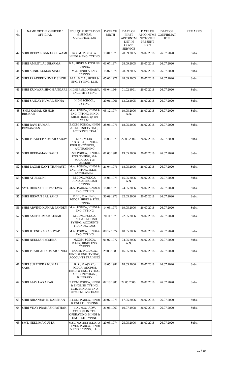| S.<br>No. | <b>NAME OF THE OFFICER /</b><br><b>OFFICIAL</b> | <b>EDU. QUALIFICATION</b><br>& SPECIAL<br>QUALIFICATION                                         | DATE OF<br><b>BIRTH</b> | <b>DATE OF</b><br><b>FIRST</b><br>APPOINTM<br>ENT IN<br>GOVT.<br><b>SERVICE</b> | <b>DATE OF</b><br>APPOINTME<br>NT TO THE<br><b>PRESENT</b><br><b>POST</b> | DATE OF<br><b>CONFIRMAT</b><br><b>ION</b> | <b>REMARKS</b> |
|-----------|-------------------------------------------------|-------------------------------------------------------------------------------------------------|-------------------------|---------------------------------------------------------------------------------|---------------------------------------------------------------------------|-------------------------------------------|----------------|
| 42        | SHRI DEEPAK BAN GOSHWAMI                        | B.COM., P.G.D.C.A.,<br>HINDI & ENG. TYPING                                                      | 13.01.1978              | 28.09.2005                                                                      | 26.07.2018                                                                | 26.07.2020                                | Subs.          |
| 43        | SHRI AMRIT LAL SHARMA                           | B.A., HINDI & ENGLISH<br><b>TYPING</b>                                                          | 01.07.1974              | 28.09.2005                                                                      | 26.07.2018                                                                | 26.07.2020                                | Subs.          |
| 44        | <b>SHRI SUNIL KUMAR SINGH</b>                   | M.A. HINDI & ENG.<br><b>TYPING</b>                                                              | 15.07.1976              | 28.09.2005                                                                      | 26.07.2018                                                                | 26.07.2020                                | Subs.          |
| 45        | SHRI PRADEEP KUMAR SINGH                        | M.A., D.C.A., HINDI &<br>ENG. TYPING, LL.B.                                                     | 05.06.1971              | 28.09.2005                                                                      | 26.07.2018                                                                | 26.07.2020                                | Subs.          |
| 46        | SHRI KUNWAR SINGH ANGARE                        | HIGHER SECONDARY,<br><b>ENGLISH TYPING</b>                                                      | 06.04.1964              | 01.02.1991                                                                      | 26.07.2018                                                                | 26.07.2020                                | Subs.          |
| 47        | SHRI SANJAY KUMAR SINHA                         | HIGH SCHOOL,<br>TYPING.                                                                         | 20.01.1966              | 13.02.1995                                                                      | 26.07.2018                                                                | 26.07.2020                                | Subs.          |
| 48        | <b>SHRI KAMAL KISHOR</b><br><b>BROKAR</b>       | M.A., PGDCA, HINDI &<br>ENG. TYPING, HINDI<br>SHORTHAND $@100$<br>W.P.M.                        | 05.12.1974              | 19.05.2006<br>A.N.                                                              | 26.07.2018                                                                | 26.07.2020                                | Subs.          |
| 49        | <b>SHRI RAVI KUMAR</b><br>DEWANGAN              | B.COM, PGDCA, HINDI<br>& ENGLISH TYPING,<br><b>ACCOUNTS TRAI.</b>                               | 28.06.1976              | 18.05.2006                                                                      | 26.07.2018                                                                | 26.07.2020                                | Subs.          |
| 50        | <b>SHRI PRADEEP KUMAR YADAV</b>                 | M.A., M.LIB.,<br>P.G.D.C.A., HINDI &<br><b>ENGLISH TYPING,</b><br>A/C TRAINING                  | 15.03.1975              | 22.05.2006                                                                      | 26.07.2018                                                                | 26.07.2020                                | Subs.          |
| 51        | <b>SHRI HEERAMANI SAHU</b>                      | B.SC, PGDCA, HINDI &<br>ENG. TYPING, MA-<br>SOCIOLOGY &<br><b>SANSKRIT</b>                      | 01.03.1981              | 19.05.2006                                                                      | 26.07.2018                                                                | 26.07.2020                                | Subs.          |
| 52        | <b>SHRI LAXMI KANT THAWAYIT</b>                 | M.A., PGDCA, HINDI &<br>ENG. TYPING, B.LIB.<br><b>A/C TRAINING</b>                              | 21.04.1976              | 18.05.2006                                                                      | 26.07.2018                                                                | 26.07.2020                                | Subs.          |
| 53        | <b>SHRI ATUL SONI</b>                           | M.COM., PGDCA,<br><b>HINDI &amp; ENGLISH</b><br><b>TYPING</b>                                   | 14.06.1978              | 15.05.2006<br>A.N.                                                              | 26.07.2018                                                                | 26.07.2020                                | Subs.          |
| 54        | <b>SMT. DHIRAJ SHRIVASTAVA</b>                  | M.A., PGDCA, HINDI &<br>ENG. TYPING                                                             | 15.04.1973              | 24.05.2006                                                                      | 26.07.2018                                                                | 26.07.2020                                | Subs.          |
| 55        | SHRI JEEWAN LAL SAHU                            | B.SC., M.A. ENG.,<br>PGDCA, HINDI & ENG.<br><b>TYPING</b>                                       | 30.09.1973              | 22.05.2006                                                                      | 26.07.2018                                                                | 26.07.2020                                | Subs.          |
| 56        | SHRI ARVIND KUMAR PANDEY                        | M.A., PGDCA, HINDI &<br>ENG. TYPING                                                             | 14.05.1979              | 19.05.2006                                                                      | 26.07.2018                                                                | 26.07.2020                                | Subs.          |
| 57        | SHRI AMIT KUMAR KURMI                           | M.COM., PGDCA,<br><b>HINDI &amp; ENGLISH</b><br>TYPING, ACCOUNTS<br><b>TRAINING PASS</b>        | 20.11.1979              | 22.05.2006                                                                      | 26.07.2018                                                                | 26.07.2020                                | Subs.          |
| 58        | SHRI JITENDRA KASHYAP                           | M.A., PGDCA, HINDI &<br>ENG. TYPING                                                             | 08.12.1974              | 18.05.2006                                                                      | 26.07.2018                                                                | 26.07.2020                                | Subs.          |
| 59        | SHRI NEELESH MISHRA                             | M.COM, PGDCA,<br>M.LIB., HINDI ENG.<br><b>TYPING</b>                                            | 01.07.1977              | 24.05.2006<br>A.N.                                                              | 26.07.2018                                                                | 26.07.2020                                | Subs.          |
| 60        | SHRI PRAHLAD KUMAR SINHA                        | B.COM., P.G.D.C.A.,<br>HINDI & ENG. TYPING,<br><b>ACCOUNTS TRAINING</b>                         | 29.03.1983              | 16.05.2006                                                                      | 26.07.2018                                                                | 26.07.2020                                | Subs.          |
| 61        | <b>SHRI SURENDRA KUMAR</b><br>SAHU              | B.SC, M.A(SOC.)<br>PGDCA, ADCPSM,<br>HINDI & ENG. TYPING,<br>ACCOUNT TRAN.,<br><b>B.LIBRARY</b> | 18.05.1982              | 18.05.2006                                                                      | 26.07.2018                                                                | 26.07.2020                                | Subs.          |
| 62        | <b>SHRI AJAY LAXAKAR</b>                        | B.COM, PGDCA, HINDI<br>& ENGLISH TYPING,<br>LL.B., HINDI STENO.<br>100 W.P.M., A/C TRAIN.       | 02.10.1980              | 22.05.2006                                                                      | 26.07.2018                                                                | 26.07.2020                                | Subs.          |
| 63        | SHRI NIRANJAN R. DARSHAN                        | B.COM, PGDCA, HINDI<br>& ENGLISH TYPING                                                         | 30.07.1978              | 17.05.2006                                                                      | 26.07.2018                                                                | 26.07.2020                                | Subs.          |
| 64        | SHRI VIJAY PRAKASH PATHAK                       | B.A., M.A., ADV.<br>COURSE IN TEL.<br>OPERATING, HINDI &<br><b>ENGLISH TYPING</b>               | 21.06.1969              | 10.07.1998                                                                      | 26.07.2018                                                                | 26.07.2020                                | Subs.          |
| 65        | <b>SMT. NEELIMA GUPTA</b>                       | M.SC(MATHS), B.ED, 'O'<br>LEVEL, PGDCA, HINDI<br>& ENG. TYPING, L.L.B                           | 20.03.1974              | 25.05.2006                                                                      | 26.07.2018                                                                | 26.07.2020                                | Subs.          |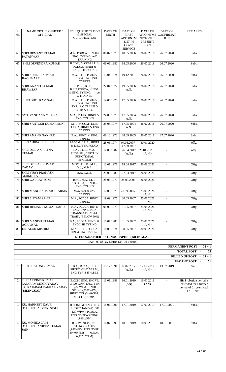| S.<br>No.      | <b>NAME OF THE OFFICER /</b><br><b>OFFICIAL</b>                                     | EDU. QUALIFICATION<br>& SPECIAL<br>QUALIFICATION                                                                    | DATE OF<br><b>BIRTH</b> | DATE OF<br><b>FIRST</b><br>APPOINTM<br><b>ENT IN</b><br>GOVT.<br><b>SERVICE</b> | <b>DATE OF</b><br>APPOINTME<br>NT TO THE<br><b>PRESENT</b><br><b>POST</b> | DATE OF<br>CONFIRMAT<br><b>ION</b> | <b>REMARKS</b>                                                                               |
|----------------|-------------------------------------------------------------------------------------|---------------------------------------------------------------------------------------------------------------------|-------------------------|---------------------------------------------------------------------------------|---------------------------------------------------------------------------|------------------------------------|----------------------------------------------------------------------------------------------|
| 66             | <b>SHRI HEMANT KUMAR</b><br><b>PATANWAR</b>                                         | M.A., PGDCA, HINDI &<br>ENG. TYPING, A/C<br><b>TRAINING</b>                                                         | 06.07.1978              | 18.05.2006                                                                      | 26.07.2018                                                                | 26.07.2020                         | Subs.                                                                                        |
| 67             | <b>SHRI DEVENDRA KUMAR</b>                                                          | B.COM, M.COM, LL.B,<br>PGDCA, HINDI &<br><b>ENGLISH TYPING</b>                                                      | 06.06.1980              | 18.05.2006                                                                      | 26.07.2018                                                                | 26.07.2020                         | Subs.                                                                                        |
| 68             | SHRI SURESH KUMAR<br><b>BAGHMARE</b>                                                | M.A., LL.B, PGDCA,<br><b>HINDI &amp; ENGLISH</b><br><b>TYPING</b>                                                   | 13.04.1974              | 19.12.2001                                                                      | 26.07.2018                                                                | 26.07.2020                         | Subs.                                                                                        |
| 69             | <b>SHRI ANAND KUMAR</b><br><b>BHAWSAR</b>                                           | B.SC, B.ED,<br>B.LIB, PGDCA, HINDI<br>& ENG. TYPING,<br>A/<br><b>C TRAINED</b>                                      | 22.04.1977              | 19.05.2006<br>A.N.                                                              | 26.07.2018                                                                | 26.07.2020                         | Subs.                                                                                        |
| 70             | SHRI BHOJ RAM SAHU                                                                  | M.A., LL.B, PGDCA,<br>HINDI & ENGLISH<br>TYP., A/C TRAINED<br><b>B.LIB &amp; I.S.C.</b>                             | 14.06.1976              | 17.05.2006                                                                      | 26.07.2018                                                                | 26.07.2020                         | Subs.                                                                                        |
| 71             | <b>SMT. VANDANA MISHRA</b>                                                          | M.A., M.LIB., HINDI &<br>ENG. TYPING                                                                                | 24.09.1970              | 17.05.2004<br>A.N.                                                              | 26.07.2018                                                                | 26.07.2020                         | Subs.                                                                                        |
| 72             | SHRI SANTOSH KUMAR SONI                                                             | M.A., M.COM., LL.B.<br>PGDCA, HINDI & ENG.<br><b>TYPING</b>                                                         | 25.05.1974              | 17.05.2004<br>A.N.                                                              | 26.07.2018                                                                | 26.07.2020                         | Subs.                                                                                        |
| 73             | <b>SHRI ANAND NAKHRE</b>                                                            | B.A., HINDI & ENG.<br><b>TYPING</b>                                                                                 | 08.10.1973              | 28.09.2005                                                                      | 26.07.2018                                                                | 27.07.2020                         | Subs.                                                                                        |
| 74             | <b>SHRI ADIRAJU SURESH</b>                                                          | M.COM., LL.B., HINDI<br>& ENG. TYP, PGDCA                                                                           | 28.06.1974              | 04.05.2007<br>17.09.2007                                                        | 30.01.2020                                                                | $\sim$                             | offg.                                                                                        |
| 75             | <b>SHRI DEEPAK RATNA</b><br>KUMAR                                                   | B.A., L.L.B., M.A. -<br>ENGLISH, CERTI. IN<br><b>FUNCTIONAL</b><br><b>ENGLISH</b>                                   | 12.05.1987              | 26.04.2017<br>(A.N.)                                                            | 29.01.2020<br>(A.N.)                                                      |                                    | offg.                                                                                        |
| 76             | <b>SHRI DEEPAK KUMAR</b><br>YADAV                                                   | M.SC., L.L.B., M.A.,<br>M.J., M.B.A.                                                                                | 13.01.1971              | 19.04.2017                                                                      | 26.08.2021                                                                | $\Delta$                           | Offg.                                                                                        |
| 77             | <b>SHRI VIJAY PRAKASH</b><br><b>KERKETTA</b>                                        | B.A., L.L.B.                                                                                                        | 25.05.1986              | 27.04.2017                                                                      | 26.08.2021                                                                | $\blacksquare$                     | Offg.                                                                                        |
| 78             | <b>SHRI GAURAV SONI</b>                                                             | B.SC., M.A., LL.B.<br>P.G.D.C.A, HINDI &<br><b>ENG. TYPING</b>                                                      | 28.03.1979              | 28.09.2005                                                                      | 26.08.2021                                                                | $\Delta$                           | Offg.                                                                                        |
| 79             | SHRI MANOJ KUMAR SHARMA                                                             | M.A, HIN & ENG<br>TYPING                                                                                            | 12.05.1975              | 28.09.2005                                                                      | 25.08.2021<br>(A.N.)                                                      |                                    | Offg.                                                                                        |
| 80             | <b>SHRI SHYAM SAHU</b>                                                              | M.A., PGDCA, HINDI<br><b>TYPING</b>                                                                                 | 19.09.1975              | 30.05.2007                                                                      | 25.08.2021<br>(A.N.)                                                      |                                    | Offg.                                                                                        |
| 81             | SHRI HEMANT KUMAR SAHU                                                              | M.A., PGDCA, HIN &<br>ENG. TYP. DIP. IN<br>TRANSLATION, A/C<br>TRAIN. (BELOW 60%)                                   | 01.09.1975              | 31.05.2007                                                                      | 25.08.2021<br>(A.N.)                                                      |                                    | Offg.                                                                                        |
| 82             | <b>SHRI MANISH KUMAR</b><br><b>AGRAWAL</b>                                          | B.A., PGDCA, HINDI &<br><b>ENGLISH TYPING</b>                                                                       | 15.07.1980              | 31.05.2007                                                                      | 25.08.2021<br>(A.N.)                                                      | $\blacksquare$                     | Offg.                                                                                        |
| 83             | DR. ALOK MISHRA                                                                     | M.A., PH.D., PGDCA,<br>HIN. & ENG. TYPING                                                                           | 18.08.1974              | 28.05.2007                                                                      | 30.09.2021                                                                |                                    | Offg.                                                                                        |
|                |                                                                                     | STENOGRAPHER + STENOGRAPHER(BILINGUAL)                                                                              |                         | Level- 09 of Pay Matrix (38100-120400)                                          |                                                                           |                                    |                                                                                              |
|                |                                                                                     |                                                                                                                     |                         |                                                                                 |                                                                           |                                    | PERMANENT POST - 74 + 1                                                                      |
|                |                                                                                     |                                                                                                                     |                         |                                                                                 |                                                                           |                                    | TOTAL POST -<br>75                                                                           |
|                |                                                                                     |                                                                                                                     |                         |                                                                                 |                                                                           |                                    | FILLED UP POST - 23 + 1<br>VACANT POST -<br>51                                               |
| 1              | SRHI SHAFQAT JAMAL                                                                  | B.A., D.C.A., ENG.<br>SHORT. @100 W.P.M.,<br>ENG TYP @45W.P.M.                                                      | 15.12.1991              | 12.07.2017<br>(A.N.)                                                            | 12.07.2017<br>(A.N.)                                                      | 13.07.2019                         | Sub.                                                                                         |
| $\overline{2}$ | SHRI ARVIND KUMAR<br>RAJARAM SINGH YADAV<br>S/O RAJARAM RAMPAL YADAV<br>(BILINGUAL) | B.COM, ENG. SHORT.<br>@120 WPM, ENG. TYP.<br>@50WPM, HINDI<br>STENO @100WPM,<br>HINDI TYP.@40WPM,<br>MS-CIT (COMP.) | 13.01.1989              | 16.01.2019<br>(AN)                                                              | 16.01.2019<br>(AN)                                                        | $\sim$                             | His Probation period is<br>extended for a further<br>period of 01 year w.e.f.<br>17.01.2021. |
| 3              | KU. HARNEET KAUR,<br>D/O SHRI SARVRAJ SINGH                                         | B.COM, M.O.M (ENG.<br>SHORTHAND @100/<br>120 WPM), PGDCA,<br>ENG. TYPEWRITING<br>@40WPM                             | 18.06.1996              | 17.01.2019                                                                      | 17.01.2019                                                                | 17.01.2021                         | Subs.                                                                                        |
| $\overline{4}$ | KU. MONIKA JAIN<br>D/O SHRI SANJEEV KUMAR<br>JAIN                                   | B.COM, NIOS(ENG.<br><b>STENOGRAPHY</b><br>@80WPM, ENG. TYPE.<br>@40WPM),<br>M.O.M.<br>$(Q120 \text{ WPM})$          | 16.07.1996              | 18.01.2019                                                                      | 18.01.2019                                                                | 18.01.2021                         | Subs.                                                                                        |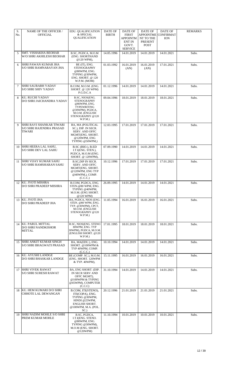| S.<br>No. | <b>NAME OF THE OFFICER /</b><br><b>OFFICIAL</b>                | EDU. QUALIFICATION<br>& SPECIAL<br>QUALIFICATION                                                                                            | <b>DATE OF</b><br><b>BIRTH</b> | <b>DATE OF</b><br><b>FIRST</b><br>APPOINTM<br><b>ENT IN</b><br>GOVT.<br><b>SERVICE</b> | DATE OF<br>APPOINTME<br>NT TO THE<br><b>PRESENT</b><br><b>POST</b> | DATE OF<br>CONFIRMAT<br><b>ION</b> | <b>REMARKS</b> |
|-----------|----------------------------------------------------------------|---------------------------------------------------------------------------------------------------------------------------------------------|--------------------------------|----------------------------------------------------------------------------------------|--------------------------------------------------------------------|------------------------------------|----------------|
| 5         | SMT. VISHAKHA BEOHAR<br>W/O SHRI AKHILESH BEOHAR               | B.SC, PGDCA, M.O.M<br>(ENG. SHORTHAND<br>@120 WPM),                                                                                         | 14.05.1996                     | 14.01.2019                                                                             | 14.01.2019                                                         | 14.01.2021                         | Subs.          |
| 6         | SHRI PAWAN KUMAR JHA<br>S/O SHRI RAMNARAYAN JHA                | BE (IT), ENG.<br><b>STENOGRAPHY</b><br>@80WPM, ENG.<br>TYPING @30WPM,<br>ENG. SHORT. @ 120<br>W.P.M. (MOM)                                  | 01.03.1992                     | 16.01.2019<br>(AN)                                                                     | 16.01.2019<br>(AN)                                                 | 17.01.2021                         | Subs.          |
| 7         | <b>SHRI SAURABH YADAV</b><br>S/O SHRI SHIV YADAV               | B.COM, M.O.M. (ENG.<br>SHORT. @ 120 WPM)<br>P.G.D.C.A                                                                                       | 01.12.1996                     | 14.01.2019                                                                             | 14.01.2019                                                         | 14.01.2021                         | Subs.          |
| 8         | KU. RUCHI YADAV<br>D/O SHRI JAICHANDRA YADAV                   | B.SC, NIOS(ENG.<br><b>STENOGRAPHY</b><br>@80WPM, ENG.<br>TYPEWRITING<br>$@30WPM$ ), PGDCA,<br>M.O.M. (ENGLISH<br>STENOGRAPHY @120<br>W.P.M. | 09.04.1996                     | 18.01.2019                                                                             | 18.01.2019                                                         | 18.01.2021                         | Subs.          |
| 9         | SHRI RAVI SHANKAR TIWARI<br>S/O SHRI RAJENDRA PRASAD<br>TIWARI | BA, MA (POLITICAL<br>SC.), DIP. IN SECR.<br><b>SERV. AND OFFC</b><br>MGMT(ENG. SHORT.<br>$@120$ WPM, ENG<br>TYPING @50WPM,)                 | 12.03.1995                     | 17.01.2019                                                                             | 17.01.2019                                                         | 17.01.2021                         | Subs.          |
| 10        | SHRI HEERA LAL SAHU,<br>S/O SHRI DEV LAL SAHU                  | B.SC (BIO.), B.ED<br>I.T.I(ENG. STEN.),<br>PGDCA, M.O.M (ENG.<br>SHORT. @ 120WPM),                                                          | 07.09.1990                     | 14.01.2019                                                                             | 14.01.2019                                                         | 14.01.2021                         | Subs.          |
| 11        | <b>SHRI VIJAY KUMAR SAHU</b><br>S/O SHRI RAMSHARAN SAHU        | <b>B.SC, DIP IN SECR.</b><br><b>SERV. AND OFFC</b><br>MGMT(ENG. SHORT.<br>@120WPM, ENG TYP<br>@40WPM,), COMP.<br>(C.C.C.)                   | 10.12.1996                     | 17.01.2019                                                                             | 17.01.2019                                                         | 17.01.2021                         | Subs.          |
|           | 12 KU. JYOTI MISHRA<br>D/O SHRI PRADEEP MISHRA                 | B.COM, PGDCA, ENG.<br>STEN.@80 WPM, ENG.<br>TYPING @40WPM,<br>M.O.M. (ENG SHORT.<br>@120 WPM)                                               | 26.09.1995                     | 14.01.2019                                                                             | 14.01.2019                                                         | 14.01.2021                         | Subs.          |
|           | 13 KU. JYOTI JHA<br>D/O SHRI PRADEEP JHA                       | BA, PGDCA, NIOS (ENG.<br>STEN. @80 WPM, ENG.<br>TYP. @30WPM), CPCT,<br>M.O.M. (ENGLISH<br>STENOGRAPHY @120<br>W.P.M.                        | 11.05.1994                     | 16.01.2019                                                                             | 16.01.2019                                                         | 16.01.2021                         | Subs.          |
| 14        | KU. PARUL MITTAL<br>D/O SHRI NANDKISHOR<br>MITTAL              | B.SC, NIOS(ENG. STENO<br>80WPM, ENG. TYP<br>30WPM), PGDCA, M.O.M.<br>(ENGLISH SHORT. @120<br>W.P.M.                                         | 17.01.1995                     | 18.01.2019                                                                             | 18.01.2019                                                         | 18.01.2021                         | Subs.          |
| 15        | <b>SHRI ANKIT KUMAR SINGH</b><br>S/O SHRI BHAGWATI PRASAD      | BA, MA(EDU.), ENG.<br>SHORT. @100WPM &<br>TYP 40WPM, COMP.<br>(C.C.C.)                                                                      | 10.10.1994                     | 14.01.2019                                                                             | 14.01.2019                                                         | 14.01.2021                         | Subs.          |
| 16        | KU. AYUSHI LANDGE<br>D/O SHRI BHASKAR LANDGE                   | BE (COMP. SC.), M.O.M.<br>(ENG. SHORT, 120WPM<br>& TYP. 40WPM),                                                                             | 15.11.1995                     | 16.01.2019                                                                             | 16.01.2019                                                         | 16.01.2021                         | Subs.          |
|           | 17 SHRI VIVEK RAWAT<br>S/O SHRI SURESH RAWAT                   | BA, ENG SHORT. (DIP.<br>IN SECR SERV AND<br>OFFC MGMT),<br>@100WPM & TYPING<br>@45WPM), COMPUTER<br>(C.C.C)                                 | 31.10.1994                     | 14.01.2019                                                                             | 14.01.2019                                                         | 14.01.2021                         | Subs.          |
| 18        | KU. HEM KUMARI D/O SHRI<br>CHHOTE LAL DEWANGAN                 | B.COM, ITI(STENO),<br>ITI(COPA), ENG.<br>TYPING @30WPM,<br>HINDI @25WPM,<br><b>ENGLISH SHORT.</b><br>@100WPM, M.A. (POL.<br>SC.)            | 20.12.1996                     | 21.01.2019                                                                             | 21.01.2019                                                         | 21.01.2021                         | Subs.          |
| 19        | SHRI NADIM MOHLE S/O SHRI<br>PREM KUMAR MOHLE                  | B.SC, PGDCA,<br>I.T.I(ENG. STENO.<br>@80WPM, ENG.<br>TYPING @30WPM),<br>M.O.M (ENG. SHORT.<br>$@120WPM$ )                                   | 11.10.1994                     | 10.01.2019                                                                             | 10.01.2019                                                         | 10.01.2021                         | Subs.          |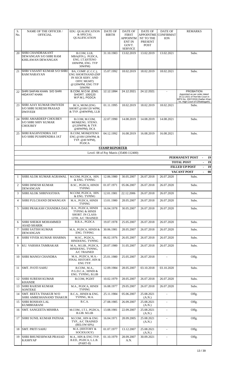| S.           | <b>NAME OF THE OFFICER /</b>                                               | EDU. QUALIFICATION                                                                                               | DATE OF               | <b>DATE OF</b>                                            | <b>DATE OF</b>                                          | DATE OF                        | <b>REMARKS</b>                                                                                                       |
|--------------|----------------------------------------------------------------------------|------------------------------------------------------------------------------------------------------------------|-----------------------|-----------------------------------------------------------|---------------------------------------------------------|--------------------------------|----------------------------------------------------------------------------------------------------------------------|
| No.          | <b>OFFICIAL</b>                                                            | & SPECIAL<br>QUALIFICATION                                                                                       | <b>BIRTH</b>          | <b>FIRST</b><br><b>APPOINTM</b><br><b>ENT IN</b><br>GOVT. | <b>APPOINTME</b><br>NT TO THE<br>PRESENT<br><b>POST</b> | <b>CONFIRMAT</b><br><b>ION</b> |                                                                                                                      |
|              |                                                                            |                                                                                                                  |                       | <b>SERVICE</b>                                            |                                                         |                                |                                                                                                                      |
| 20           | <b>SHRI CHANDRAKANT</b><br>DEWANGAN S/O SHRI RAM<br>KHILAWAN DEWANGAN      | B.COM, LLB,<br>MBA(FIN.), PGDCA,<br>ENG. I.T.I(STENO<br>100WPM, ENG. TYP<br>30WPM)                               | 31.10.1983            | 13.02.2019                                                | 13.02.2019                                              | 13.02.2021                     | Subs.                                                                                                                |
| 21           | <b>SHRI VASANT KUMAR S/O SHRI</b><br><b>RAM NARAYAN</b>                    | BA, COMP. (C.C.C.),<br><b>ENG SHORTHAND (DIP</b><br>IN SECR SERV. AND<br>OFFC MGMT)<br>@120WPM, ENG TYP<br>50WPM | 15.07.1992            | 18.02.2019                                                | 18.02.2019                                              | 18.02.2021                     | Subs.                                                                                                                |
| 22           | SHRI SAIFAN KHAN S/O SHRI<br>HIDAYAT KHAN                                  | B.COM, M.O.M. (ENG.<br>SHORT. 100/120<br>W.P.M.), PGDCA                                                          | 12.12.1994            | 24.12.2021                                                | 24.12.2021                                              | $\overline{\phantom{a}}$       | <b>PROBATION</b><br>Appointed as per order dated<br>20.12.2021 of Hon'ble Court in<br>WPS No. 2007/2019 (Saifan Khan |
| 23           | <b>SHRI AJAY KUMAR DWIVEDI</b><br>S/O SHRI SURESH PRASAD<br><b>DWIVEDI</b> | BCA, MOM (ENG.<br>SHORT.@100/120 WPM,<br>& TYP. @40WPM), LLB                                                     | 01.11.1995            | 18.02.2019                                                | 18.02.2019                                              | 18.02.2021                     | Vs. High Court of Chhattisgarh)<br>Subs.                                                                             |
| 24           | <b>SHRI AMARDEEP CHOUBEY</b><br>S/O SHRI SHIV KUMAR<br><b>CHOUBEY</b>      | B.COM, M.COM,<br>MOM(ENG. STENO.<br>@120WPM, & TYP.<br>$@40WPM$ ), DCA                                           | 22.07.1990            | 14.08.2019                                                | 14.08.2019                                              | 14.08.2021                     | Subs.                                                                                                                |
| 25           | <b>SHRI RAGHVENDRA JAT</b><br>S/O SHRI PUSHPENDRA JAT                      | B.COM, MOM(STENO<br>ENG @100/120WPM, &<br>TYP. @40 WPM),<br><b>PGDCA</b>                                         | 04.12.1992            | 16.08.2019                                                | 16.08.2019                                              | 16.08.2021                     | Subs.                                                                                                                |
|              |                                                                            |                                                                                                                  | <b>STAMP REPORTER</b> |                                                           |                                                         |                                |                                                                                                                      |
|              |                                                                            |                                                                                                                  |                       | Level- 08 of Pay Matrix (35400-112400)                    |                                                         |                                |                                                                                                                      |
|              |                                                                            |                                                                                                                  |                       |                                                           |                                                         |                                | PERMANENT POST<br>19                                                                                                 |
|              |                                                                            |                                                                                                                  |                       |                                                           |                                                         |                                | <b>TOTAL POST</b><br>19                                                                                              |
|              |                                                                            |                                                                                                                  |                       |                                                           |                                                         |                                | <b>FILLED UP POST</b><br>19<br>00 <sup>1</sup><br><b>VACANT POST</b>                                                 |
| $\mathbf{1}$ | SHRI ALOK KUMAR AGRAWAL                                                    | M.COM, PGDCA, HIN.<br>& ENG. TYPING                                                                              | 12.06.1980            | 30.05.2007                                                | 26.07.2018                                              | 26.07.2020                     | Subs.                                                                                                                |
| 2            | <b>SHRI DINESH KUMAR</b><br><b>DEWANGAN</b>                                | B.SC., PGDCA, HINDI<br><b>TYPING</b>                                                                             | 01.07.1971            | 05.06.2007                                                | 26.07.2018                                              | 26.07.2020                     | Subs.                                                                                                                |
| 3            | SHRI ALOK SHRIVASTAVA                                                      | M.COM, PGDCA, HIN.<br>& ENG. TYPING                                                                              | 12.01.1981            | 22.12.2006                                                | 26.07.2018                                              | 26.07.2020                     | Subs.                                                                                                                |
| 4            | SHRI FULCHAND DEWANGAN                                                     | M.A., PGDCA, HINDI<br><b>TYPING</b>                                                                              | 13.01.1980            | 28.05.2007                                                | 26.07.2018                                              | 26.07.2020                     | Subs.                                                                                                                |
| 5            | SHRI PRAKASH CHANDRA DAS                                                   | B.A., PGDCA, HINDI<br><b>TYPING &amp; HINDI</b><br>SHORT. IN CLASS-<br>12TH, A/C TRAINED                         | 16.04.1978            | 30.05.2007                                                | 26.07.2018                                              | 26.07.2020                     | Subs.                                                                                                                |
| 6            | <b>SHRI SHEIKH MOHAMMED</b><br><b>ASAD SHARIK</b>                          | B.B.A., PGDCA                                                                                                    | 19.07.1978            | 25.05.2007                                                | 26.07.2018                                              | 26.07.2020                     | Subs.                                                                                                                |
| 7            | SHRI SATISH KUMAR<br><b>DEWANGAN</b>                                       | M.A., PGDCA, HINDI &<br>ENG. TYPING                                                                              | 30.06.1981            | 28.05.2007                                                | 26.07.2018                                              | 26.07.2020                     | Subs.                                                                                                                |
| 8            | SHRI VIVEK KUMAR SHARMA                                                    | M.SC., PGDCA,<br>HINDI/ENG. TYPING                                                                               | 06.02.1976            | 26.05.2007                                                | 26.07.2018                                              | 26.07.2020                     | Subs.                                                                                                                |
| 9            | KU. VARSHA TAMRAKAR                                                        | M.A., M.LIB., PGDCA,<br>HINDI/ENG, TYPING,<br>A/C TRAINED                                                        | 20.07.1980            | 31.05.2007                                                | 26.07.2018                                              | 26.07.2020                     | Subs.                                                                                                                |
| 10           | SHRI MANOJ CHANDRA                                                         | M.A., PGDCA, M.A.-<br><b>FINAL HISTORY, HIN &amp;</b><br>ENG TYP.                                                | 25.01.1980            | 25.05.2007                                                | 26.07.2018                                              |                                | Offg.                                                                                                                |
| 11           | <b>SMT. JYOTI SAHU</b>                                                     | B.COM., M.A.,<br>P.G.D.C.A., HINDI &<br>ENG. TYPING, B.LIB                                                       | 12.09.1984            | 28.05.2007                                                | 03.10.2018                                              | 03.10.2020                     | Subs.                                                                                                                |
| 12           | SHRI SURESH KUMAR<br>KHANDE                                                | <b>B.COM, PGDIT</b>                                                                                              | 10.02.1979            | 28.05.2007                                                | 26.07.2018                                              | 26.07.2020                     | Subs.                                                                                                                |
| 13           | <b>SHRI RAJESH KUMAR</b><br><b>SONTEKE</b>                                 | M.A., PGDCA, HINDI<br><b>TYPING</b>                                                                              | 16.08.1977            | 29.05.2007                                                | 26.07.2018                                              | 26.07.2020                     | Subs.                                                                                                                |
|              | 14  SMT. REETA THAKUR W/O<br>SHRI AMRESHANAND THAKUR                       | B.C.A., HINDI & ENG.<br>TYPING, M.A.                                                                             | 25.11.1984            | 05.06.2007                                                | 25.08.2021<br>(A.N.)                                    | $\blacksquare$                 | Offg.                                                                                                                |
| 15           | <b>SHRI ROSHAN LAL</b><br>KUMBHARANI                                       | B.C.A.                                                                                                           | 27.08.1985            | 26.09.2007                                                | 25.08.2021<br>(A.N.)                                    | $\blacksquare$                 | Offg.                                                                                                                |
| 16           | <b>SMT. SANGEETA MISHRA</b>                                                | M.COM., I.T.I., PGDCA,<br>B.LIB. M.LIB                                                                           | 13.08.1981            | 22.09.2007                                                | 25.08.2021<br>(A.N.)                                    | $\blacksquare$                 | Offg.                                                                                                                |
| 17           | SHRI SUNIL KUMAR PATHAK                                                    | M.COM., HIN & ENG<br>TYP., A/C TRAINED<br>(BELOW 60%)                                                            | 16.04.1971            | 28.09.2005                                                | 25.08.2021<br>(A.N.)                                    |                                | Offg.                                                                                                                |
| 18           | <b>SMT. PRITI SAHU</b>                                                     | M.A. (HISTORY &<br>SOCIOLOGY)                                                                                    | 01.07.1977            | 13.12.2007                                                | 25.08.2021<br>(A.N.)                                    |                                | Offg.                                                                                                                |
| 19           | <b>SHRI BHUNESHWAR PRASAD</b><br><b>KASHYAP</b>                            | M.A., HIN & ENG TYP,<br>B.ED., PGDCA, L.L.B.<br>$(PART-II)$                                                      | 01.10.1979            | 28.09.2007<br>A.N.                                        | 30.09.2021                                              |                                | Offg.                                                                                                                |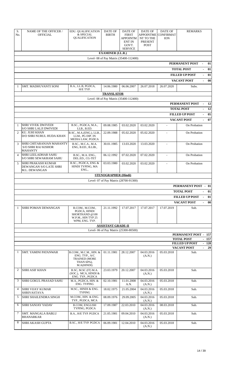| S.<br>No.      |                                                                          |                                                                                              |                             |                                                                                        |                                                                           |                                           |                                            |                        |
|----------------|--------------------------------------------------------------------------|----------------------------------------------------------------------------------------------|-----------------------------|----------------------------------------------------------------------------------------|---------------------------------------------------------------------------|-------------------------------------------|--------------------------------------------|------------------------|
|                | <b>NAME OF THE OFFICER /</b><br><b>OFFICIAL</b>                          | <b>EDU. QUALIFICATION</b><br>& SPECIAL<br><b>QUALIFICATION</b>                               | DATE OF<br><b>BIRTH</b>     | DATE OF<br><b>FIRST</b><br><b>APPOINTM</b><br><b>ENT IN</b><br>GOVT.<br><b>SERVICE</b> | <b>DATE OF</b><br><b>APPOINTME</b><br>NT TO THE<br>PRESENT<br><b>POST</b> | DATE OF<br><b>CONFIRMAT</b><br><b>ION</b> | <b>REMARKS</b>                             |                        |
|                |                                                                          |                                                                                              | <b>EXAMINER (I.L.R.)</b>    |                                                                                        |                                                                           |                                           |                                            |                        |
|                |                                                                          |                                                                                              |                             | Level- 08 of Pay Matrix (35400-112400)                                                 |                                                                           |                                           |                                            |                        |
|                |                                                                          |                                                                                              |                             |                                                                                        |                                                                           |                                           | PERMANENT POST                             | 01                     |
|                |                                                                          |                                                                                              |                             |                                                                                        |                                                                           |                                           | <b>TOTAL POST</b>                          | 01                     |
|                |                                                                          |                                                                                              |                             |                                                                                        |                                                                           |                                           | <b>FILLED UP POST</b>                      | 01                     |
|                |                                                                          |                                                                                              |                             |                                                                                        |                                                                           |                                           | <b>VACANT POST</b>                         | 00                     |
| $\mathbf{1}$   | SMT. MADHUVANTI SONI                                                     | B.A., LL.B, PGDCA,                                                                           | 14.06.1980                  | 06.06.2007                                                                             | 26.07.2018                                                                | 26.07.2020                                | Subs.                                      |                        |
|                |                                                                          | H/E TYP.                                                                                     | <b>TRANSLATOR</b>           |                                                                                        |                                                                           |                                           |                                            |                        |
|                |                                                                          |                                                                                              |                             | Level- 08 of Pay Matrix (35400-112400)                                                 |                                                                           |                                           |                                            |                        |
|                |                                                                          |                                                                                              |                             |                                                                                        |                                                                           |                                           | PERMANENT POST                             | 12                     |
|                |                                                                          |                                                                                              |                             |                                                                                        |                                                                           |                                           | <b>TOTAL POST</b>                          | - 12                   |
|                |                                                                          |                                                                                              |                             |                                                                                        |                                                                           |                                           | <b>FILLED UP POST</b>                      | 05                     |
|                |                                                                          |                                                                                              |                             |                                                                                        |                                                                           |                                           | <b>VACANT POST</b>                         | 07<br>$\sim$           |
| $\mathbf{1}$   | <b>SHRI VIVEK DWIVEDI</b>                                                | B.SC., PGDCA, M.A.,                                                                          | 09.08.1985                  | 03.02.2020                                                                             | 03.02.2020                                                                | $\blacksquare$                            | On Probation                               |                        |
|                | S/O SHRI LALJI DWIVEDI                                                   | LLB., B.ED.                                                                                  |                             |                                                                                        |                                                                           |                                           |                                            |                        |
| $\mathcal{P}$  | KU. JUHI KHAN<br>D/O SHRI NURUL HUDA KHAN                                | B.SC., M.A.(ENG.), LLB.,<br>LLM., PG DIP. IN<br>MEDIA LAW, PGDCA                             | 22.09.1988                  | 05.02.2020                                                                             | 05.02.2020                                                                | $\overline{\phantom{a}}$                  | On Probation                               |                        |
| 3              | SHRI CHITARANJAN MAHANTY<br><b>S/O SHRI RAJ KISHOR</b><br><b>MAHANTY</b> | B.SC., M.C.A., M.A.<br>ENG, B.ED., B.LIB.,                                                   | 30.01.1985                  | 13.03.2020                                                                             | 13.03.2020                                                                | $\blacksquare$                            | On Probation                               |                        |
| 4              | <b>SHRI LEELADHAR SAHU</b><br>S/O SHRI SEWAKRAM SAHU                     | B.SC., M.A. ENG.,<br>DEL.ED., CG-TET                                                         | 06.12.1992                  | 07.02.2020                                                                             | 07.02.2020                                                                | $\blacksquare$                            | On Probation                               |                        |
| 5              | <b>SHRI PRAKASH KUMAR</b><br>DEWANGAN S/O LATE SHRI<br>M.L. DEWANGAN     | B.SC., PGDCA, ENG &<br>HINDI TYPING, MA<br>ENG.,                                             | 03.03.1980                  | 03.02.2020                                                                             | 03.02.2020                                                                | $\bar{\phantom{a}}$                       | On Probation                               |                        |
|                |                                                                          |                                                                                              | <b>STENOGRAPHER (Hindi)</b> |                                                                                        |                                                                           |                                           |                                            |                        |
|                |                                                                          |                                                                                              |                             | Level- 07 of Pay Matrix (28700-91300)                                                  |                                                                           |                                           |                                            |                        |
|                |                                                                          |                                                                                              |                             |                                                                                        |                                                                           |                                           | <b>PERMANENT POST - 01</b>                 |                        |
|                |                                                                          |                                                                                              |                             |                                                                                        |                                                                           |                                           | <b>TOTAL POST</b>                          | 01                     |
|                |                                                                          |                                                                                              |                             |                                                                                        |                                                                           |                                           | <b>FILLED UP POST</b>                      | 01                     |
|                |                                                                          |                                                                                              |                             |                                                                                        |                                                                           |                                           | <b>VACANT POST</b>                         | 00                     |
| $\mathbf{1}$   | SHRI POMAN DEWANGAN                                                      | B.COM., M.COM.,<br>PGDCA, HINDI<br>SHORTHAND @100<br>W.P.M., HIN TYP 25<br>WPM, ENG. TYP.    | 21.11.1992                  | 17.07.2017                                                                             | 17.07.2017                                                                | 17.07.2019                                | Sub.                                       |                        |
|                |                                                                          |                                                                                              |                             |                                                                                        |                                                                           |                                           |                                            |                        |
|                |                                                                          |                                                                                              | <b>ASSISTANT GRADE-II</b>   |                                                                                        |                                                                           |                                           |                                            |                        |
|                |                                                                          |                                                                                              |                             | Level- 06 of Pay Matrix (25300-80500)                                                  |                                                                           |                                           |                                            |                        |
|                |                                                                          |                                                                                              |                             |                                                                                        |                                                                           |                                           | <b>PERMANENT POST - 157</b>                |                        |
|                |                                                                          |                                                                                              |                             |                                                                                        |                                                                           |                                           | <b>TOTAL POST</b><br><b>FILLED UP POST</b> |                        |
|                |                                                                          |                                                                                              |                             |                                                                                        |                                                                           |                                           | <b>VACANT POST</b>                         | $\sim$                 |
| 1              | <b>SMT. YAMINI PATANWAR</b>                                              | B.COM., M.C.M., HIN. &<br>ENG. TYP., A/C<br><b>TRAINED (MORE</b><br>THAN 60%),<br>M.A(HINDI) | 01.11.1981                  | 28.12.2007                                                                             | 04.03.2016<br>(A.N.)                                                      | 05.03.2018                                | Sub.                                       | $-157$<br>$-128$<br>29 |
| $\overline{2}$ | <b>SHRI ASIF KHAN</b>                                                    | B.SC, M.SC (IT) M.A.<br>(SOC.), MCA, HINDI &                                                 | 23.03.1979                  | 20.12.2007                                                                             | 04.03.2016<br>(A.N.)                                                      | 05.03.2018                                | Sub.                                       |                        |
| 3              | SHRI GOKUL PRASAD SAHU                                                   | ENG. TYP., PGDCA<br>M.A., PGDCA, HIN. &<br><b>ENG. TYPING</b>                                | 02.10.1981                  | 11.01.2008<br>A.N.                                                                     | 04.03.2016<br>(A.N.)                                                      | 05.03.2018                                | Sub.                                       |                        |
| 4              | <b>SHRI VIJAY KUMAR</b>                                                  | M.SC., HINDI & ENG.                                                                          | 18.02.1975                  | 21.05.2004                                                                             | 04.03.2016                                                                | 05.03.2018                                | Sub.                                       |                        |
| 5              | <b>SHRIVASTAVA</b><br>SHRI SHAILENDRA SINGH                              | <b>TYPING</b><br>M.COM., HIN. & ENG.<br>TYP., PGDCA, MCA                                     | 08.09.1976                  | 29.09.2005                                                                             | (A.N.)<br>04.03.2016<br>(A.N.)                                            | 05.03.2018                                | Sub.                                       |                        |
| 6              | <b>SHRI SANJAY YADAV</b>                                                 | <b>B.COM, ENGLISH</b><br>TYPING, PGDCA                                                       | 17.09.1987                  | 22.03.2010                                                                             | 04.03.2016<br>(A.N.)                                                      | 08.03.2018                                | Sub.                                       |                        |
| 7              | <b>SMT. MANGALA BABLU</b><br>BHANARKAR                                   | B.A., H/E TYP. PGDCA                                                                         | 21.05.1981                  | 09.04.2010                                                                             | 04.03.2016<br>(A.N.)                                                      | 05.03.2018                                | Sub.                                       |                        |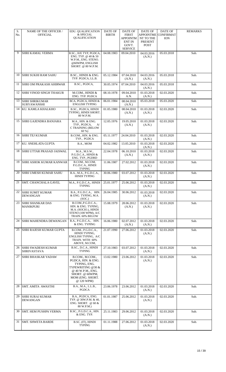| S.<br>No. | <b>NAME OF THE OFFICER /</b><br><b>OFFICIAL</b> | <b>EDU. QUALIFICATION</b><br>& SPECIAL<br><b>QUALIFICATION</b>                                                                                       | <b>DATE OF</b><br><b>BIRTH</b> | <b>DATE OF</b><br><b>FIRST</b><br>APPOINTM<br><b>ENT IN</b><br>GOVT.<br><b>SERVICE</b> | <b>DATE OF</b><br>APPOINTME<br>NT TO THE<br>PRESENT<br><b>POST</b> | DATE OF<br><b>CONFIRMAT</b><br><b>ION</b> | <b>REMARKS</b> |
|-----------|-------------------------------------------------|------------------------------------------------------------------------------------------------------------------------------------------------------|--------------------------------|----------------------------------------------------------------------------------------|--------------------------------------------------------------------|-------------------------------------------|----------------|
| 9         | <b>SHRI KAMAL VERMA</b>                         | B.SC., H/E TYP, PGDCA,<br>ENG. TYP. $@$ 40 $\&$ 50<br>W.P.M., ENG. STENO.<br>@60WPM, ENGLISH<br>SHORT. @ 80 W.P.M.                                   | 04.08.1983                     | 09.04.2010                                                                             | 04.03.2016<br>(A.N.)                                               | 05.03.2018                                | Sub.           |
| 10        | SHRI SUKHI RAM SAHU                             | B.SC., HINDI & ENG.<br>TYP. PGDCA, LL.B.                                                                                                             | 05.12.1984                     | 07.04.2010<br>(A.N.)                                                                   | 04.03.2016<br>(A.N.)                                               | 05.03.2018                                | Sub.           |
| 11        | SHRI OM PRAKASH AHIRWAR                         | B.SC., PGDCA,                                                                                                                                        | 30.05.1974                     | 07.04.2010                                                                             | 04.03.2016<br>(A.N.)                                               | 05.03.2018                                | Sub.           |
| 12        | <b>SHRI VINOD SINGH THAKUR</b>                  | M.COM., HINDI &<br>ENG. TYP. PGDCA                                                                                                                   | 08.10.1978                     | 09.04.2010<br>A.N.                                                                     | 01.03.2018<br>(A.N.)                                               | 02.03.2020                                | Sub.           |
| 13        | <b>SHRI SHRIKUMAR</b><br><b>SURYAWANSHI</b>     | BCA, PGDCA, HINDI &<br><b>ENGLISH TYPING</b>                                                                                                         | 06.01.1984                     | 08.04.2010<br>(A.N.)                                                                   | 05.03.2018                                                         | 05.03.2020                                | Sub.           |
| 14        | KU. KAMLA KHALKHO                               | B.SC., PGDCA, HINDI<br>TYPING, HINDI SHORT.<br>80 W.P.M.                                                                                             | 01.05.1980                     | 08.04.2010<br>(A.N.)                                                                   | 01.03.2018<br>(A.N.)                                               | 02.03.2020                                | Sub.           |
| 15        | <b>SHRI GAJENDRA BANJARA</b>                    | M.A., HIN. & ENG.<br>A<br>TYP., PGDCA,<br>C TRAINING (BELOW<br>$60\%$                                                                                | 12.05.1976                     | 19.05.2010<br>(A.N.)                                                                   | 01.03.2018<br>(A.N.)                                               | 02.03.2020                                | Sub.           |
| 16        | <b>SHRITEJ KUMAR</b>                            | B.COM., HIN. & ENG.<br>TYP., PGDCA                                                                                                                   | 05.11.1977                     | 24.04.2010                                                                             | 01.03.2018<br>(A.N.)                                               | 02.03.2020                                | Sub.           |
| 17        | KU. SNEHLATA GUPTA                              | B.A., MOM                                                                                                                                            | 04.02.1982                     | 13.05.2010                                                                             | 01.03.2018<br>(A.N.)                                               | 02.03.2020                                | Sub.           |
| 18        | <b>SHRI UTTAR PRASAD JAISWAL</b>                | M.A., M.S.W.,<br>P.G.D.C.A., HINDI &<br>ENG. TYP., PGDRD                                                                                             | 22.04.1978                     | 06.10.2010<br>(A.N.)                                                                   | 01.03.2018<br>(A.N.)                                               | 02.03.2020                                | Sub.           |
| 19        | <b>SHRI ASHOK KUMAR KANWAR</b>                  | B.COM., M.COM,<br>P.G.D.C.A., HINDI<br><b>TYPING</b>                                                                                                 | 11.06.1987                     | 27.02.2012                                                                             | 01.03.2018<br>(A.N.)                                               | 02.03.2020                                | Sub.           |
| 20        | <b>SHRI UMESH KUMAR SAHU</b>                    | B.A., M.A., P.G.D.C.A.,<br><b>HINDI TYPING</b>                                                                                                       | 30.06.1980                     | 03.07.2012                                                                             | 01.03.2018<br>(A.N.)                                               | 02.03.2020                                | Sub.           |
| 21        | <b>SMT. CHANCHALA GAVEL</b>                     | M.A., P.G.D.C.A., HINDI<br><b>TYPING</b>                                                                                                             | 25.01.1977                     | 25.06.2012                                                                             | 01.03.2018<br>(A.N.)                                               | 02.03.2020                                | Sub.           |
| 22        | <b>SHRI SUMIT KUMAR</b><br><b>DEWANGAN</b>      | B.A., P.G.D.C.A., HIN.<br>& ENG. TYPING, M.A.<br>(SOC.)                                                                                              | 26.04.1985                     | 30.06.2012                                                                             | 01.03.2018<br>(A.N.)                                               | 02.03.2020                                | Sub.           |
| 23        | <b>SHRI SHANKAR DAS</b><br><b>MANIKPURI</b>     | B.COMP.G.D.C.A.,<br>HIN. & ENG. TYPING,<br>M.A. (SOCIO.), HINDI<br>STENO (100 WPM), A/C<br>TRAIN. 60% BELOW                                          | 15.08.1979                     | 28.06.2012<br>(A.N.)                                                                   | 01.03.2018<br>(A.N.)                                               | 02.03.2020                                | Sub.           |
| 24        | <b>SHRI MAHENDRA DEWANGAN</b>                   | B.A., P.G.D.C.A., HIN.<br>& ENG. TYPING                                                                                                              | 16.06.1980                     | 02.07.2012<br>(A.N.)                                                                   | 01.03.2018<br>(A.N.)                                               | 02.03.2020                                | Sub.           |
| 25        | SHRI RAJESH KUMAR GUPTA                         | B.COM., P.G.D.C.A.,<br>HINDI TYPING,<br>ENGLISH TYPING, A/C<br>TRAIN. WITH 60%<br>ABOVE, M.COM,                                                      | 21.07.1990                     | 27.06.2012                                                                             | 01.03.2018<br>(A.N.)                                               | 02.03.2020                                | Sub.           |
| 26        | SHRI SWADESH KUMAR<br><b>SHRIVASTAVA</b>        | B.SC., D.C.A., HINDI<br><b>TYPING</b>                                                                                                                | 27.10.1983                     | 03.07.2012                                                                             | 01.03.2018<br>(A.N.)                                               | 02.03.2020                                | Sub.           |
| 27        | SHRI BHASKAR YADAW                              | B.COM., M.COM.,<br>PGDCA, HIN. & ENG.<br>TYPING, ENG.<br>TYPEWRITING @30 &<br>@ 40 W.P.M., ENG.<br>SHORT. @ 60WPM,<br>MOM (ENG. SHORT.<br>@ 120 WPM) | 13.02.1980                     | 23.06.2012                                                                             | 01.03.2018<br>(A.N.)                                               | 02.03.2020                                | Sub.           |
| 28        | <b>SMT. AMITA AWASTHI</b>                       | B.A., M.A., L.L.B.,<br>PGDCA                                                                                                                         | 23.06.1978                     | 23.06.2012                                                                             | 01.03.2018<br>(A.N.)                                               | 02.03.2020                                | Sub.           |
| 29        | SHRI SURAJ KUMAR<br><b>DEWANGAN</b>             | B.A., PGDCA, ENG.<br>TYP. @ 30W.P.M. & 40,<br>ENG. SHORT. $@60$ &<br>80 W.P.M.)                                                                      | 01.01.1987                     | 25.06.2012                                                                             | 01.03.2018<br>(A.N.)                                               | 02.03.2020                                | Sub.           |
| 30        | <b>SMT. HEM PUSHPA VERMA</b>                    | B.SC., P.G.D.C.A., HIN.<br>& ENG. TYP.                                                                                                               | 25.11.1983                     | 29.06.2012                                                                             | 01.03.2018<br>(A.N.)                                               | 02.03.2020                                | Sub.           |
| 31        | <b>SMT. SHWETA BARDE</b>                        | B.SC. (IT), HINDI<br><b>TYPING</b>                                                                                                                   | 01.11.1988                     | 27.06.2012                                                                             | 01.03.2018<br>(A.N.)                                               | 02.03.2020                                | Sub.           |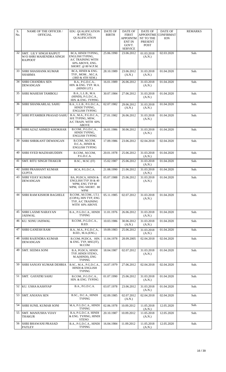| S.<br>No. | <b>NAME OF THE OFFICER /</b><br><b>OFFICIAL</b>                     | <b>EDU. QUALIFICATION</b><br>& SPECIAL<br>QUALIFICATION                                             | DATE OF<br><b>BIRTH</b> | DATE OF<br><b>FIRST</b><br>APPOINTM<br><b>ENT IN</b><br>GOVT.<br><b>SERVICE</b> | <b>DATE OF</b><br><b>APPOINTME</b><br>NT TO THE<br>PRESENT<br><b>POST</b> | DATE OF<br><b>CONFIRMAT</b><br><b>ION</b> | <b>REMARKS</b> |
|-----------|---------------------------------------------------------------------|-----------------------------------------------------------------------------------------------------|-------------------------|---------------------------------------------------------------------------------|---------------------------------------------------------------------------|-------------------------------------------|----------------|
| 32        | SMT. LILY SINGH RAJPUT<br>W/O SHRI MAHENDRA SINGH<br><b>RAJPOOT</b> | BCA, HINDI TYPING,<br>ENGLISH TYPING,<br>A/C TRAINING WITH<br>60% ABOVE, ENG.<br>SHORT. @ 80 W.P.M. | 25.06.1990              | 23.06.2012                                                                      | 01.03.2018<br>(A.N.)                                                      | 02.03.2020                                | Sub.           |
| 33        | <b>SHRI SHASHANK KUMAR</b><br><b>SHARMA</b>                         | BCA, HINDI & ENG.<br>TYP., MOM., M.C.A.<br>(3RD & 4TH SEM.)                                         | 28.10.1989              | 23.06.2012<br>(A.N.)                                                            | 31.03.2018<br>(A.N.)                                                      | 01.04.2020                                | Sub.           |
| 34        | <b>SHRI CHANDRA SEN</b><br><b>DEWANGAN</b>                          | B.A., P.G.D.C.A.,<br>HIN. & ENG. TYP. M.A.<br>(HINDI LIT.)                                          | 16.01.1989              | 26.06.2012                                                                      | 31.03.2018<br>(A.N.)                                                      | 01.04.2020                                | Sub.           |
| 35        | <b>SHRI MAHESH TAMBOLI</b>                                          | B.A., L.L.B., M.A.<br>(HINDI), P.G.D.C.A.,<br>HIN. & ENG. TYPING                                    | 30.07.1984              | 27.06.2012                                                                      | 31.03.2018<br>(A.N.)                                                      | 01.04.2020                                | Sub.           |
| 36        | SHRI SHANKARLAL SAHU                                                | B.A., L.L.B., P.G.D.C.A.,<br>HINDI TYPING,<br><b>ENGLISH TYPING</b>                                 | 02.07.1982              | 29.06.2012<br>(A.N.)                                                            | 31.03.2018<br>(A.N.)                                                      | 01.04.2020                                | Sub.           |
| 37        | <b>SHRI PITAMBER PRASAD SAHU</b>                                    | B.A., M.A., P.G.D.C.A.,<br>H/E TYPING, MSW,<br>A/C TRAIN. WITH 60%<br><b>ABOVE</b>                  | 27.01.1982              | 26.06.2012                                                                      | 31.03.2018<br>(A.N.)                                                      | 01.04.2020                                | Sub.           |
| 38        | SHRI AZAZ AHMED KHOKHAR                                             | B.COM., P.G.D.C.A.,<br>HINDI TYPING,<br><b>ENGLISH TYPING</b>                                       | 26.01.1986              | 30.06.2012                                                                      | 31.03.2018<br>(A.N.)                                                      | 01.04.2020                                | Sub.           |
| 39        | <b>SHRI SHRIKANT DEWANGAN</b>                                       | B.COM., M.COM,<br>D.C.A., HINDI &<br><b>ENGLISH TYPING</b>                                          | 17.09.1986              | 23.06.2012                                                                      | 02.04.2018                                                                | 02.04.2020                                | Sub.           |
| 40        | <b>SHRI SYED MAZHARUDDIN</b>                                        | B.COM., M.COM,<br>P.G.D.C.A.                                                                        | 20.01.1978              | 25.06.2012                                                                      | 31.03.2018<br>(A.N.)                                                      | 01.04.2020                                | Sub.           |
| 41        | <b>SMT. RITU SINGH THAKUR</b>                                       | B.SC., M.SC (IT)                                                                                    | 15.02.1987              | 25.06.2012                                                                      | 31.03.2018<br>(A.N.)                                                      | 01.04.2020                                | Sub.           |
| 42        | <b>SHRI PRASHANT KUMAR</b><br><b>GUPTA</b>                          | BCA, P.G.D.C.A.                                                                                     | 21.08.1990              | 21.06.2012                                                                      | 31.03.2018<br>(A.N.)                                                      | 01.04.2020                                | Sub.           |
| 43        | <b>SHRI VIJAY KUMAR</b><br><b>DEWANGAN</b>                          | BA, PGDCA, HINDI &<br>ENGLISH TYP 30 & 40<br>WPM, ENG TYP 60<br>WPM, ENG SHORT. 80<br>WPM           | 05.07.1988              | 25.06.2012                                                                      | 31.03.2018<br>(A.N.)                                                      | 01.04.2020                                | Sub.           |
| 44        | <b>SHRI RAM KISHOR BAGHELE</b>                                      | B.COM., M.COM., I.T.I.<br>(COPA), HIN TYP, ENG<br>TYP, A/C TRAINING<br>WITH 60% ABOVE               | 05.11.1985              | 02.07.2012                                                                      | 31.03.2018<br>(A.N.)                                                      | 01.04.2020                                | Sub.           |
| 45        | <b>SHRI LAXMI NARAYAN</b><br>JAISWAL                                | B.A., P.G.D.C.A., HINDI<br><b>TYPING</b>                                                            | 11.01.1976              | 26.06.2012                                                                      | 31.03.2018<br>(A.N.)                                                      | 01.04.2020                                | Sub.           |
| 46        | KU. SONU JAISWAL                                                    | B.COM., P.G.D.C.A.,<br>B.ED.                                                                        | 10.03.1986              | 30.06.2012<br>(A.N.)                                                            | 31.03.2018<br>(A.N.)                                                      | 01.04.2020                                | Sub.           |
| 47        | SHRI GANESH RAM                                                     | B.A., M.A., P.G.D.C.A.,<br>B.ED., M.A.(ENG.)                                                        | 19.09.1983              | 25.06.2012                                                                      | 31.03.2018<br>(A.N.)                                                      | 01.04.2020                                | Sub.           |
| 48        | <b>SHRI RAJENDRA KUMAR</b><br><b>DEWANGAN</b>                       | B.COM, PGDCA, HIN.<br>& ENG. TYP, MSC(IT),<br>M.COM                                                 | 11.04.1978              | 28.09.2005                                                                      | 02.04.2018                                                                | 02.04.2020                                | Sub.           |
| 49        | <b>SMT. SEEMA SONI</b>                                              | B.A, PGDCA, HINDI<br>TYP, HINDI STENO.,<br>M.A(HINDI), ENG<br><b>TYPING</b>                         | 18.04.1987              | 02.07.2012                                                                      | 31.03.2018<br>(A.N.)                                                      | 01.04.2020                                | Sub.           |
| 50        | <b>SHRI SANJAY KUMAR DEHRIA</b>                                     | B.SC., M.A., P.G.D.C.A.,<br><b>HINDI &amp; ENGLISH</b><br><b>TYPING</b>                             | 14.07.1979              | 27.06.2012                                                                      | 02.04.2018                                                                | 02.04.2020                                | Sub.           |
| 51        | <b>SMT. GAYATRI SAHU</b>                                            | B.COM., P.G.D.C.A.,<br>HIN. & ENG. TYPING                                                           | 01.07.1990              | 25.06.2012                                                                      | 31.03.2018<br>(A.N.)                                                      | 01.04.2020                                | Sub.           |
| 52        | KU. USHA KASHYAP                                                    | B.A., P.G.D.C.A.                                                                                    | 03.07.1978              | 23.06.2012                                                                      | 31.03.2018<br>(A.N.)                                                      | 01.04.2020                                | Sub.           |
| 53        | <b>SMT. ANJANA SEN</b>                                              | B.SC., D.C.A., HINDI<br><b>TYPING</b>                                                               | 02.09.1985              | 02.07.2012<br>(A.N.)                                                            | 02.04.2018                                                                | 02.04.2020                                | Sub.           |
| 54        | SHRI SUNIL KUMAR SONI                                               | M.A, P.G.D.C.A., HINDI<br><b>TYPING</b>                                                             | 02.06.1978              | 10.09.2012                                                                      | 11.05.2018<br>(A.N.)                                                      | 12.05.2020                                | Sub.           |
| 55        | <b>SMT. MANJUSHA VIJAY</b><br><b>THAKUR</b>                         | B.A, P.G.D.C.A. HINDI<br>& ENG. TYPING, HINDI<br><b>STENO</b>                                       | 20.10.1987              | 10.09.2012                                                                      | 11.05.2018<br>(A.N.)                                                      | 12.05.2020                                | Sub.           |
| 56        | <b>SHRI BHAWANI PRASAD</b><br>PATLEY                                | B.A., P.G.D.C.A., HINDI<br><b>TYPING</b>                                                            | 16.04.1984              | 11.09.2012                                                                      | 11.05.2018<br>(A.N.)                                                      | 12.05.2020                                | Sub.           |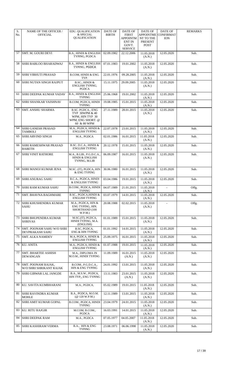| S.<br>No. | <b>NAME OF THE OFFICER /</b><br><b>OFFICIAL</b>     | <b>EDU. QUALIFICATION</b><br>& SPECIAL                                                     | DATE OF<br><b>BIRTH</b> | <b>DATE OF</b><br><b>FIRST</b> | <b>DATE OF</b><br><b>APPOINTME</b> | DATE OF<br><b>CONFIRMAT</b> | <b>REMARKS</b> |
|-----------|-----------------------------------------------------|--------------------------------------------------------------------------------------------|-------------------------|--------------------------------|------------------------------------|-----------------------------|----------------|
|           |                                                     | <b>QUALIFICATION</b>                                                                       |                         | APPOINTM<br><b>ENT IN</b>      | NT TO THE<br>PRESENT               | <b>ION</b>                  |                |
|           |                                                     |                                                                                            |                         | GOVT.<br><b>SERVICE</b>        | <b>POST</b>                        |                             |                |
| 57        | SMT. M. GOURI DEVI                                  | B.A., HINDI & ENGLISH<br>TYPING, PGDCA                                                     | 02.09.1982              | 22.12.2006                     | 11.05.2018<br>(A.N.)               | 12.05.2020                  | Sub.           |
| 58        | SHRI BABLOO BHARADWAJ                               | <b>B.A., HINDI &amp; ENGLISH</b><br>TYPING, PGDCA                                          | 07.01.1983              | 19.01.2002                     | 11.05.2018<br>(A.N.)               | 12.05.2020                  | Sub.           |
| 59        | <b>SHRI VIBHUTI PRASAD</b>                          | B.COM, HINDI & ENG.<br>TYP.                                                                | 22.01.1976              | 09.28.2005                     | 11.05.2018<br>(A.N.)               | 12.05.2020                  | Sub.           |
| 60        | <b>SHRI NUTAN SINGH RAJPUT</b>                      | B.SC., HINDI &<br>ENGLISH TYPING,<br>PGDCA                                                 | 15.11.1975              | 29.09.2005                     | 11.05.2018<br>(A.N.)               | 12.05.2020                  | Sub.           |
| 61        | <b>SHRI DEEPAK KUMAR YADAV</b>                      | <b>B.A., HINDI &amp; ENGLISH</b><br><b>TYPING</b>                                          | 25.06.1968              | 19.01.2002                     | 11.05.2018<br>(A.N.)               | 12.05.2020                  | Sub.           |
| 62        | <b>SHRI SHANKAR VAISHNAV</b>                        | B.COM, PGDCA, HINDI<br><b>TYPING</b>                                                       | 19.08.1985              | 15.01.2015                     | 11.05.2018<br>(A.N.)               | 12.05.2020                  | Sub.           |
| 63        | <b>SMT. ANSHU SHARMA</b>                            | B.SC. PGDCA., ENG<br>TYP 30WPM & 40<br>WPM, HIN TYP 30<br>WPM, ENG SHORT. @<br>60 & 80 WPM | 27.11.1989              | 28.01.2015                     | 11.05.2018<br>(A.N.)               | 12.05.2020                  | Sub.           |
| 64        | <b>SHRI GANESH PRASAD</b><br><b>TAMBOLI</b>         | M.A., PGDCA, HINDI &<br><b>ENGLISH TYPING</b>                                              | 22.07.1978              | 23.01.2015                     | 11.05.2018<br>(A.N.)               | 12.05.2020                  | Sub.           |
| 65        | SHRI ARVIND SINGH                                   | M.A., PGDCA                                                                                | 02.01.1986              | 16.01.2015                     | 11.05.2018<br>(A.N.)               | 12.05.2020                  | Sub.           |
| 66        | <b>SHRI RAMESHWAR PRASAD</b><br><b>BARETH</b>       | B.SC. D.C.A., HINDI &<br><b>ENGLISH TYPING</b>                                             | 20.12.1978              | 15.01.2015                     | 11.05.2018<br>(A.N.)               | 12.05.2020                  | Sub.           |
| 67        | <b>SHRI VINIT RATHORE</b>                           | M.A., B.LIB., P.G.D.C.A.,<br><b>HINDI &amp; ENGLISH</b><br>TYPING, M.LIB                   | 06.09.1987              | 16.01.2015                     | 11.05.2018<br>(A.N.)               | 12.05.2020                  | Sub.           |
| 68        | SHRI MANOJ KUMAR JENA                               | M.SC. (IT), PGDCA, HIN<br>& ENG TYPING                                                     | 30.06.1980              | 16.01.2015                     | 11.05.2018<br>(A.N.)               | 12.05.2020                  | Sub.           |
| 69        | <b>SHRI ANURAG SAHU</b>                             | B.C.A., PGDCA, HINDI<br>& ENGLISH TYPING                                                   | 03.04.1986              | 19.01.2015                     | 11.05.2018<br>(A.N.)               | 12.05.2020                  | Sub.           |
| 70        | <b>SHRI RAM KUMAR SAHU</b>                          | B.COM., PGDCA, HINDI<br><b>TYPING</b>                                                      | 04.07.1989              | 21.01.2015                     | 11.05.2018<br>(A.N.)               |                             | Offg.          |
| 71        | <b>SMT. BHAVNA BAGHMARE</b>                         | B.SC., PGDCA, HINDI &<br><b>ENGLISH TYPING</b>                                             | 03.07.1979              | 14.01.2015                     | 11.05.2018<br>(A.N.)               | 12.05.2020                  | Sub.           |
| 72        | <b>SHRI KHUSHENDRA KUMAR</b><br>SAHU                | M.A., PGDCA, HIN &<br>ENG TYPING, HIN.<br>SHORTHAND (100<br>W.P.M.)                        | 20.08.1988              | 02.02.2015                     | 11.05.2018<br>(A.N.)               |                             | Offg.          |
| 73        | <b>SHRI BHUPENDRA KUMAR</b><br><b>SHRIVAS</b>       | M.SC.(IT), PGDCA,<br>HINDI TYPING, M.A.<br>(ENGLISH)                                       | 01.01.1989              | 15.01.2015                     | 11.05.2018<br>(A.N.)               | 12.05.2020                  | Sub.           |
| 74        | SMT. POONAM SAHU W/O SHRI<br><b>DEVPRAKASH SAHU</b> | B.SC, PGDCA,<br><b>ENG &amp; HIN TYPING</b>                                                | 01.01.1992              | 14.01.2015                     | 11.05.2018<br>(A.N.)               | 12.05.2020                  | Sub.           |
| 75        | <b>SMT. ALKA NAMDEV</b>                             | M.A, PGDCA, HINDI &<br><b>ENGLISH TYPING</b>                                               | 25.09.1975              | 16.01.2015                     | 11.05.2018<br>(A.N.)               | 12.05.2020                  | Sub.           |
| 76        | <b>KU. ANITA</b>                                    | M.A., PGDCA, HINDI &<br><b>ENGLISH TYPING</b>                                              | 01.07.1988              | 19.01.2015                     | 11.05.2018<br>(A.N.)               | 12.05.2020                  | Sub.           |
| 77        | <b>SMT. BHARTEE ASHISH</b><br><b>DEWANGAN</b>       | M.A., DIPLOMA IN<br>M.O.M., HINDI TYPING                                                   | 11.09.1989              | 16.01.2015<br>(A.N.)           | 11.05.2018<br>(A.N.)               | 12.05.2020                  | Sub.           |
| 78        | SMT. POONAM RAJAK,<br>W/O SHRI SHRIKANT RAJAK       | B.COM., P.G.D.C.A.,<br>HIN & ENG TYPING                                                    | 24.01.1992              | 13.01.2015                     | 11.05.2018<br>(A.N.)               | 12.05.2020                  | Sub.           |
| 79        | <b>SHRI GIRWAR LAL JANGDE</b>                       | B.A., M.S.W., PGDCA,<br>HIN TYP,, ENG TYPING                                               | 13.11.1983              | 23.01.2015<br>(A.N.)           | 11.05.2018<br>(A.N.)               | 12.05.2020                  | Sub.           |
| 80        | KU. SAVITA KUMBHARANI                               | M.A., PGDCA,                                                                               | 05.02.1989              | 19.01.2015                     | 11.05.2018<br>(A.N.)               | 12.05.2020                  | Sub.           |
| 81        | <b>SHRI RAVINDRA KUMAR</b><br>MOHLE                 | B.A., PGDCA, M.O.M.<br>$(Q$ 120 W.P.M.)                                                    | 12.11.1989              | 13.01.2015                     | 11.05.2018<br>(A.N.)               | 12.05.2020                  | Sub.           |
| 82        | <b>SHRI AMIT KUMAR GOPAL</b>                        | B.COM., PGDCA, HINDI<br><b>TYPING</b>                                                      | 23.04.1979              | 24.01.2015                     | 11.05.2018<br>(A.N.)               | 12.05.2020                  | Sub.           |
| 83        | KU. RITU RAJGIR                                     | M.COM, B.COM.,<br>PGDCA                                                                    | 16.03.1991              | 14.01.2015                     | 11.05.2018<br>(A.N.)               | 12.05.2020                  | Sub.           |
| 84        | <b>SHRI DEEPAK RAM</b>                              | M.A., PGDCA                                                                                | 07.05.1977              | 04.05.2007                     | 11.05.2018<br>(A.N.)               | 12.05.2020                  | Sub.           |
| 85        | <b>SHRI KASHIRAM VERMA</b>                          | B.A., HIN & ENG<br><b>TYPING</b>                                                           | 23.08.1971              | 06.06.1998                     | 11.05.2018<br>(A.N.)               | 12.05.2020                  | Sub.           |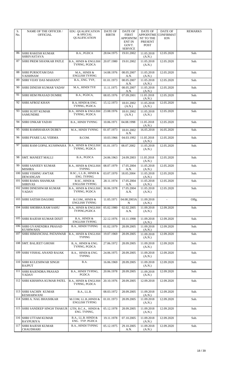| S.<br>No. | NAME OF THE OFFICER /<br><b>OFFICIAL</b>      | <b>EDU. QUALIFICATION</b><br>& SPECIAL            | DATE OF<br><b>BIRTH</b> | DATE OF<br><b>FIRST</b>          | <b>DATE OF</b><br><b>APPOINTME</b> | DATE OF<br><b>CONFIRMAT</b> | <b>REMARKS</b> |
|-----------|-----------------------------------------------|---------------------------------------------------|-------------------------|----------------------------------|------------------------------------|-----------------------------|----------------|
|           |                                               | QUALIFICATION                                     |                         | <b>APPOINTM</b><br><b>ENT IN</b> | NT TO THE<br>PRESENT               | <b>ION</b>                  |                |
|           |                                               |                                                   |                         | GOVT.<br><b>SERVICE</b>          | POST                               |                             |                |
| 86        | SHRI RAKESH KUMAR<br><b>SHRIVASTAVA</b>       | B.A., PGDCA                                       | 28.04.1975              | 19.01.2002                       | 11.05.2018<br>(A.N.)               | 12.05.2020                  | Sub.           |
| 87        | <b>SHRI PREM SHANKAR PATLE</b>                | <b>B.A., HINDI &amp; ENGLISH</b><br>TYPING, PGDCA | 20.07.1980              | 19.01.2002                       | 11.05.2018<br>(A.N.)               | 12.05.2020                  | Sub.           |
| 88        | <b>SHRI PURSOTAM DAS</b><br><b>VAISHNAW</b>   | M.A., HINDI &<br><b>ENGLISH TYPING</b>            | 14.08.1976              | 08.05.2007<br>A.N.               | 11.05.2018<br>(A.N.)               | 12.05.2020                  | Sub.           |
| 89        | <b>SHRI VIJAY DAS MAHANT</b>                  | B.A., ENG. TYP.,                                  | 01.01.1973              | 08.05.2007<br>A.N.               | 11.05.2018<br>(A.N.)               | 12.05.2020                  | Sub.           |
| 90        | <b>SHRI DINESH KUMAR YADAV</b>                | M.A., HINDI TYP.                                  | 11.11.1975              | 08.05.2007<br>A.N.               | 11.05.2018<br>(A.N.)               | 12.05.2020                  | Sub.           |
| 91        | <b>SHRI HEM PRASAD DUMRE</b>                  | B.A., PGDCA,                                      | 08.05.1976              | 07.09.2001                       | 11.05.2018<br>(A.N.)               | 12.05.2020                  | Sub.           |
| 92        | <b>SHRI AFROZ KHAN</b>                        | B.A, HINDI & ENG.<br>TYPING, PGDCA                | 15.12.1973              | 18.01.2002<br>(A.N.)             | 11.05.2018<br>(A.N.)               | 12.05.2020                  | Sub.           |
| 93        | <b>SHRI SUJIT KUMAR</b><br><b>SAMUNDRE</b>    | <b>B.A., HINDI &amp; ENGLISH</b><br>TYPING, PGDCA | 23.08.1976              | 18.01.2002<br>(A.N.)             | 11.05.2018<br>(A.N.)               | 12.05.2020                  | Sub.           |
| 94        | SHRI ONKAR YADAV                              | B.A., HINDI TYPING                                | 10.06.1971              | 04.08.1998                       | 11.05.2018<br>(A.N.)               | 12.05.2020                  | Sub.           |
| 95        | <b>SHRI RAMSHARAN DUBEY</b>                   | M.A., HINDI TYPING                                | 01.07.1973              | 18.01.2002<br>A.N.               | 16.05.2018                         | 16.05.2020                  | Sub.           |
| 96        | <b>SHRI PYARE LAL VERMA</b>                   | B.COM.                                            | 10.03.1966              | 04.03.1992                       | 11.05.2018<br>(A.N.)               | 12.05.2020                  | Sub.           |
| 97        | SHRI RAM GOPAL KUSHWAHA                       | <b>B.A., HINDI &amp; ENGLISH</b><br>TYPING, PGDCA | 01.01.1973              | 08.07.2002                       | 11.05.2018<br>(A.N.)               | 12.05.2020                  | Sub.           |
| 98        | <b>SMT. MANEET MALLI</b>                      | B.A., PGDCA                                       | 24.06.1963              | 24.09.2003                       | 11.05.2018<br>(A.N.)               | 12.05.2020                  | Sub.           |
| 99        | <b>SHRI SANJEEV KUMAR</b><br>MISHRA           | <b>B.A., HINDI &amp; ENGLISH</b><br><b>TYPING</b> | 08.07.1979              | 17.05.2004<br>A.N.               | 11.05.2018<br>(A.N.)               | 12.05.2020                  | Sub.           |
| 100       | <b>SHRI VISHNU AWTAR</b><br><b>DEWANGAN</b>   | B.SC., L.L.B., HINDI &<br>ENG. TYPING             | 03.07.1970              | 18.05.2004                       | 11.05.2018<br>(A.N.)               | 12.05.2020                  | Sub.           |
| 101       | <b>SHRI RAMA SHANKAR</b><br><b>SHRIVAS</b>    | B.SC., HINDI &<br><b>ENGLISH TYPING</b>           | 28.11.1974              | 17.05.2004<br>A.N.               | 11.05.2018<br>(A.N.)               | 12.05.2020                  | Sub.           |
| 102       | <b>SHRI DINESHWAR KUMAR</b><br>YADAV          | <b>B.A., HINDI &amp; ENGLISH</b><br>TYPING, PGDCA | 30.06.1978              | 17.05.2004<br>A.N.               | 11.05.2018<br>(A.N.)               | 12.05.2020                  | Sub.           |
| 103       | <b>SHRI SATISH DAGORE</b>                     | B.COM., HINDI &<br><b>ENGLISH TYPING</b>          | 11.05.1971              | 04.08.2003A<br>N                 | 11.09.2018<br>(A.N.)               | $\blacksquare$              | Offg.          |
| 104       | SHRI SHOBHA RAM SAHU                          | <b>B.A., HINDI &amp; ENGLISH</b><br>TYPING, PGDCA | 05.02.1980              | 02.02.2005<br>A.N.               | 11.09.2018<br>(A.N.)               | 12.09.2020                  | Sub.           |
|           | 105 SHRI RAJESH KUMAR DIXIT                   | B.A., HINDI &<br><b>ENGLISH TYPING</b>            | 22.12.1976              | 10.11.1998                       | 11.09.2018<br>(A.N.)               | 12.09.2020                  | Sub.           |
|           | 106 SHRI GYANENDRA PRASAD<br>KUSHWAHA         | <b>B.A., HINDI TYPING</b>                         | 01.02.1979              | 28.09.2005                       | 11.09.2018<br>(A.N.)               | 12.09.2020                  | Sub.           |
| 107       | <b>SHRI HIMANCHAL PATANWAR</b>                | <b>B.A., HINDI &amp; ENGLISH</b><br><b>TYPING</b> | 19.07.1969              | 28.09.2005                       | 11.09.2018<br>(A.N.)               | 12.09.2020                  | Sub.           |
| 108       | SMT. BALJEET GHOSH                            | B.A., HINDI & ENG.<br>TYPING, PGDCA               | 27.06.1972              | 28.09.2005                       | 11.09.2018<br>(A.N.)               | 12.09.2020                  | Sub.           |
|           | 109 SHRI VISHAL ANAND RAJAK                   | B.A., HINDI & ENG.<br><b>TYPING</b>               | 24.06.1975              | 28.09.2005                       | 11.09.2018<br>(A.N.)               | 12.09.2020                  | Sub.           |
| 110       | <b>SHRI KULESHWAR SINGH</b><br><b>RAJPUT</b>  | B.A.                                              | 16.06.1969              | 28.09.2005                       | 11.09.2018<br>(A.N.)               | 12.09.2020                  | Sub.           |
| 111       | <b>SHRI RAJENDRA PRASAD</b><br>YADAV          | B.A., HINDI TYPING,<br>PGDCA                      | 20.06.1978              | 28.09.2005                       | 11.09.2018<br>(A.N.)               | 12.09.2020                  | Sub.           |
| 112       | <b>SHRI KRISHNA KUMAR PATEL</b>               | <b>B.A., HINDI &amp; ENGLISH</b><br>TYPING, PGDCA | 20.10.1976              | 28.09.2005                       | 12.09.2018                         | 12.09.2020                  | Sub.           |
| 113       | <b>SHRI SACHIN KUMAR</b><br><b>KESHARWANI</b> | B.A., LL.B.                                       | 08.03.1972              | 28.09.2005                       | 11.09.2018<br>(A.N.)               | 12.09.2020                  | Sub.           |
| 114       | <b>SHRI A. NAG BHASHKAR</b>                   | M.COM, LL.B., HINDI &<br><b>ENGLISH TYPING</b>    | 01.01.1973              | 28.09.2005                       | 11.09.2018<br>(A.N.)               | 12.09.2020                  | Sub.           |
| 115       | <b>SHRI SANDEEP SINGH THAKUR</b>              | 12TH, B.C.A., HINDI &<br>ENG. TYPING,             | 05.12.1978              | 28.09.2005                       | 11.09.2018<br>(A.N.)               | 12.09.2020                  | Sub.           |
|           | 116 SHRI UTTAM KUMAR<br><b>RAYPURIYA</b>      | B.A., LL.B. HINDI &<br>ENG. TYP. PGDCA            | 19.11.1978              | 07.10.2005                       | 11.09.2018<br>(A.N.)               | 12.09.2020                  | Sub.           |
| 117       | <b>SHRI RAJESH KUMAR</b><br><b>CHAUDHARI</b>  | <b>B.A., HINDI TYPING</b>                         | 05.12.1975              | 29.10.2005<br>A.N.               | 11.09.2018<br>(A.N.)               | 12.09.2020                  | Sub.           |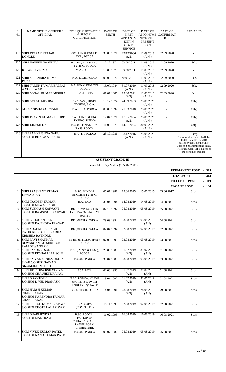| S.<br>No.      | <b>NAME OF THE OFFICER /</b><br><b>OFFICIAL</b>                                       | <b>EDU. QUALIFICATION</b><br>& SPECIAL<br>QUALIFICATION                                     | <b>DATE OF</b><br><b>BIRTH</b> | <b>DATE OF</b><br><b>FIRST</b><br>APPOINTM<br>ENT IN<br>GOVT.<br><b>SERVICE</b> | <b>DATE OF</b><br><b>APPOINTME</b><br>NT TO THE<br><b>PRESENT</b><br><b>POST</b> | <b>DATE OF</b><br><b>CONFIRMAT</b><br><b>ION</b> | <b>REMARKS</b>                                                                                                                                                                                        |
|----------------|---------------------------------------------------------------------------------------|---------------------------------------------------------------------------------------------|--------------------------------|---------------------------------------------------------------------------------|----------------------------------------------------------------------------------|--------------------------------------------------|-------------------------------------------------------------------------------------------------------------------------------------------------------------------------------------------------------|
|                | 118 SHRI DEEPAK KUMAR<br><b>DONGRE</b>                                                | <b>B.SC., HIN &amp; ENGLISH</b><br>TYP., PGDCA                                              | 30.06.1971                     | 22/12/2006<br>A.N.                                                              | 11.09.2018<br>(A.N.)                                                             | 12.09.2020                                       | Sub.                                                                                                                                                                                                  |
|                | 119 SHRI NAVEEN VASUDEV                                                               | B.COM., HIN & ENG.<br>TYPING, PGDCA                                                         | 12.12.1974                     | 03.08.2011                                                                      | 11.09.2018<br>(A.N.)                                                             | 12.09.2020                                       | Sub.                                                                                                                                                                                                  |
|                | 120 KU, ANJU VERMA                                                                    | M.A., PGDCA                                                                                 | 15.06.1975                     | 03.08.2011                                                                      | 11.09.2018<br>(A.N.)                                                             | 12.09.2020                                       | Sub.                                                                                                                                                                                                  |
| 121            | <b>SHRI SURENDRA KUMAR</b><br><b>DUBE</b>                                             | M.A, L.L.B, PGDCA                                                                           | 08.03.1976                     | 20.09.2013                                                                      | 11.09.2018<br>(A.N.)                                                             | 12.09.2020                                       | Sub.                                                                                                                                                                                                  |
|                | 122 SHRI TARUN KUMAR BALRAJ<br><b>AATKURWAR</b>                                       | <b>B.A, HIN &amp; ENG TYP</b><br>PGDCA                                                      | 15/07/1984                     | 31.07.2010<br>(A.N.)                                                            | 11.09.2018<br>(A.N.)                                                             | 12.09.2020                                       | Sub.                                                                                                                                                                                                  |
|                | 123 SHRI SONAL KUMAR MISHRA                                                           | B.A., PGDCA                                                                                 | 07.01.1985                     | 19.08.2011<br>(AN)                                                              | 11.09.2018<br>(A.N.)                                                             | 12.09.2020                                       | Sub.                                                                                                                                                                                                  |
|                | 124 SHRI SATISH MISHRA                                                                | 12TH PASS, HINDI<br>TYPING, B.C.A.                                                          | 18.12.1974                     | 24.09.2003                                                                      | 25.08.2021<br>(A.N.)                                                             | $\Delta$                                         | Offg.                                                                                                                                                                                                 |
|                | 125 KU. MANISHA GOSWAMI                                                               | B.A., DCA, PGDCA                                                                            | 05.03.1997                     | 21.03.2018                                                                      | 25.08.2021<br>(A.N.)                                                             |                                                  | Offg.                                                                                                                                                                                                 |
|                | 126 SHRI PRAVIN KUMAR BHURE                                                           | B.A., HINDI & ENG.<br>TYPING, PGDCA                                                         | 17.04.1971                     | 17.05.2004<br>A.N.                                                              | 25.08.2021<br>(A.N.)                                                             | $\blacksquare$                                   | Offg.                                                                                                                                                                                                 |
| 127            | <b>SHRI DINESH DAS</b>                                                                | B.COM. FINAL, 12 <sup>TH</sup><br>PASS, PGDCA                                               | 11.03.1973                     | 14.01.2004                                                                      | 30.09.2021<br>(A.N.)                                                             |                                                  | Offg.                                                                                                                                                                                                 |
|                | 128 SHRI RAMKRISHNA SAHU<br>S/O SHRI BHAGWAT SAHU                                     | B.A., ITI, PGDCA                                                                            | 23.10.1986                     | 08.12.2016<br>(A.N.)                                                            | 25.08.2021<br>(A.N.)                                                             |                                                  | Offg.<br>(In view of order no. 12/II-14-<br>1/2018 dated 26.02.2018<br>passed by Hon'ble the Chief<br>Justice, Shri Ramkrishna Sahu,<br>Assistant Grade-III is placed at<br>the bottom of this list.) |
|                |                                                                                       |                                                                                             | <b>ASSISTANT GRADE-III</b>     |                                                                                 |                                                                                  |                                                  |                                                                                                                                                                                                       |
|                |                                                                                       |                                                                                             |                                | Level- 04 of Pay Matrix (19500-62000)                                           |                                                                                  |                                                  | PERMANENT POST<br>313<br>$\overline{\phantom{a}}$                                                                                                                                                     |
|                |                                                                                       |                                                                                             |                                |                                                                                 |                                                                                  |                                                  | <b>TOTAL POST</b><br>$-313$                                                                                                                                                                           |
|                |                                                                                       |                                                                                             |                                |                                                                                 |                                                                                  |                                                  | <b>FILLED UP POST</b><br>$-119$                                                                                                                                                                       |
|                |                                                                                       |                                                                                             |                                |                                                                                 |                                                                                  |                                                  |                                                                                                                                                                                                       |
| $\mathbf{1}$   | SHRI PRASHANT KUMAR                                                                   | B.SC., HINDI &                                                                              | 06.01.1981                     | 15.06.2015                                                                      | 15.06.2015                                                                       | 15.06.2017                                       | <b>VACANT POST</b><br>$-194$<br>Subs.                                                                                                                                                                 |
|                | <b>DEWANGAN</b>                                                                       | ENGLISH TYPING,<br>PGDCA                                                                    |                                |                                                                                 |                                                                                  |                                                  |                                                                                                                                                                                                       |
| $\overline{2}$ | <b>SHRI PRADEEP KUMAR</b><br><b>S/O SHRI MEWA SINGH</b>                               | B.A., DCA                                                                                   | 30.04.1994                     | 14.08.2019                                                                      | 14.08.2019                                                                       | 14.08.2021                                       | Subs.                                                                                                                                                                                                 |
| 3              | <b>SHRI SUBHASH KAIWART</b><br><b>S/O SHRI RAMSINGH KAIWART</b>                       | BE (COMP. SC.), HIN<br>TYP 25WPM ENG TYP<br>30WPM                                           | 02.10.1992                     | 05.08.2019                                                                      | 05.08.2019                                                                       | 05.08.2021                                       | Subs.                                                                                                                                                                                                 |
| 4              | <b>SHRI CHHAGAN LAL</b><br>S/O SHRI RAJENDRA PRASAD                                   | BE (MECH.), PGDCA                                                                           | 29.09.1994                     | 03.08.2019                                                                      | 03.08.2019<br>(AN)                                                               | 04.08.2021                                       | Subs.                                                                                                                                                                                                 |
| 5              | <b>SHRI YOGENDRA SINGH</b><br>RATHORE S/O SHRI RADHA<br><b>KRISHNA RATHORE</b>        | BE (MECH.), PGDCA                                                                           | 02.04.1994                     | 02.08.2019                                                                      | 02.08.2019                                                                       | 02.08.2021                                       | Subs.                                                                                                                                                                                                 |
| 6              | <b>SHRI RAVI SHANKAR</b><br>DEWANGAN S/O SHRI TOKH<br><b>RAM DEWANGAN</b>             | BE (ET&T), M.SC (PHY),<br>PGDCA                                                             | 07.06.1990                     | 03.08.2019                                                                      | 03.08.2019                                                                       | 03.08.2021                                       | Subs.                                                                                                                                                                                                 |
| 7              | <b>SHRI SANDEEP SONI</b><br><b>S/O SHRI RESHAM LAL SONI</b>                           | B.SC., M.SC. (CHEM.),<br><b>PGDCA</b>                                                       | 28.09.1989                     | 31.07.2019<br>(AN)                                                              | 31.07.2019<br>(AN)                                                               | 01.08.2021                                       | Subs.                                                                                                                                                                                                 |
| 8              | SHRI SAIYAD MINHAJUDDIN<br>SHAH S/O SHRI SAIYAD<br>NIZAMUDDIN SHAH                    | B.COM, PGDCA                                                                                | 30.04.1988                     | 03.08.2019                                                                      | 03.08.2019                                                                       | 03.08.2021                                       | Subs.                                                                                                                                                                                                 |
| 9              | SHRI JITENDRA KSHATRIYA<br><b>S/O SHRI CHAUHENDRA PAL</b>                             | BCA, MCA                                                                                    | 02.03.1990                     | 31.07.2019<br>(AN)                                                              | 31.07.2019<br>(AN)                                                               | 01.08.2021                                       | Subs.                                                                                                                                                                                                 |
| 10             | <b>SHRI D SANTOSH</b><br><b>S/O SHRI D VED PRAKASH</b>                                | B.SC, PGDCA, HINDH<br>SHORT. @100WPM,<br>HINDI TYP @25WPM                                   | 13.01.1992                     | 31.07.2019<br>(AN)                                                              | 31.07.2019<br>(AN)                                                               | 01.08.2021                                       | Subs.                                                                                                                                                                                                 |
| 11             | <b>SHRI HARSH KUMAR</b><br>CHANDRAKAR<br>S/O SHRI NARENDRA KUMAR<br><b>CHANDRAKAR</b> | BE, M.TECH, PGDCA                                                                           | 14.04.1991                     | 28.08.2019<br>(AN)                                                              | 28.08.2019<br>(AN)                                                               | 29.08.2021                                       | Subs.                                                                                                                                                                                                 |
| 12             | <b>SHRI RUPESH KUMAR JAISWAL</b><br>S/O SHRI CHOTE LAL JAISWAL                        | B.A. COPA<br>(COMPUTER)                                                                     | 19.11.1990                     | 02.08.2019                                                                      | 02.08.2019                                                                       | 02.08.2021                                       | Subs.                                                                                                                                                                                                 |
| 13             | <b>SHRI DHARMENDRA</b><br><b>S/O SHRI MANI RAM</b>                                    | B.SC, PGDCA,<br>P.G. DIP. IN<br><b>CHHATTISGARHI</b><br><b>LANGUAGE &amp;</b><br>LITERATURE | 11.02.1995                     | 16.08.2019                                                                      | 16.08.2019                                                                       | 16.08.2021                                       | Subs.                                                                                                                                                                                                 |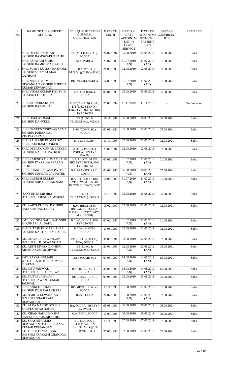| S.<br>No. | NAME OF THE OFFICER /<br><b>OFFICIAL</b>                                         | EDU. QUALIFICATION<br>& SPECIAL<br><b>QUALIFICATION</b>                       | DATE OF<br><b>BIRTH</b> | DATE OF<br><b>FIRST</b><br>APPOINTM<br><b>ENT IN</b> | <b>DATE OF</b><br><b>APPOINTME</b><br>NT TO THE<br>PRESENT | DATE OF<br><b>CONFIRMAT</b><br><b>ION</b> | <b>REMARKS</b> |
|-----------|----------------------------------------------------------------------------------|-------------------------------------------------------------------------------|-------------------------|------------------------------------------------------|------------------------------------------------------------|-------------------------------------------|----------------|
|           |                                                                                  |                                                                               |                         | GOVT.<br><b>SERVICE</b>                              | <b>POST</b>                                                |                                           |                |
| 15        | SHRI DEVESH KUMAR<br><b>S/O SHRI RAMSWARUP SAHU</b>                              | BE (MECHANICAL),<br><b>PGDCA</b>                                              | 24.02.1994              | 05.08.2019                                           | 05.08.2019                                                 | 05.08.2021                                | Subs.          |
| 16        | <b>SHRI ASHWANI SAHU</b><br>S/O SHRI RAMKUMAR SAHU                               | M.A. PGDCA                                                                    | 25.07.1989              | 31.07.2019<br>(AN)                                   | 31.07.2019<br>(AN)                                         | 01.08.2021                                | Subs.          |
| 17        | <b>SHRI SUMIT KUMAR RATHORE</b><br><b>S/O SHRI VIJAY KUMAR</b><br><b>RATHORE</b> | BE (COMP. SC.),<br>$M.O.M.$ (@120 W.P.M.)                                     | 24.05.1995              | 02.08.2019                                           | 02.08.2019                                                 | 02.08.2021                                | Subs.          |
| 18        | <b>SHRI NILESH KUMAR</b><br>DEWANGAN S/O SHRI SURESH<br><b>KUMAR DEWANGAN</b>    | BE (MECH.), PGDCA                                                             | 14.03.1993              | 31.07.2019<br>(AN)                                   | 31.07.2019<br>(AN)                                         | 01.08.2021                                | Subs.          |
| 19        | <b>SHRI VIKAS KUMAR KAUSHIK</b><br><b>S/O SHRI CHHOTE LAL</b>                    | B.A, M.A (ENG.),<br><b>PGDCA</b>                                              | 05.01.1993              | 05.08.2019                                           | 05.08.2019                                                 | 05.08.2021                                | Subs.          |
| 20        | <b>SHRI JITENDRA KUMAR</b><br><b>S/O SHRI RADHE LAL</b>                          | B.SC(CS), ITI(COPA),<br>ITI (ENG STENO.),<br>ENG. TYP 30WPM, HIN<br>TYP 25WPM | 20.09.1992              | 11.11.2019                                           | 11.11.2019                                                 |                                           | On Probation   |
| 21        | <b>SHRI DAULAT RAM</b><br><b>S/O SHRI DANVEER</b>                                | BE (ELEC. &<br>TELECOMM.), PGDCA                                              | 19.11.1991              | 06.08.2019                                           | 06.08.2019                                                 | 06.08.2021                                | Subs.          |
| 22        | <b>SHRI NAVEEN VISHWAKARMA</b><br><b>S/O SHRI PURAN LAL</b><br>VISHVAKARMA       | B.SC (COMP. SC.),<br><b>PGDCA</b>                                             | 01.01.1992              | 05.08.2019                                           | 05.08.2019                                                 | 05.08.2021                                | Subs.          |
| 23        | <b>SHRI SAURABH KUMAR S/O</b><br><b>SHRI RAJA RAM SONKER</b>                     | B.A, I.T.I (COPA)                                                             | 11.10.1993              | 02.08.2019                                           | 02.08.2019                                                 | 02.08.2021                                | Subs.          |
| 24        | <b>SHRI DEEPAK KUMAR PATKER</b><br><b>S/O SHRI NARESH PATKER</b>                 | B.SC (COMP. SC.),<br>PGDCA, HIN TYP<br>25WPM                                  | 23.08.1994              | 02.08.2019                                           | 02.08.2019                                                 | 02.08.2021                                | Subs.          |
| 25        | SHRI RAJENDRA KUMAR SAHU<br>S/O SHRI DWARIKA PRASAD<br>SAHU                      | B.A, PGDCA, M.SW,<br>HIN TYP 25WPM, ENG<br>TYP 30WPM                          | 03.09.1991              | 31.07.2019<br>(AN)                                   | 31.07.2019<br>(AN)                                         | 01.08.2021                                | Subs.          |
| 26        | SHRI CHANDRAKANT PATEL<br>S/O SHRI SUNDAR LAL PATEL                              | B.A, M.A (SOC.), I.T.I<br>(COPA)                                              | 02.09.1988              | 06.08.2019<br>(AN)                                   | 06.08.2019<br>(AN)                                         | 07.08.2021                                | Subs.          |
| 27        | <b>SHRI GANESH KUMAR</b><br><b>S/O SHRI SHIVCHARAN SAHU</b>                      | B.A, ITI (COPA), HIN<br>TYP 25WPM, P.G.DIP.<br>IN YOG SCIENCE, D.ED           | 16.08.1990              | 31.07.2019<br>(AN)                                   | 31.07.2019<br>(AN)                                         | 01.08.2021                                | Subs.          |
|           | 28 SANYUKTA MISHRA<br>D/O SHRI RAJENDRA MISHRA                                   | BE (ELEC. &<br>TELECOMM.), PGDCA                                              | 16.10.1992              | 05.08.2019                                           | 05.08.2019                                                 | 05.08.2021                                | Subs.          |
| 29        | KU. AARTI DUBEY D/O SHRI<br>RAM KRISHAN DUBEY                                    | B.SC (BIO.), M.SC<br>(BOTANY), PGDCA,<br>B.ED, HIN TYP 25WPM,<br>M.A.(HINDI)  | 16.02.1990              | 02.08.2019                                           | 02.08.2019                                                 | 02.08.2021                                | Subs.          |
| 30        | SMT. VRINDA SAHU W/O SHRI<br><b>SHANKAR LAL SAHU</b>                             | B.COM, PGDCA, HIN<br>TYP 25WPM                                                | 01.02.1987              | 31.07.2019<br>(AN)                                   | 31.07.2019<br>(AN)                                         | 01.08.2021                                | Subs.          |
| 31        | <b>SHRI RITESH KUMAR LAHRE</b><br><b>S/O SHRI KARTIK RAM LAHRE</b>               | B.COM, M.COM,<br>PGDCA                                                        | 11.06.1990              | 02.08.2019                                           | 02.08.2019                                                 | 02.08.2021                                | Subs.          |
| 32        | KU. UJJWALA DEWANGAN<br>D/O SHRI L. R. DEWANGAN                                  | BE (ELEC. & TELE.),<br>DCA, PGDCA                                             | 31.08.1991              | 02.08.2019                                           | 02.08.2019                                                 | 02.08.2021                                | Subs.          |
| 33        | KU. ADITI DIWAN D/O SHRI<br>ARVIND KUMAR DIWAN                                   | BE (ELEC. &<br>TELECOMM.), PGDCA                                              | 21.03.1991              | 02.08.2019<br>(AN)                                   | 02.08.2019<br>(AN)                                         | 03.08.2021                                | Subs.          |
| 34        | <b>SMT. PAYAL KUMARI</b><br>W/O SHRI SANTOSH KUMAR<br><b>SHARMA</b>              | B.SC (COMP. SC.)                                                              | 07.05.1990              | 14.08.2019<br>(AN)                                   | 14.08.2019<br>(AN)                                         | 15.08.2021                                | Subs.          |
| 35        | KU. RITU JAISWAL<br>D/O SHRI SURESH JAISWAL                                      | B.SC (MICROBIO.),<br>PGDCA                                                    | 30.06.1993              | 14.08.2019<br>(AN)                                   | 14.08.2019<br>(AN)                                         | 15.08.2021                                | Subs.          |
| 36        | KU. TANYA JAISWAL<br>D/O SHRI PAWAN KUMAR<br><b>JAISWAL</b>                      | BE (ELECTRICAL),<br>PGDCA                                                     | 01.08.1993              | 05.08.2019                                           | 05.08.2019                                                 | 05.08.2021                                | Subs.          |
| 37        | <b>SHRI ANKEET KHARE</b><br><b>S/O SHRI DILE RAM KHARE</b>                       | BE (METALLURGY),<br>PGDCA                                                     | 17.11.1993              | 01.08.2019                                           | 01.08.2019                                                 | 01.08.2021                                | Subs.          |
| 38        | KU. BABITA DEWANGAN<br>D/O SHRI GHASI RAM<br>DEWANGAN                            | BCA, PGDCA                                                                    | 22.07.1989              | 01.08.2019<br>(AN)                                   | 01.08.2019<br>(AN)                                         | 02.08.2021                                | Subs.          |
| 39        | KU. ALKA NANDE D/O SHRI<br><b>SARVESHWAR NANDE</b>                               | BA, PGDCA, HIN TYP<br>@25WPM                                                  | 05.08.1990              | 06.08.2019                                           | 06.08.2019                                                 | 06.08.2021                                | Subs.          |
| 40        | KU. KIRAN SAHU D/O SHRI<br>RAJENDRA KUMAR SAHU                                   | M.A (ECO.), PGDCA                                                             | 17.09.1995              | 09.08.2019                                           | 09.08.2019                                                 | 09.08.2021                                | Subs.          |
| 41        | KU. SHASHIPRABHA<br>DEWANGAN D/O SHRI SANAT<br>KUMAR DEWANGAN                    | BA, M.A(ECO),<br>ITI(COPA), HIN<br>SHORTHAND @100                             | 22.11.1993              | 07.08.2019                                           | 07.08.2019                                                 | 07.08.2021                                | Subs.          |
| 42        | KU. TRIPTI DEWANGAN<br>D/O SHRI PRAKASH CHANDRA<br>DEWANGAN                      | BE (COMP. SC.)                                                                | 27.06.1992              | 02.08.2019                                           | 02.08.2019                                                 | 02.08.2021                                | Subs.          |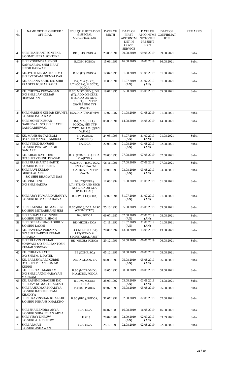| S.<br>No. | NAME OF THE OFFICER /<br><b>OFFICIAL</b>                                                            | <b>EDU. QUALIFICATION</b><br>& SPECIAL                                                                               | DATE OF<br><b>BIRTH</b> | DATE OF<br><b>FIRST</b>            | DATE OF<br><b>APPOINTME</b>                | DATE OF<br><b>CONFIRMAT</b> | <b>REMARKS</b> |
|-----------|-----------------------------------------------------------------------------------------------------|----------------------------------------------------------------------------------------------------------------------|-------------------------|------------------------------------|--------------------------------------------|-----------------------------|----------------|
|           |                                                                                                     | <b>QUALIFICATION</b>                                                                                                 |                         | APPOINTM<br><b>ENT IN</b><br>GOVT. | NT TO THE<br><b>PRESENT</b><br><b>POST</b> | <b>ION</b>                  |                |
| 43        | <b>SHRI PRASHANT SONTEKE</b>                                                                        | BE (EEE), PGDCA                                                                                                      | 23.05.1991              | <b>SERVICE</b><br>09.08.2019       | 09.08.2019                                 | 09.08.2021                  | Subs.          |
| 44        | <b>S/O SMT HEERA SONTEKE</b><br>SHRI YOGENDRA SINGH<br>KANWAR S/O SHRI FIRAT<br><b>SINGH KANWAR</b> | B.COM, PGDCA                                                                                                         | 15.09.1991              | 16.08.2019                         | 16.08.2019                                 | 16.08.2021                  | Subs.          |
| 45        | KU. JYOTI NIRMALKAR D/O<br><b>SHRI VEDRAM NIRMALKAR</b>                                             | B.SC (IT), PGDCA                                                                                                     | 12.04.1996              | 01.08.2019                         | 01.08.2019                                 | 01.08.2021                  | Subs.          |
| 46        | KU. SAPANA SAHU D/O SHRI<br><b>PRADEEP KUMAR SAHU</b>                                               | BA, M.A.(SOC.),<br>I.T.I(COPA), M.SC(IT),<br>PGDCA                                                                   | 11.05.1991              | 31.07.2019<br>(AN)                 | 31.07.2019<br>(AN)                         | 01.08.2021                  | Subs.          |
| 47        | KU. CHETNA DEWANGAN<br>D/O SHRI LAV KUMAR<br><b>DEWANGAN</b>                                        | B.SC, M.SC (PHY.), DIP.<br>(IT), ADD-ON-CERT.<br>(IT), ADD-ON-ADV.-<br>DIP. (IT), HIN TYP<br>25WPM, ENG TYP<br>30WPM | 19.07.1995              | 05.08.2019                         | 05.08.2019                                 | 05.08.2021                  | Subs.          |
| 48        | <b>SHRI NARESH KUMAR KHUNTE</b><br><b>S/O SHRI BALA RAM</b>                                         | BCA, HIN TYP 25WPM                                                                                                   | 12.07.1987              | 01.08.2019                         | 01.08.2019                                 | 01.08.2021                  | Subs.          |
| 49        | SHRI MOHIT KUMAR<br>GARHEWAL S/O SHRI LATEL<br><b>RAM GARHEWAL</b>                                  | BA, MA (ECO.),<br>PGDCA, HIN TYP<br>25WPM, M.O.M. (@120<br>W.P.M.)                                                   | 05.03.1991              | 14.08.2019                         | 14.08.2019                                 | 14.08.2021                  | Subs.          |
| 50        | KU. MANISHA TAMBOLI<br>D/O SHRI MANOJ TAMBOLI                                                       | BA, PGDCA,<br>M.A(HINDI)                                                                                             | 24.05.1995              | 31.07.2019<br>(AN)                 | 31.07.2019<br>(AN)                         | 01.08.2021                  | Subs.          |
| 51        | <b>SHRI VINOD BANJARE</b><br>S/O SHRI PRATAP SINGH<br><b>BANJARE</b>                                | BA, DCA                                                                                                              | 22.09.1995              | 01.08.2019<br>(AN)                 | 01.08.2019<br>(AN)                         | 02.08.2021                  | Subs.          |
| 52        | KU. KIRAN RATHORE<br>D/O SHRI VISHNU PRASAD                                                         | B.SC (COMP. SC.), DCA,<br>M.A(ENG.)                                                                                  | 20.03.1993              | 07.08.2019                         | 07.08.2019                                 | 07.08.2021                  | Subs.          |
| 53        | <b>SHRI PRASHANT BHARTE</b><br>S/O SHRI B. R. BHARTE                                                | M.A.(SOC), B.SC, DCA,<br>HIN TYP 25WPM                                                                               | 06.11.1996              | 07.08.2019                         | 07.08.2019                                 | 07.08.2021                  | Subs.          |
| 54        | <b>SHRI RAVI KUMAR</b><br><b>GHRITLAHARE</b><br>S/O SHRI BHAGWAN DAS                                | BCA, DCA, HIN TYP<br>25WPM                                                                                           | 19.08.1990              | 03.08.2019<br>(AN)                 | 03.08.2019<br>(AN)                         | 04.08.2021                  | Subs.          |
| 55        | KU. VINODINI<br><b>D/O SHRI HADIPA</b>                                                              | BA, ITI(COPA),<br><b>I.T.I(STENO AND SECR</b><br>ASST. HINDI), M.A.<br>(POLITICAL)                                   | 12.08.1994              | 01.08.2019                         | 01.08.2019                                 | 01.08.2021                  | Subs.          |
| 56        | SHRI AJAY KUMAR DAHARIYA<br>S/O SHRI KUMAR DAHAIYA                                                  | B.COM, I.T.I(COPA)                                                                                                   | 12.02.1994              | 31.07.2019<br>(AN)                 | 31.07.2019<br>(AN)                         | 01.08.2021                  | Subs.          |
| 57        | <b>SHRI KAUSHAL KUMAR JERI</b><br>S/O SHRI MITRABHANU JERI                                          | B.SC (BIO.), DCA, M.SC<br>(CHEMISTRY)                                                                                | 25.10.1993              | 05.08.2019                         | 05.08.2019                                 | 05.08.2021                  | Subs.          |
| 58        | <b>SHRI BHAIYA LAL SINGH</b><br>S/O SHRI SUDHIR SINGH                                               | BA, PGDCA                                                                                                            | 09.07.1987              | 07.08.2019<br>(AN)                 | 07.08.2019<br>(AN)                         | 08.08.2021                  | Subs.          |
| 59        | <b>SHRI DEEPAK SINGH DHRUV</b><br><b>S/O SHRI LAXMI</b>                                             | BE (MECH.), DCA                                                                                                      | 01.11.1992              | 31.07.2019<br>(AN)                 | 31.07.2019<br>(AN)                         | 01.08.2021                  | Subs.          |
| 60        | KU. RAVEENA PURAINA<br>D/O SHRI NARESH KUMAR<br><b>PURAINA</b>                                      | B.COM, I.T.I(COPA),<br>I.T.I(STENO. &<br>SECRETARIAL ASST.)                                                          | 20.09.1994              | 13.08.2019                         | 13.08.2019                                 | 13.08.2021                  | Subs.          |
| 61        | <b>SHRI PRAVIN KUMAR</b><br>SONWANI S/O SHRI SANTOSH<br><b>KUMAR SONWANI</b>                        | BE (MECH.), PGDCA                                                                                                    | 29.12.1991              | 06.08.2019                         | 06.08.2019                                 | 06.08.2021                  | Subs.          |
| 62        | KU. CHHAYA PATEL<br>D/O SHRI M. L. PATEL                                                            | BE (COMP. SC.)                                                                                                       | 05.12.1991              | 08.08.2019                         | 08.08.2019                                 | 08.08.2021                  | Subs.          |
| 63        | KU. PARESHWARI KURRE<br>D/O SHRI MILAN KUMAR<br><b>KURRE</b>                                        | DIP. IN M.O.M, BA                                                                                                    | 06.03.1996              | 05.08.2019<br>(AN)                 | 05.08.2019<br>(AN)                         | 06.08.2021                  | Subs.          |
| 64        | KU. SHEETAL MARKAM<br>D/O SHRI LAXMI NARAYAN<br><b>MARKAM</b>                                       | B.SC (MICROBIO.),<br>M.A.(ENG), PGDCA                                                                                | 18.05.1990              | 08.08.2019                         | 08.08.2019                                 | 08.08.2021                  | Subs.          |
| 65        | KU. RASHMI DHAGESH D/O<br>SHRI JAY KUMAR DHAGESH                                                    | B.COM, M.COM,<br><b>PGDCA</b>                                                                                        | 28.09.1992              | 03.08.2019<br>(AN)                 | 03.08.2019<br>(AN)                         | 04.08.2021                  | Subs.          |
| 66        | SHRI RAJKUMAR KHADIYA<br>S/O SHRI RADHESHYAM<br><b>KHADIYA</b>                                      | B.COM, PGDCA                                                                                                         | 09.07.1995              | 05.08.2019                         | 05.08.2019                                 | 05.08.2021                  | Subs.          |
| 67        | <b>SHRI PRAVINSHAN KHALKHO</b><br><b>S/O SHRI NEHANS KHALKHO</b>                                    | B.SC (BIO.), PGDCA,                                                                                                  | 31.07.1992              | 02.08.2019                         | 02.08.2019                                 | 02.08.2021                  | Subs.          |
| 68        | <b>SHRI SHAILENDRA ARYA</b><br>S/O SHRI SURAJ BHAN ARYA                                             | BCA, MCA                                                                                                             | 04.07.1989              | 16.08.2019                         | 16.08.2019                                 | 16.08.2021                  | Subs.          |
| 69        | <b>SHRI VIJAY DHRUW</b><br>S/O SHRI A. L. DHRUW                                                     | B.E. (IT)                                                                                                            | 20.04.1987              | 02.09.2019<br>(AN)                 | 02.09.2019<br>(AN)                         | 03.09.2021                  | Subs.          |
| 70        | <b>SHRI ARMAN</b><br><b>S/O SHRI ASHAWAN</b>                                                        | BCA, MCA                                                                                                             | 25.12.1993              | 02.08.2019                         | 02.08.2019                                 | 02.08.2021                  | Subs.          |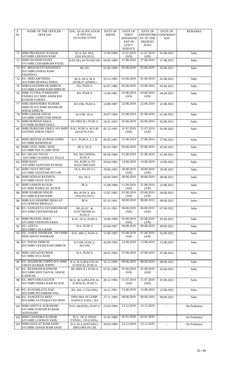| S.  | NAME OF THE OFFICER /                                     | <b>EDU. QUALIFICATION</b>                     | <b>DATE OF</b> | <b>DATE OF</b>           | DATE OF                | <b>DATE OF</b>                 | <b>REMARKS</b> |
|-----|-----------------------------------------------------------|-----------------------------------------------|----------------|--------------------------|------------------------|--------------------------------|----------------|
| No. | <b>OFFICIAL</b>                                           | & SPECIAL<br><b>QUALIFICATION</b>             | <b>BIRTH</b>   | <b>FIRST</b><br>APPOINTM | APPOINTME<br>NT TO THE | <b>CONFIRMAT</b><br><b>ION</b> |                |
|     |                                                           |                                               |                | <b>ENT IN</b>            | PRESENT                |                                |                |
|     |                                                           |                                               |                | GOVT.<br><b>SERVICE</b>  | <b>POST</b>            |                                |                |
| 71  | <b>SHRI PRASHANT KUMAR</b>                                | DCA, BA, M.A.                                 | 11.09.1988     | 31.07.2019               | 31.07.2019             | 01.08.2021                     | Subs.          |
| 72  | S/O SHRI LEKHAN RAM<br><b>SHRI JAGDISH PATEL</b>          | (SOCIOLOGY)<br>B.E(CSE), M.TECH(CSE)          | 04.06.1989     | (AN)<br>27.08.2019       | (AN)<br>27.08.2019     | 27.08.2021                     | Subs.          |
|     | S/O SHRI CHHABIRAM PATEL                                  |                                               |                |                          |                        |                                |                |
| 73  | KU. BHAGWATI KHANDAY<br>D/O SHRI DARAS RAM                | BE (IT)                                       | 01.06.1990     | 05.08.2019               | 05.08.2019             | 05.08.2021                     | Subs.          |
|     | <b>KHANDAY</b>                                            |                                               |                |                          |                        |                                |                |
| 74  | KU. NEELAM PISDA<br>D/O SHRI DEWRAJ PISDA                 | BCA, DCA, M.A<br>(PUBLIC ADMIN.)              | 19.12.1995     | 01.08.2019               | 01.08.2019             | 01.08.2021                     | Subs.          |
| 75  | <b>SHRI KALESHWAR DHRUW</b><br>S/O SHRI GAIND RAM DHRUW   | BA, PGDCA                                     | 02.07.1986     | 03.08.2019               | 03.08.2019             | 03.08.2021                     | Subs.          |
| 76  | <b>SHRI YUVRAJ PARIKSHIT</b>                              | BA, PGDCA                                     | 13.09.1991     | 03.08.2019               | 03.08.2019             | 04.08.2021                     | Subs.          |
|     | PAIKRA S/O SHRI ASHWANI<br>KUMAR PAIKRA                   |                                               |                | (AN)                     | (AN)                   |                                |                |
| 77  | <b>SHRI DEWENDRA KUMAR</b>                                | M.COM, PGDCA                                  | 14.08.1987     | 22.08.2019               | 22.08.2019             | 22.08.2021                     | Subs.          |
|     | DHRUW S/O SHRI SHANKAR<br><b>SINGH DHRUW</b>              |                                               |                |                          |                        |                                |                |
| 78  | <b>SHRI SAMAR SINGH</b><br><b>S/O SHRI SAHETTAR SINGH</b> | B.COM, DCA,                                   | 20.07.1994     | 01.08.2019               | 01.08.2019             | 01.08.2021                     | Subs.          |
| 79  | SHRI ROSHAN EKKA<br><b>S/O SHRI RUBEN EKKA</b>            | BE (MECH.), PGDCA                             | 24.01.1993     | 02.08.2019               | 02.08.2019             | 02.08.2021                     | Subs.          |
| 80  | SHRI DURGESH UIKEY S/O SHRI                               | B.SC. PGDCA, M.O.M.                           | 05.12.1993     | 31.07.2019               | 31.07.2019             | 01.08.2021                     | Subs.          |
|     | <b>GOVIND SINGH UIKEY</b>                                 | (Q0120 W.P.M.)                                |                | (AN)                     | (AN)                   |                                |                |
| 81  | SHRI DEEPAK KUMAR GOND                                    | B.A., PGDCA, L.L.B.                           | 09.05.1991     | 27.08.2019               | 27.08.2019             | 27.08.2021                     | Subs.          |
| 82  | <b>S/O SHRI RAMSINGH</b><br><b>SHRI ATUL SERU XESS</b>    | BCA, DCA                                      | 05.03.1993     | 05.08.2019               | 05.08.2019             | 05.08.2021                     | Subs.          |
| 83  | S/O SHRI POLYCARP XESS<br>KU. BILASI TIGGA                | BA, MA (HINDI),                               | 08.08.1986     | 01.08.2019               | 01.08.2019             | 01.08.2021                     | Subs.          |
| 84  | D/O SHRI STANISLAS TIGGA<br><b>SHRI RAJU</b>              | <b>PGDCA</b><br>BA, PGDCA, ITI                |                | 14.08.2019               | 14.08.2019             |                                |                |
|     | S/O SHRI SANTOSH KUMAR                                    | (ELECTRICIAN)                                 | 29.04.1992     |                          |                        | 14.08.2021                     | Subs.          |
| 85  | <b>SHRI VIJAY NETAM</b><br><b>S/O SHRI SANTOSH NETAM</b>  | DCA, BA (ECO.)                                | 29.06.1995     | 28.08.2019<br>(AN)       | 28.08.2019<br>(AN)     | 29.08.2021                     | Subs.          |
| 86  | SHRI SONSAI RATHIYA<br><b>S/O SHRI UDAY NATH</b>          | BA, DCA                                       | 04.09.1994     | 08.08.2019               | 08.08.2019             | 08.08.2021                     | Subs.          |
| 87  | <b>SHRI SAIHON KUJUR</b><br><b>S/O SHRI BABULAL KUJUR</b> | <b>BCA</b>                                    | 15.08.1990     | 21.08.2019<br>(AN)       | 21.08.2019<br>(AN)     | 22.08.2021                     | Subs.          |
| 88  | <b>SHRI RAMESH SINGH</b><br><b>S/O SHRI KASHI RAM</b>     | BA, PGDCA, MA<br>(SOCIOLOGY)                  | 15.07.1992     | 03.08.2019<br>(AN)       | 03.08.2019<br>(AN)     | 04.08.2021                     | Subs.          |
| 89  | SHRI RAJ KISHORE BHAGAT                                   | <b>BCA</b>                                    | 05.10.1991     | 08.08.2019               | 08.08.2019             | 08.08.2021                     | Subs.          |
| 90  | <b>S/O JANPAD BHAGAT</b><br>KU. SANGEETA JATASHANKAR      | BE (ELEC. &                                   | 01.01.1991     | 06.08.2019               | 06.08.2019             | 07.08.2021                     | Subs.          |
|     | D/O SHRI UMASHANKAR                                       | ELECTRONICS),<br>PGDCA                        |                | (AN)                     | (AN)                   |                                |                |
| 91  | <b>SHRI PRANJIL EKKA</b><br><b>S/O SHRI STEPHAN EKKA</b>  | B.SC, DCA, PGDCA                              | 16.06.1990     | 02.08.2019<br>(AN)       | 02.08.2019<br>(AN)     | 03.08.2021                     | Subs.          |
| 92  | KU. GEETA<br>D/O SHRI LALA RAM                            | B.A, PGDCA                                    | 03.04.1987     | 09.08.2019               | 09.08.2019             | 09.08.2021                     | Subs.          |
| 93  | KU. SAROJ SINDRAM D/O SHRI                                | B.SC (BIO.), PGDCA                            | 13.06.1992     | 01.08.2019               | 01.08.2019             | 02.08.2021                     | Subs.          |
| 94  | HEM SINGH SINDRAM<br>KU. POOJA DHRUW                      | B.COM, PGDCA,                                 |                | (AN)<br>13.08.2019       | (AN)<br>13.08.2019     |                                |                |
|     | D/O SHRI UKESH RAM DHRUW                                  | M.COM                                         | 26.09.1995     |                          |                        | 13.08.2021                     | Subs.          |
| 95  | <b>SHRI ANGAD KUMAR</b>                                   | B.A, PGDCA                                    | 28.01.1992     | 07.08.2019               | 07.08.2019             | 07.08.2021                     | Subs.          |
|     | <b>S/O SHRI SITA RAM</b>                                  |                                               |                |                          |                        |                                |                |
| 96  | KU. MADHURI TOPPO D/O SHRI<br>VINAY KUMAR TOPPO           | B.A, M.A.(POLITICAL<br><b>SCIENCE), PGDCA</b> | 16.12.1990     | 08.08.2019               | 08.08.2019             | 08.08.2021                     | Subs.          |
| 97  | KU. RUKMANI KANWAR<br>D/O SHRI SHIV DAYAL SINGH           | BE (MECH.), PGDCA                             | 07.05.1990     | 01.08.2019<br>(AN)       | 01.08.2019<br>(AN)     | 02.08.2021                     | Subs.          |
| 98  | <b>KANWAR</b><br>KU. PRIYANKA KUJUR                       | BCA, M.A.(POLITICAL                           | 28.12.1994     | 31.07.2019               | 31.07.2019             | 01.08.2021                     | Subs.          |
|     | D/O SHRI INDRA RAM KUJUR                                  | <b>SCIENCE), PGDCA</b>                        |                | (AN)                     | (AN)                   |                                |                |
| 99  | KU. KUSUMLATA NAG<br>D/O SHRI PITAMBAR NAG                | BA, MA, I.T.I(COPA)                           | 14.11.1991     | 13.08.2019               | 13.08.2019             | 13.08.2021                     | Subs.          |
| 100 | KU. SANGEETA MINJ<br>D/O SHRI SATNARAYAN MINJ             | DIPLOMA IN COMP.<br><b>SCIENCE ENGG., BA</b>  | 27.11.1990     | 08.08.2019               | 08.08.2019             | 08.08.2021                     | Subs.          |
|     | 101 SHRI ADITYA AGRAHARI                                  | B.SC (MATHS), PGDCA                           | 23.03.1994     | 23.12.2019               | 23.12.2019             | $\overline{\phantom{a}}$       | On Probation   |
|     | <b>S/O SHRI SURESH KUMAR</b><br><b>AGRAHARI</b>           |                                               |                |                          |                        |                                |                |
|     | 102 SHRI CHANDRA KUMAR<br>S/O SHRI LAXMAN SAHU            | M.A., DCA, HINDI<br>TYPING, ITI (COPA),       | 31.05.1988     | 02.01.2020               | 02.01.2020             | $\blacksquare$                 | On Probation   |
| 103 | <b>SHRI DAULAT RAM SAHU</b>                               | B.A, M.A.(HISTORY),                           | 30.05.1989     | 23.12.2019               | 23.12.2019             | $\blacksquare$                 | On Probation   |
|     | S/O SHRI JANAK RAM SAHU                                   | DIPLOMA IN CSE                                |                |                          |                        |                                |                |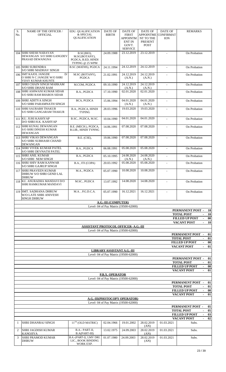| S.           | NAME OF THE OFFICER /                                                              | <b>EDU. QUALIFICATION</b>                                  | <b>DATE OF</b>                    | DATE OF                               | <b>DATE OF</b>         | DATE OF                        | <b>REMARKS</b>                                                                      |
|--------------|------------------------------------------------------------------------------------|------------------------------------------------------------|-----------------------------------|---------------------------------------|------------------------|--------------------------------|-------------------------------------------------------------------------------------|
| No.          | <b>OFFICIAL</b>                                                                    | & SPECIAL<br>QUALIFICATION                                 | <b>BIRTH</b>                      | <b>FIRST</b><br>APPOINTM              | APPOINTME<br>NT TO THE | <b>CONFIRMAT</b><br><b>ION</b> |                                                                                     |
|              |                                                                                    |                                                            |                                   | <b>ENT IN</b>                         | PRESENT                |                                |                                                                                     |
|              |                                                                                    |                                                            |                                   | GOVT.<br><b>SERVICE</b>               | <b>POST</b>            |                                |                                                                                     |
| 104          | <b>SHRI SHESH NARAYAN</b>                                                          | B.SC(BIO),                                                 | 24.09.1988                        | 23.12.2019                            | 23.12.2019             | ÷.                             | On Probation                                                                        |
|              | DEWANGAN S/O SHRI GANGDEV<br>PRASAD DEWANGNA                                       | M.SC(BOTANY),<br>PGDCA, B.ED, HINDI                        |                                   |                                       |                        |                                |                                                                                     |
|              | 105 SHRI SURENDRA                                                                  | TYPING @ 25 WPM                                            |                                   |                                       |                        |                                |                                                                                     |
|              | <b>S/O SHRI MADHAV SINGH</b>                                                       | B.SC (MATHS), PGDCA                                        | 24.11.1994                        | 24.12.2019                            | 24.12.2019             | $\blacksquare$                 | On Probation                                                                        |
| 106          | D/<br><b>SMT KAJOL JANGDE</b><br>O SHRI N C JANGDE W/O SHRI<br>VIJAY KUMAR KHUNTE  | M.SC (BOTANY),<br>PGDCA                                    | 21.02.1991                        | 24.12.2019<br>(A.N.)                  | 24.12.2019<br>(A.N.)   | ÷.                             | On Probation                                                                        |
| 107          | SHRI CHAIN SINGH MARKAM                                                            | M.COM, PGDCA                                               | 09.10.1990                        | 24.12.2019                            | 24.12.2019             | $\blacksquare$                 | On Probation                                                                        |
| 108          | <b>S/O SHRI DHANI RAM</b><br>SHRI ASHWANI KUMAR SIDAR<br>S/O SHRI RAM BHAROS SIDAR | B.A., PGDCA                                                | 17.10.1990                        | (A.N.)<br>02.01.2020                  | (A.N.)<br>02.01.2020   | $\mathbf{r}$                   | On Probation                                                                        |
| 109          | <b>SHRI ADITYA SINGH</b><br>S/O SHRI PARAMNATH SINGH                               | BCA, PGDCA                                                 | 15.06.1994                        | 04.01.2020<br>(A.N.)                  | 04.01.2020<br>(A.N.)   | $\blacksquare$                 | On Probation                                                                        |
| 110          | <b>SHRI SAURABH THAKUR</b><br>S/O SHRI GANGARAM THAKUR                             | B.A., PGDCA, HINDI<br><b>TYPING</b>                        | 28.03.1996                        | 19.03.2020                            | 19.03.2020             | $\blacksquare$                 | On Probation                                                                        |
| 111          | KU. JUHI KASHYAP<br>D/O SHRI H.K. KASHYAP                                          | B.SC., PGDCA, M.SC.                                        | 10.04.1990                        | 04.01.2020                            | 04.01.2020             | $\sim$                         | On Probation                                                                        |
| 112          | <b>SHRI KUNAL DEWANGAN</b><br><b>S/O SHRI DINESH KUMAR</b><br><b>DEWANGAN</b>      | B.E. (MECH.), PGDCA,<br><b>B.LIB., HINDI TYPING</b>        | 14.06.1991                        | 07.08.2020                            | 07.08.2020             | $\blacksquare$                 | On Probation                                                                        |
| 113          | <b>SHRI VIKAS DEWANGAN</b><br><b>S/O SHRI SUBHASH CHAND</b><br>DEWANGAN            | B.E. (CSE),                                                | 19.06.1990                        | 07.08.2020                            | 07.08.2020             | ÷.                             | On Probation                                                                        |
| 114          | <b>SHRI VIVEK KUMAR PATEL</b><br><b>S/O SHRI DEVNATH PATEL</b>                     | B.A., PGDCA                                                | 06.08.1991                        | 05.08.2020                            | 05.08.2020             |                                | On Probation                                                                        |
| 115          | <b>SHRI ANIL KUMAR</b><br><b>S/O SHRI NEM SINGH</b>                                | B.A., PGDCA                                                | 05.10.1995                        | 24.08.2020<br>(A.N.)                  | 24.08.2020<br>(A.N.)   | $\blacksquare$                 | On Probation                                                                        |
| 116          | <b>SHRI SHIV RAM KANWAR</b><br>S/O SHRI GAJRUP SINGH                               | B.A., ITI (COPA)                                           | 20.03.1992                        | 05.08.2020                            | 05.08.2020             |                                | On Probation                                                                        |
| 117          | <b>SHRI PRAVEEN KUMAR</b><br>DHRUW S/O SHRI GEND LAL<br><b>DHRUW</b>               | M.A., PGDCA                                                | 05.07.1990                        | 10.08.2020                            | 10.08.2020             |                                | On Probation                                                                        |
|              | 118 KU. ANURADHA MANDAVI D/O<br>SHRI RAMKUMAR MANDAVI                              | M.SC., PGDCA                                               | 13.07.1992                        | 14.08.2020                            | 14.08.2020             |                                | On Probation                                                                        |
| 119          | <b>SMT. SADHANA DHRUW</b><br>W/O LATE SHRI ANIVESH<br><b>SINGH DHRUW</b>           | M.A., P.G.D.C.A.                                           | 05.07.1990                        | 16.12.2021                            | 16.12.2021             |                                | On Probation                                                                        |
|              |                                                                                    |                                                            | A.G.-III (COMPUTER)               |                                       |                        |                                |                                                                                     |
|              |                                                                                    |                                                            |                                   | Level- 04 of Pay Matrix (19500-62000) |                        |                                | PERMANENT POST -<br>10                                                              |
|              |                                                                                    |                                                            |                                   |                                       |                        |                                | <b>TOTAL POST</b><br><b>10</b>                                                      |
|              |                                                                                    |                                                            |                                   |                                       |                        |                                | <b>FILLED UP POST</b><br>00                                                         |
|              |                                                                                    | <b>ASSISTANT PROTOCOL OFFICER- A.G.-III</b>                |                                   |                                       |                        |                                | <b>VACANT POST</b><br>10<br>$\sim 10$                                               |
|              |                                                                                    |                                                            |                                   | Level- 04 of Pay Matrix (19500-62000) |                        |                                |                                                                                     |
|              |                                                                                    |                                                            |                                   |                                       |                        |                                | PERMANENT POST<br>01<br><b>TOTAL POST</b><br>01<br>$\blacksquare$                   |
|              |                                                                                    |                                                            |                                   |                                       |                        |                                | <b>FILLED UP POST</b><br>00<br>$\overline{\phantom{a}}$                             |
|              |                                                                                    |                                                            |                                   |                                       |                        |                                | <b>VACANT POST</b><br>01<br>$\sim$                                                  |
|              |                                                                                    |                                                            | <b>LIBRARY ASSISTANT A.G.-III</b> | Level- 04 of Pay Matrix (19500-62000) |                        |                                |                                                                                     |
|              |                                                                                    |                                                            |                                   |                                       |                        |                                | PERMANENT POST -<br>01                                                              |
|              |                                                                                    |                                                            |                                   |                                       |                        |                                | <b>TOTAL POST</b><br>01<br>$\blacksquare$<br><b>FILLED UP POST</b><br>00            |
|              |                                                                                    |                                                            |                                   |                                       |                        |                                | <b>VACANT POST</b><br>01<br>$\overline{\phantom{a}}$                                |
|              |                                                                                    |                                                            | P.B.X. OPERATOR                   | Level- 04 of Pay Matrix (19500-62000) |                        |                                |                                                                                     |
|              |                                                                                    |                                                            |                                   |                                       |                        |                                | PERMANENT POST -<br>01                                                              |
|              |                                                                                    |                                                            |                                   |                                       |                        |                                | <b>TOTAL POST</b><br>01<br>$\overline{\phantom{a}}$                                 |
|              |                                                                                    |                                                            |                                   |                                       |                        |                                | <b>FILLED UP POST</b><br>00<br><b>VACANT POST</b><br>01<br>$\overline{\phantom{a}}$ |
|              |                                                                                    |                                                            |                                   | <b>A.G.-III(PHOTOCOPY OPERATOR)</b>   |                        |                                |                                                                                     |
|              |                                                                                    |                                                            |                                   | Level- 04 of Pay Matrix (19500-62000) |                        |                                | PERMANENT POST -<br>05                                                              |
|              |                                                                                    |                                                            |                                   |                                       |                        |                                | <b>TOTAL POST</b><br>05                                                             |
|              |                                                                                    |                                                            |                                   |                                       |                        |                                | <b>FILLED UP POST</b><br>03                                                         |
| $\mathbf{1}$ | SHRI DHANRAJ SINGH                                                                 | $11TH$ (OLD MATRIC)                                        | 02.04.1966                        | 19.01.2002                            | 28.02.2019<br>(AN)     | 01.03.2021                     | <b>VACANT POST</b><br>02<br>Subs.                                                   |
| 2            | SHRI JAGDISH KUMAR<br><b>KANOJIYA</b>                                              | B.A.- PART-II,<br>B.A(PART-III)                            | 13.02.1975                        | 24.09.2003                            | 28.02.2019<br>(AN)     | 01.03.2021                     | Subs.                                                                               |
| 3            | <b>SHRI PRAMOD KUMAR</b><br><b>DHRUW</b>                                           | B.A.-(PART-I), LMV DRI.<br>LIC., BOOK BINDING<br>WORK EXP. | 01.07.1980                        | 24.09.2003                            | 28.02.2019<br>(AN)     | 01.03.2021                     | Subs.                                                                               |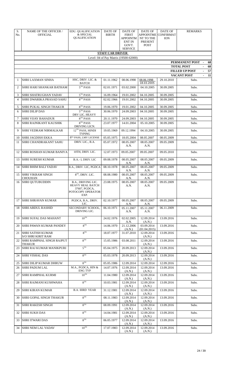| S.           | NAME OF THE OFFICER /                                 | <b>EDU. QUALIFICATION</b>              | DATE OF                  | DATE OF                               | <b>DATE OF</b>                | DATE OF                        | <b>REMARKS</b>                                 |
|--------------|-------------------------------------------------------|----------------------------------------|--------------------------|---------------------------------------|-------------------------------|--------------------------------|------------------------------------------------|
| No.          | <b>OFFICIAL</b>                                       | & SPECIAL<br><b>QUALIFICATION</b>      | <b>BIRTH</b>             | <b>FIRST</b><br><b>APPOINTM</b>       | <b>APPOINTME</b><br>NT TO THE | <b>CONFIRMAT</b><br><b>ION</b> |                                                |
|              |                                                       |                                        |                          | <b>ENT IN</b>                         | <b>PRESENT</b>                |                                |                                                |
|              |                                                       |                                        |                          | GOVT.<br><b>SERVICE</b>               | <b>POST</b>                   |                                |                                                |
|              |                                                       |                                        | <b>STAFF CAR DRIVER</b>  |                                       |                               |                                |                                                |
|              |                                                       |                                        |                          | Level- 04 of Pay Matrix (19500-62000) |                               |                                |                                                |
|              |                                                       |                                        |                          |                                       |                               |                                | PERMANENT POST<br>68                           |
|              |                                                       |                                        |                          |                                       |                               |                                | <b>TOTAL POST</b><br>68                        |
|              |                                                       |                                        |                          |                                       |                               |                                | <b>FILLED UP POST</b><br>57                    |
| $\mathbf{1}$ | SHRI LAXMAN SINHA                                     | HSC, DRIV. LIC. &                      | 01.11.1962               | 08.06.1998                            | 08.06.1998                    | 29.10.2010                     | <b>VACANT POST</b><br>11<br>$\sim 10$<br>Subs. |
|              |                                                       | <b>BATCH</b>                           |                          |                                       | 18.03.2005                    |                                |                                                |
| 2            | SHRI HARI SHANKAR BATHAM                              | $5TH$ PASS                             | 02.01.1971               | 03.02.2000                            | 04.10.2005                    | 30.09.2005                     | Subs.                                          |
| 3            | SHRI SHATRUGHAN YADAV                                 | $5TH$ PASS                             | 16.09.1964               | 19.01.2002                            | 04.10.2005                    | 30.09.2005                     | Subs.                                          |
| 4            | SHRI DWARIKA PRASAD SAHU                              | $8TH$ PASS                             | 02.02.1966               | 19.01.2002                            | 04.10.2005                    | 30.09.2005                     | Subs.                                          |
| 5            | <b>SHRI PUKAL SINGH THAKUR</b>                        | $8TH$ PASS                             | 19.06.1970               | 19.01.2002                            | 04.10.2005                    | 30.09.2005                     | Subs.                                          |
| 6            | <b>SHRI DILIP DAS</b>                                 | 5TH PASS                               | 30.06.1970               | 24.09.2003                            | 04.10.2005                    | 30.09.2005                     | Subs.                                          |
|              |                                                       | DRV LIC. HEAVY                         |                          |                                       |                               |                                |                                                |
| 7<br>8       | <b>SHRI VIJAY BAHADUR</b><br> SHRI RAJNIKANT KAUSHIK  | $8TH$ PASS<br>8TH PASS                 | 20.11.1970<br>23.07.1977 | 24.09.2003<br>14.01.2004              | 04.10.2005<br>05.10.2005      | 30.09.2005<br>30.09.2005       | Subs.<br>Subs.                                 |
|              |                                                       | DRIVING LICN.                          |                          |                                       |                               |                                |                                                |
| 9            | <b>SHRI VEDRAM NIRMALKAR</b>                          | 12TH PASS, HINDI<br><b>TYPING</b>      | 19.05.1969               | 09.12.1994                            | 04.10.2005                    | 30.09.2005                     | Subs.                                          |
| 10           | <b>SHRI JAGDISH EKKA</b>                              | 8 <sup>TH</sup> PASS, LMV LICENSE      | 05.05.1975               | 18.05.2004                            | 08.05.2007                    | 08.05.2009                     | Subs.                                          |
| 11           | SHRI CHANDRAKANT SAHU                                 | DRIV. LIC., B.A.                       | 05.07.1972               | 08.05.2007                            | 08.05.2007                    | 09.05.2009                     | Subs.                                          |
|              |                                                       |                                        |                          | A.N.                                  | A.N.                          |                                |                                                |
| 12           | <b>SHRI ROSHAN KUMAR BANIYA</b>                       | 10TH, DRIV. LIC.                       | 12.07.1973               | 09.05.2007                            | 09.05.2007                    | 09.05.2010                     | Subs.                                          |
| 13           | <b>SHRI SURESH KUMAR</b>                              | B.A.- I, DRIV. LIC                     | 09.08.1978               | 08.05.2007                            | 08.05.2007                    | 09.05.2009                     | Subs.                                          |
| 14           | <b>SHRI BHIM BALI YADAV</b>                           | B.A., DRIV. LIC, PGDCA                 | 08.10.1978               | A.N.<br>08.05.2007                    | A.N.<br>08.05.2007            | 09.05.2009                     | Subs.                                          |
| 15           | <b>SHRI VIKRAM SINGH</b>                              | 8 <sup>TH</sup> , DRIV, LIC.           | 08.08.1980               | A.N.<br>08.05.2007                    | A.N.<br>08.05.2007            | 09.05.2009                     | Subs.                                          |
|              | <b>CHOUHAN</b>                                        |                                        |                          | A.N.                                  | A.N.                          |                                |                                                |
| 16           | <b>SHRI QUTUBUDDIN</b>                                | B.A., DRIVING LIC.<br>HEAVY HEAL BATCH | 23.08.1975               | 08.05.2007<br>A.N.                    | 08.05.2007<br>A.N.            | 09.05.2009                     | Subs.                                          |
|              |                                                       | 37607, PGDCA,<br>POTOCOPY OPERATOR     |                          |                                       |                               |                                |                                                |
|              |                                                       | EXP.                                   |                          |                                       |                               |                                |                                                |
| 17           | ISHRI SHRAVAN KUMAR                                   | PGDCA, B.A., DRIV.<br>LIC.             | 02.10.1977               | 08.05.2007<br>A.N.                    | 08.05.2007<br>A.N.            | 09.05.2009                     | Subs.                                          |
| 18           | <b>SHRI ABDUL RASHID</b>                              | SECONDARY SCHOOL,<br>DRIVING LIC.      | 06.10.1971               | 05.11.2007<br>A.N.                    | 05.11.2007<br>A.N.            | 06.11.2009                     | Subs.                                          |
|              |                                                       |                                        |                          |                                       |                               |                                |                                                |
| 19           | <b>SHRI SUFAL DAS MAHANT</b>                          | $10^{TH}$                              | 24.02.1976               | 02.02.2005<br>A.N.                    | 12.09.2014<br>(A.N.)          | 13.09.2016                     | Subs.                                          |
| 20           | <b>SHRI PAWAN KUMAR PANDEY</b>                        | $R^{TH}$                               | 14.06.1970               | 21.12.2006<br>(A.N.)                  | 03.09.2014<br>(01.04.2015)    | 13.09.2016                     | Subs.                                          |
| 21           | <b>SHRI SATISH KUMAR</b><br><b>S/O SHRI KIRIT RAM</b> | R <sup>TH</sup>                        | 18.07.1977               | 31.07.2010                            | 12.09.2014<br>(A.N.)          | 13.09.2016                     | Subs.                                          |
| 22           | <b>SHRI RAMPHAL SINGH RAJPUT</b>                      | 8 <sup>TH</sup>                        | 15.05.1986               | 03.08.2011                            | 12.09.2014                    | 13.09.2016                     | Subs.                                          |
| 23           | <b>THAKUR</b><br><b>SHRI RAJ KUMAR MANIKPURI</b>      | 5 <sup>TH</sup>                        | 05.04.1975               | 20.09.2013                            | (A.N.)<br>12.09.2014          | 13.09.2016                     | Subs.                                          |
|              |                                                       |                                        |                          |                                       | (A.N.)                        |                                |                                                |
| 24           | <b>SHRI VISHAL DAS</b>                                | $R^{TH}$                               | 05.03.1978               | 20.09.2013                            | 12.09.2014<br>(A.N.)          | 13.09.2016                     | Subs.                                          |
| 25           | <b>SHRI DILIP KUMAR DHRUW</b>                         | $R^{TH}$                               | 05.05.1986               | 12.09.2014                            | 12.09.2014                    | 12.09.2016                     | Subs.                                          |
| 26           | <b>SHRI PADUM LAL</b>                                 | M.A., PGDCA, HIN &<br><b>ENG TYP</b>   | 14.07.1976               | 12.09.2014<br>(A.N.)                  | 12.09.2014<br>(A.N.)          | 13.09.2016                     | Subs.                                          |
| 27           | <b>SHRI RAMPHAL KURMI</b>                             | $10^{TH}$                              | 11.04.1980               | 12.09.2014<br>(A.N.)                  | 12.09.2014<br>(A.N.)          | 13.09.2016                     | Subs.                                          |
| 28           | SHRI RAJMANI KUSHWAHA                                 | $R^{TH}$                               | 10.03.1981               | 12.09.2014                            | 12.09.2014                    | 13.09.2016                     | Subs.                                          |
| 29           | <b>SHRI KIRAN KUMAR</b>                               | <b>B.A. IIIRD YEAR</b>                 | 31.12.1981               | (A.N.)<br>12.09.2014                  | (A.N.)<br>12.09.2014          | 13.09.2016                     | Subs.                                          |
| 30           | <b>SHRI GOPAL SINGH THAKUR</b>                        | $R^{TH}$                               | 08.11.1983               | (A.N.)<br>12.09.2014                  | (A.N.)<br>12.09.2014          | 13.09.2016                     | Subs.                                          |
| 31           | <b>SHRI RAKESH SINGH</b>                              | $R^{TH}$                               | 08.09.1991               | (A.N.)<br>12.09.2014                  | (A.N.)<br>12.09.2014          | 13.09.2016                     | Subs.                                          |
|              |                                                       |                                        |                          | (A.N.)                                | (A.N.)                        |                                |                                                |
| 32           | <b>SHRI SUKH DAS</b>                                  | R <sup>TH</sup>                        | 14.04.1981               | 12.09.2014<br>(A.N.)                  | 12.09.2014<br>(A.N.)          | 13.09.2016                     | Subs.                                          |
| 33           | <b>SHRI ITWARI DAS</b>                                | $\overline{R^{TH}}$                    | 06.05.1977               | 12.09.2014<br>(A.N.)                  | 12.09.2014<br>(A.N.)          | 13.09.2016                     | Subs.                                          |
| 34           | SHRI NEM LAL YADAV                                    | $10^{TH}$                              | 17.07.1983               | 12.09.2014<br>(A.N.)                  | 12.09.2014<br>(A.N.)          | 13.09.2016                     | Subs.                                          |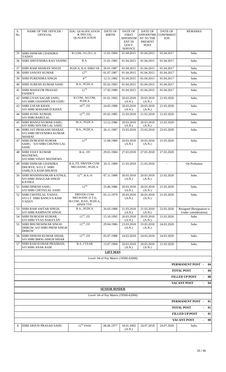| S.<br>No. | <b>NAME OF THE OFFICER /</b><br><b>OFFICIAL</b>                                 | EDU. QUALIFICATION<br>& SPECIAL<br><b>QUALIFICATION</b>                 | DATE OF<br><b>BIRTH</b> | DATE OF<br>FIRST<br><b>APPOINTM</b><br><b>ENT IN</b><br>GOVT.<br><b>SERVICE</b> | DATE OF<br><b>APPOINTME</b><br>NT TO THE<br>PRESENT<br><b>POST</b> | <b>DATE OF</b><br><b>CONFIRMAT</b><br><b>ION</b> | <b>REMARKS</b>                                       |  |  |
|-----------|---------------------------------------------------------------------------------|-------------------------------------------------------------------------|-------------------------|---------------------------------------------------------------------------------|--------------------------------------------------------------------|--------------------------------------------------|------------------------------------------------------|--|--|
| 35        | <b>SHRI ISHWAR CHANDRA</b><br>YADAV                                             | B.COM., P.G.D.C.A.                                                      | 11.01.1984              | 01.04.2015                                                                      | 01.04.2015                                                         | 01.04.2017                                       | Subs.                                                |  |  |
| 36        | <b>SHRI SHIVENDRA RAO VASING</b>                                                | B.A.                                                                    | 21.01.1985              | 01.04.2015                                                                      | 01.04.2015                                                         | 01.04.2017                                       | Subs.                                                |  |  |
| 37        | <b>SHRI RAM SHARAN SINGH</b>                                                    | PGDCA, B.A.-IIIRD YR                                                    | 26.01.1987              | 01.04.2015                                                                      | 01.04.2015                                                         | 01.04.2017                                       | Subs.                                                |  |  |
| 38        | <b>SHRI SANJAY KUMAR</b>                                                        | $12^{TH}$                                                               | 01.07.1987              | 01.04.2015                                                                      | 01.04.2015                                                         | 01.04.2017                                       | Subs.                                                |  |  |
| 39        | <b>SHRI PURENDRA SINGH</b>                                                      | 8 <sup>TH</sup>                                                         | 12.11.1982              | 01.04.2015                                                                      | 01.04.2015                                                         | 01.04.2017                                       | Subs.                                                |  |  |
| 40        | <b>SHRI SURESH KUMAR SAHU</b>                                                   | B.A., PGDCA                                                             | 05.02.1983              | 01.04.2015                                                                      | 01.04.2015                                                         | 01.04.2017                                       | Subs.                                                |  |  |
| 41        | SHRI MAHAVIR PRASAD<br><b>PANDEY</b>                                            | $12^{TH}$                                                               | 17.02.1980              | 01.04.2015                                                                      | 01.04.2015                                                         | 01.04.2017                                       | Subs.                                                |  |  |
| 42        | SHRI GYAN SAGAR SAHU,<br>S/O SHRI GHANSHYAM SAHU                                | B.COM., M.COM,<br>PGDCA                                                 | 01.01.1992              | 20.03.2018<br>(A.N.)                                                            | 20.03.2018<br>(A.N.)                                               | 21.03.2020                                       | Subs.                                                |  |  |
| 43        | <b>SHRI ZAFAR KHAN.</b><br><b>S/O SHRI MAHAMUD KHAN</b>                         | $10^{TH}$ , ITI                                                         | 24.05.1988              | 20.03.2018<br>(A.N.)                                                            | 20.03.2018<br>(A.N.)                                               | 21.03.2020                                       | Subs.                                                |  |  |
| 44        | SHRI SUNIL KUMAR,<br><b>S/O SHRI BABULAL</b>                                    | $12^{TH}$ , ITI                                                         | 05.02.1985              | 21.03.2018                                                                      | 21.03.2018                                                         | 21.03.2020                                       | Subs.                                                |  |  |
| 45        | SHRI MANOJ KUMAR SAHU.<br>S/O SHRI SHYAM LAL SAHU                               | M.A., PGDCA                                                             | 13.12.1986              | 20.03.2018<br>(A.N.)                                                            | 20.03.2018<br>(A.N.)                                               | 21.03.2020                                       | Subs.                                                |  |  |
| 46        | SHRI JAY PRAKASH SHARAF,<br><b>S/O SHRI DEVENDRA KUMAR</b><br><b>SHARAF</b>     | B.A., PGDCA                                                             | 26.11.1987              | 23.03.2018                                                                      | 23.03.2018                                                         | 23.03.2020                                       | Subs.                                                |  |  |
| 47        | <b>SHRI DURGESH KUMAR</b><br>SAHU, S/O SHRI CHUNNI LAL<br><b>SAHU</b>           | $12^{TH}$                                                               | 11.08.1989              | 20.03.2018<br>(A.N.)                                                            | 20.03.2018<br>(A.N.)                                               | 21.03.2020                                       | Subs.                                                |  |  |
| 48        | <b>SHRI VIJAY KUMAR</b><br>MATHEWS,<br><b>S/O SHRI VINAY MATHEWS</b>            | B.A., ITI                                                               | 29.01.1984              | 27.03.2018                                                                      | 27.03.2018                                                         | 27.03.2020                                       | Subs.                                                |  |  |
| 49        | <b>SHRI ISHWAR CHANDRA</b><br>DHURVE, S/O LT. SHRI<br><b>SAMLIYA RAM DHURVE</b> | B.A, ITI, DRIVER-CUM-<br>MECHANIC, PGDCA                                | 20.11.1989              | 21.03.2018                                                                      | 21.03.2018                                                         |                                                  | On Probation                                         |  |  |
| 50        | SHRI MANISHANKAR KATHLE.<br><b>S/O SHRI JHAGGAR SINGH</b><br><b>KATHLE</b>      | $12^{TH}$ , B.A.-II                                                     | 07.11.1988              | 20.03.2018<br>(A.N.)                                                            | 20.03.2018<br>(A.N.)                                               | 21.03.2020                                       | Subs.                                                |  |  |
| 51        | <b>SHRI DINESH SAHU,</b><br><b>S/O SHRI CHOTELAL SAHU</b>                       | $12^{TH}$                                                               | 25.06.1986              | 20.03.2018<br>(A.N.)                                                            | 20.03.2018<br>(A.N.)                                               | 21.03.2020                                       | Subs.                                                |  |  |
|           | 52 SHRI CHOTELAL YADAV,<br><b>S/O LT. SHRI RANGVA RAM</b><br>YADAV              | DRIVER-CUM-<br>MECHANIC (I.T.I),<br>M.COM., B.ED., PGDCA,<br>HINDI TYP. | 05.12.1979              | (A.N.)                                                                          | 20.03.2018   20.03.2018<br>(A.N.)                                  | 21.03.2020                                       | Subs.                                                |  |  |
| 53        | <b>SHRI RAM AWTAR SINGH,</b><br><b>S/O SHRI RAMNATH SINGH</b>                   | B.A., PGDCA                                                             | 26.03.1988              | 21.03.2018<br>(A.N.)                                                            | 21.03.2018<br>(A.N.)                                               | 22.03.2020                                       | Resigned (Resignation is<br>Under consideration)     |  |  |
| 54        | SHRI DURGESH KUMAR.<br><b>S/O SHRI VYAS NARAYAN</b>                             | $12^{TH}$ , ITI                                                         | 15.10.1992              | 20.03.2018<br>(A.N.)                                                            | 20.03.2018<br>(A.N.)                                               | 21.03.2020                                       | Subs.                                                |  |  |
| 55        | <b>SHRI BHUNESHWAR SINGH</b><br>DHRUW, S/O SHRI PREM SINGH<br><b>DHRUW</b>      | $12^{\mathrm{TH}},$ ITI                                                 | 29.04.1986              | 23.03.2018<br>(A.N.)                                                            | 23.03.2018<br>(A.N.)                                               | 24.03.2020                                       | Subs.                                                |  |  |
| 56        | SHRI DINESH KUMAR SIDAR,<br><b>S/O SHRI BHOG SINGH SIDAR</b>                    | $12^{TH}$ , ITI                                                         | 05.07.1988              | 24.03.2018                                                                      | 24.03.2018                                                         | 24.03.2020                                       | Subs.                                                |  |  |
| 57        | SHRI RAM KUMAR PRADHAN,<br><b>S/O SHRI ANAK RAM</b>                             | <b>B.A.-I YEAR</b>                                                      | 15.07.1994              | 20.03.2018<br>(A.N.)                                                            | 20.03.2018<br>(A.N.)                                               | 21.03.2020                                       | Subs.                                                |  |  |
|           |                                                                                 |                                                                         | <b>LIFT MAN</b>         |                                                                                 |                                                                    |                                                  |                                                      |  |  |
|           |                                                                                 |                                                                         |                         | Level- 04 of Pay Matrix (19500-62000)                                           |                                                                    |                                                  |                                                      |  |  |
|           |                                                                                 |                                                                         |                         |                                                                                 |                                                                    |                                                  | PERMANENT POST -<br>04                               |  |  |
|           |                                                                                 |                                                                         |                         |                                                                                 |                                                                    |                                                  | <b>TOTAL POST</b><br>04<br>L,                        |  |  |
|           |                                                                                 |                                                                         |                         |                                                                                 |                                                                    |                                                  | <b>FILLED UP POST</b><br>00                          |  |  |
|           |                                                                                 |                                                                         |                         |                                                                                 |                                                                    |                                                  | <b>VACANT POST</b><br>04                             |  |  |
|           |                                                                                 |                                                                         | <b>SENIOR BINDER</b>    |                                                                                 |                                                                    |                                                  |                                                      |  |  |
|           |                                                                                 |                                                                         |                         | Level- 04 of Pay Matrix (19500-62000)                                           |                                                                    |                                                  |                                                      |  |  |
|           |                                                                                 |                                                                         |                         |                                                                                 |                                                                    |                                                  | PERMANENT POST -<br>01                               |  |  |
|           | <b>TOTAL POST</b><br>01                                                         |                                                                         |                         |                                                                                 |                                                                    |                                                  |                                                      |  |  |
|           |                                                                                 |                                                                         |                         |                                                                                 |                                                                    |                                                  |                                                      |  |  |
|           |                                                                                 |                                                                         |                         |                                                                                 |                                                                    |                                                  | <b>FILLED UP POST</b><br>01<br>$\overline{a}$        |  |  |
|           |                                                                                 |                                                                         |                         |                                                                                 |                                                                    |                                                  | <b>VACANT POST</b><br>00<br>$\overline{\phantom{a}}$ |  |  |
| 1         | SHRI ARJUN PRASAD SAHU                                                          | $12^{TH}$ PASS                                                          | 06.06.1977              | 18.01.2002<br>(A.N.)                                                            | 24.07.2018                                                         | 24.07.2020                                       | Subs.                                                |  |  |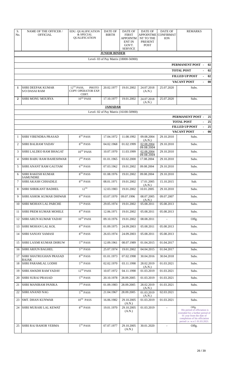| S.<br>No.      | <b>NAME OF THE OFFICER /</b><br><b>OFFICIAL</b>  | EDU. QUALIFICATION<br>& SPECIAL<br><b>QUALIFICATION</b> | <b>DATE OF</b><br><b>BIRTH</b> | <b>DATE OF</b><br><b>FIRST</b><br><b>APPOINTM</b><br><b>ENT IN</b><br>GOVT.<br><b>SERVICE</b> | <b>DATE OF</b><br><b>APPOINTME</b><br>NT TO THE<br><b>PRESENT</b><br><b>POST</b> | <b>DATE OF</b><br><b>CONFIRMAT</b><br><b>ION</b> | <b>REMARKS</b>                                                                                                                                                           |
|----------------|--------------------------------------------------|---------------------------------------------------------|--------------------------------|-----------------------------------------------------------------------------------------------|----------------------------------------------------------------------------------|--------------------------------------------------|--------------------------------------------------------------------------------------------------------------------------------------------------------------------------|
|                |                                                  |                                                         | <b>JUNIOR BINDER</b>           |                                                                                               |                                                                                  |                                                  |                                                                                                                                                                          |
|                |                                                  |                                                         |                                | Level- 03 of Pay Matrix (18000-56900)                                                         |                                                                                  |                                                  |                                                                                                                                                                          |
|                |                                                  |                                                         |                                |                                                                                               |                                                                                  |                                                  | PERMANENT POST -<br>02                                                                                                                                                   |
|                |                                                  |                                                         |                                |                                                                                               |                                                                                  |                                                  | <b>TOTAL POST</b><br>02                                                                                                                                                  |
|                |                                                  |                                                         |                                |                                                                                               |                                                                                  |                                                  | <b>FILLED UP POST</b><br>02<br>$\overline{\phantom{a}}$                                                                                                                  |
|                |                                                  |                                                         |                                |                                                                                               |                                                                                  |                                                  | <b>VACANT POST</b><br>00                                                                                                                                                 |
| 1              | <b>SHRI DEEPAK KUMAR</b><br><b>S/O DASAI RAM</b> | $12TH$ PASS,<br>PHOTO<br>COPY OPERATOR EXP.<br>CERT.    | 20.02.1977                     | 19.01.2002                                                                                    | 24.07.2018<br>(A.N.)                                                             | 25.07.2020                                       | Subs.                                                                                                                                                                    |
| $\overline{2}$ | <b>SHRI MONU MOURYA</b>                          | $10^{TH}$ PASS                                          | 17.10.1977                     | 19.01.2002                                                                                    | 24.07.2018<br>(A.N.)                                                             | 25.07.2020                                       | Subs.                                                                                                                                                                    |
|                |                                                  |                                                         | <b>JAMADAR</b>                 |                                                                                               |                                                                                  |                                                  |                                                                                                                                                                          |
|                |                                                  |                                                         |                                | Level- 02 of Pay Matrix (16100-50900)                                                         |                                                                                  |                                                  |                                                                                                                                                                          |
|                |                                                  |                                                         |                                |                                                                                               |                                                                                  |                                                  | <b>PERMANENT POST -</b><br>25                                                                                                                                            |
|                |                                                  |                                                         |                                |                                                                                               |                                                                                  |                                                  | <b>TOTAL POST</b><br>25                                                                                                                                                  |
|                |                                                  |                                                         |                                |                                                                                               |                                                                                  |                                                  | <b>FILLED UP POST</b><br>25<br>$\overline{\phantom{a}}$<br><b>VACANT POST</b><br>00                                                                                      |
| $\mathbf{1}$   | <b>SHRI VIRENDRA PRASAD</b>                      | 8 <sup>TH</sup> PASS                                    | 17.04.1972                     | 11.08.1992                                                                                    | 09.08.2004                                                                       | 29.10.2010                                       | Subs.                                                                                                                                                                    |
| 2              | <b>SHRI BALRAM YADAV</b>                         | 8 <sup>TH</sup> PASS                                    | 04.02.1968                     | 01.02.1999                                                                                    | (A.N.)<br>02.08.2004                                                             | 29.10.2010                                       | Subs.                                                                                                                                                                    |
| 3              | SHRI LALDEO RAM BHAGAT                           | $10^{\mathrm{TH}}$ PASS                                 | 10.07.1970                     | 11.03.1999                                                                                    | 09.08.2004<br>02.08.2004                                                         | 29.10.2010                                       | Subs.                                                                                                                                                                    |
| $\overline{4}$ | SHRI BABU RAM BAHESHWAR                          | $2^{ND}$ PASS                                           | 01.01.1965                     | 03.02.2000                                                                                    | 09.08.2004<br>17.08.2004                                                         | 29.10.2010                                       | Subs.                                                                                                                                                                    |
| -5             | <b>SHRI ANANT RAM GAUTAM</b>                     | $6TH$ PASS                                              | 07.03.1962                     | 19.01.2002                                                                                    | 09.08.2004                                                                       | 29.10.2010                                       | Subs.                                                                                                                                                                    |
| 6              | <b>SHRI RAKESH KUMAR</b>                         | 8TH PASS                                                | 01.08.1976                     | 19.01.2002                                                                                    | 09.08.2004                                                                       | 29.10.2010                                       | Subs.                                                                                                                                                                    |
|                | <b>SAMUNDRE</b>                                  |                                                         |                                |                                                                                               |                                                                                  |                                                  |                                                                                                                                                                          |
| 7              | SHRI AKASH CHHADILE                              | 8 <sup>TH</sup> PASS                                    | 08.01.1971                     | 19.01.2002                                                                                    | 17.01.2005<br>(A.N.)                                                             | 15.10.2015                                       | Sub.                                                                                                                                                                     |
| 8              | <b>SHRI SHRIKANT BADHEL</b>                      | $12^{TH}$                                               | 12.03.1983                     | 19.01.2002                                                                                    | 10.01.2005                                                                       | 29.10.2010                                       | Subs.                                                                                                                                                                    |
| 9              | <b>SHRI ASHOK KUMAR DHIWAR</b>                   | 8 <sup>TH</sup> PASS                                    | 03.07.1970                     | 09.07.1996                                                                                    | 08.07.2005<br>(A.N.)                                                             | 09.07.2007                                       | Subs.                                                                                                                                                                    |
| 10             | <b>SHRI MOHAN LAL PARCHE</b>                     | $5TH$ PASS                                              | 29.05.1974                     | 19.01.2002                                                                                    | 05.08.2011                                                                       | 05.08.2013                                       | Subs.                                                                                                                                                                    |
| 11             | <b>SHRI PREM KUMAR MOHILE</b>                    | $8^{\mathrm{TH}}$ PASS                                  | 12.06.1971                     | 19.01.2002                                                                                    | 05.08.2011                                                                       | 05.08.2013                                       | Subs.                                                                                                                                                                    |
| 12             | SHRI ARUN KUMAR YADAV                            | $10^{\mathrm{TH}}$ PASS                                 | 09.10.1976                     | 19.01.2002                                                                                    | 08.08.2011                                                                       |                                                  | Offg.                                                                                                                                                                    |
| 13             | <b>SHRI MOHAN LAL KOL</b>                        | $8TH$ PASS                                              | 01.09.1975                     | 24.09.2003                                                                                    | 05.08.2011                                                                       | 05.08.2013                                       | Subs.                                                                                                                                                                    |
| 14             | SHRI SANJAY SAMASI                               | 8TH PASS                                                | 26.03.1974                     | 24.09.2003                                                                                    | 05.08.2011                                                                       | 05.08.2013                                       | Subs.                                                                                                                                                                    |
| 15             | SHRI LAXMI KUMAR DHRUW                           | $5TH$ PASS                                              | 12.09.1961                     | 08.07.1989                                                                                    | 01.04.2015                                                                       | 01.04.2017                                       | Subs.                                                                                                                                                                    |
| 16             | SHRI ARJUN BAGHEL                                | $5TH$ PASS                                              | 25.07.1974                     | 19.01.2002                                                                                    | 04.04.2015                                                                       | 01.04.2017                                       | Subs.                                                                                                                                                                    |
| 17             | <b>SHRI SHATRUGHAN PRASAD</b><br><b>RAJAK</b>    | $8TH$ PASS                                              | 01.01.1973                     | 07.02.1998                                                                                    | 30.04.2016                                                                       | 30.04.2018                                       | Subs.                                                                                                                                                                    |
| 18             | SHRI PARAMLAL LODHI                              | $5TH$ PASS                                              | 02.02.1970                     | 03.11.1998                                                                                    | 28.02.2019<br>(A.N.)                                                             | 01.03.2021                                       | Subs.                                                                                                                                                                    |
| 19             | <b>SHRI AWADH RAM YADAV</b>                      | $12$ <sup>TH</sup> PASS                                 | 10.07.1972                     | 04.11.1998                                                                                    | 01.03.2019                                                                       | 01.03.2021                                       | Subs.                                                                                                                                                                    |
| 20             | <b>SHRI SURAJ PRASAD</b>                         | $5^{\mathrm{TH}}$ PASS                                  | 20.10.1978                     | 28.09.2005                                                                                    | 01.03.2019                                                                       | 01.03.2021                                       | Subs.                                                                                                                                                                    |
| 21             | <b>SHRI MANIRAM PANIKA</b>                       | $7TH$ PASS                                              | 01.09.1983                     | 28.09.2005                                                                                    | 28.02.2019<br>(A.N.)                                                             | 01.03.2021                                       | Subs.                                                                                                                                                                    |
| 22             | <b>SHRI ANAND NAG</b>                            | $5TH$ PASS                                              | 21.04.1967                     | 28.09.2005                                                                                    | 01.03.2019<br>(A.N.)                                                             | 02.03.2021                                       | Subs.                                                                                                                                                                    |
| 23             | <b>SMT. DHAN KUNWAR</b>                          | $10^{\mathrm{TH}}$ PASS                                 | 16.06.1982                     | 29.10.2005<br>(A.N.)                                                                          | 01.03.2019                                                                       | 01.03.2021                                       | Subs.                                                                                                                                                                    |
| 24             | SHRI MURARI LAL KEWAT                            | 8TH PASS                                                | 19.01.1970                     | 29.10.2005<br>(A.N.)                                                                          | 01.03.2019                                                                       |                                                  | Offg.<br>His period of officiation is<br>extended for a further period of<br>01 year from the date of<br>completion of his officiation<br>period i.e. w.e.f. 01.03.2021. |
| 25             | <b>SHRI RAJ BAHOR VERMA</b>                      | $5TH$ PASS                                              | 07.07.1977                     | 29.10.2005<br>(A.N.)                                                                          | 30.01.2020                                                                       |                                                  | Offg.                                                                                                                                                                    |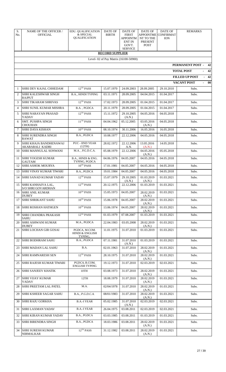| S.<br>No.    | NAME OF THE OFFICER /<br><b>OFFICIAL</b>               | <b>EDU. QUALIFICATION</b><br>& SPECIAL<br>QUALIFICATION | DATE OF<br><b>BIRTH</b> | DATE OF<br><b>FIRST</b><br><b>APPOINTM</b><br><b>ENT IN</b><br>GOVT.<br><b>SERVICE</b> | DATE OF<br><b>APPOINTME</b><br>NT TO THE<br>PRESENT<br><b>POST</b> | DATE OF<br><b>CONFIRMAT</b><br><b>ION</b> | <b>REMARKS</b>                              |
|--------------|--------------------------------------------------------|---------------------------------------------------------|-------------------------|----------------------------------------------------------------------------------------|--------------------------------------------------------------------|-------------------------------------------|---------------------------------------------|
|              |                                                        |                                                         | <b>RECORD SUPPLIER</b>  |                                                                                        |                                                                    |                                           |                                             |
|              |                                                        |                                                         |                         | Level- 02 of Pay Matrix (16100-50900)                                                  |                                                                    |                                           |                                             |
|              |                                                        |                                                         |                         |                                                                                        |                                                                    |                                           | PERMANENT POST -<br>42<br><b>TOTAL POST</b> |
|              |                                                        |                                                         |                         |                                                                                        |                                                                    |                                           | 42<br><b>FILLED UP POST</b><br>$-42$        |
|              |                                                        |                                                         |                         |                                                                                        |                                                                    |                                           | 00<br><b>VACANT POST</b>                    |
| $\mathbf{1}$ | SHRI DEV KAJAL CHHEDAM                                 | $12$ <sup>TH</sup> PASS                                 | 15.07.1970              | 24.09.2003                                                                             | 28.09.2005                                                         | 29.10.2010                                | Subs.                                       |
| 2            | <b>SHRI KALESHWAR SINGH</b><br><b>RAJPUT</b>           | B.A., HINDI TYPING                                      | 03.11.1971              | 28.09.2005                                                                             | 04.04.2015                                                         | 01.04.2017                                | Subs.                                       |
| 3            | <b>SHRI TIKARAM SHRIVAS</b>                            | $12^{TH}$ PASS                                          | 17.02.1973              | 28.09.2005                                                                             | 01.04.2015                                                         | 01.04.2017                                | Subs.                                       |
| 4            | SHRI SUNIL KUMAR MISHRA                                | B.A., PGDCA                                             | 20.11.1979              | 28.09.2005                                                                             | 01.04.2015                                                         | 01.04.2017                                | Subs.                                       |
| 5            | SHRI NARAYAN PRASAD<br>YADAV                           | $12^{\mathrm{TH}}$ PASS                                 | 15.11.1972              | 29.10.2005<br>(A.N.)                                                                   | 04.05.2016                                                         | 04.05.2018                                | Subs.                                       |
| 6            | <b>SMT. PUSHPA SINGH</b><br><b>CHOUHAN</b>             | $11^{\text{TH}}$ PASS                                   | 04.04.1962              | 05.12.2005                                                                             | 03.05.2016<br>(A.N.)                                               | 04.05.2018                                | Subs.                                       |
| 7            | İSHRI DAYA KISHAN                                      | $10^{\mathrm{TH}}$ PASS                                 | 08.10.1974              | 30.11.2006                                                                             | 16.05.2016                                                         | 16.05.2018                                | Subs.                                       |
| 8            | <b>SHRI SURENDRA SINGH</b><br><b>RAWAT</b>             | B.A., PGDCA                                             | 10.08.1977              | 22.12.2006                                                                             | 04.05.2016                                                         | 04.05.2018                                | Subs.                                       |
| 9            | <b>SHRI KHAJA BANDHENAWAJ</b><br>AKABARALI KADRI       | <b>PUC - IIND YEAR</b><br>(12TH)                        | 28.02.1972              | 22.12.2006<br>A.N.                                                                     | 13.05.2016<br>(A.N.)                                               | 14.05.2018                                | Subs.                                       |
| 10           | <b>SHRI MANNULAL SONWANI</b>                           | M.A., P.G.D.C.A.                                        | 05.08.1979              | 22.12.2006                                                                             | 04.05.2016<br>(A.N.)                                               | 05.05.2018                                | Subs.                                       |
| 11           | <b>SHRI YOGESH KUMAR</b><br><b>GAUTAM</b>              | B.A., HINDI & ENG.<br>TYPING, PGDCA                     | 04.06.1976              | 04.05.2007                                                                             | 04.05.2016                                                         | 04.05.2018                                | Subs.                                       |
| 12           | <b>SHRI ASHOK MOURYA</b>                               | $10^{TH}$ PASS                                          | 17.01.1981              | 04.05.2007                                                                             | 04.05.2016                                                         | 04.05.2018                                | Subs.                                       |
| 13           | <b>SHRI VINAY KUMAR TIWARI</b>                         | B.A., PGDCA                                             | 19.01.1984              | 04.05.2007                                                                             | 04.05.2016                                                         | 04.05.2018                                | Subs.                                       |
| 14           | <b>SHRI SANAD KUMAR YADAV</b>                          | $12^{TH}$ PASS                                          | 15.07.1979              | 29.10.2005<br>(A.N.)                                                                   | 01.03.2019<br>(A.N.)                                               | 01.03.2021                                | Subs.                                       |
| 15           | <b>SHRI KANHAIYA LAL.</b><br><b>S/O SHRI GOVARDHAN</b> | $12^{TH}$ PASS                                          | 20.12.1975              | 22.12.2006                                                                             | 01.03.2019                                                         | 01.03.2021                                | Subs.                                       |
| 16           | <b>SHRI ANIL KUMAR</b><br><b>DUBEY</b>                 | $10^{TH}$ PASS                                          | 15.05.1973              | 04.05.2007                                                                             | 28.02.2019<br>(A.N.)                                               | 01.03.2021                                | Subs.                                       |
| 17           | <b>SHRI SHRIKANT SAHU</b>                              | $10^{\mathrm{TH}}$ PASS                                 | 15.06.1978              | 04.05.2007                                                                             | 28.02.2019<br>(A.N.)                                               | 01.03.2021                                | Subs.                                       |
| 18           | SHRI ROSHAN HATHGEN                                    | $10^{TH}$ PASS                                          | 13.06.1974              | 04.05.2007                                                                             | 28.02.2019<br>(A.N.)                                               | 01.03.2021                                | Subs.                                       |
| 19           | <b>SHRI CHANDRA PRAKASH</b><br>SAHU                    | $12^{TH}$ PASS                                          | 01.03.1979              | 07.08.2007                                                                             | 01.03.2019                                                         | 01.03.2021                                | Subs.                                       |
| 20           | <b>SHRI ASHWANI KUMAR</b><br><b>DUBEY</b>              | M.A., PGDCA                                             | 22.04.1983              | 03.05.2008                                                                             | 28.02.2019<br>(A.N.)                                               | 01.03.2021                                | Subs.                                       |
| 21           | <b>SHRI LOCHAN GIR GOSAI</b>                           | PGDCA, M.COM.<br><b>HINDI &amp; ENGLISH</b><br>TYPING,  | 11.01.1975              | 31.07.2010                                                                             | 01.03.2019                                                         | 01.03.2021                                | Subs.                                       |
| 22           | <b>SHRI BODHRAM SAHU</b>                               | B.A., PGDCA                                             | 07.11.1981              | 31.07.2010<br>(A.N.)                                                                   | 01.03.2019                                                         | 01.03.2021                                | Subs.                                       |
| 23           | SHRI MADAN LAL SAHU                                    | B.A.                                                    | 02.01.1963              | 31.07.2010                                                                             | 28.02.2019<br>(A.N.)                                               | 01.03.2021                                | Subs.                                       |
| 24           | SHRI RAMNARESH SEN                                     | $12^{\mathrm{TH}}$ PASS                                 | 28.10.1975              | 31.07.2010                                                                             | 28.02.2019<br>(A.N.)                                               | 01.03.2021                                | Subs.                                       |
| 25           | SHRI RAJESH KUMAR TIWARI                               | PGDCA, B.COM,<br><b>ENGLISH TYPING</b>                  | 19.12.1973              | 31.07.2010                                                                             | 02.03.2019                                                         | 02.03.2021                                | Subs.                                       |
| 26           | <b>SHRI SANJEEV KHATIK</b>                             | 10TH                                                    | 03.08.1973              | 31.07.2010                                                                             | 28.02.2019<br>(A.N.)                                               | 01.03.2021                                | Subs.                                       |
| 27           | SHRI VIJAY KUMAR<br>YADAV                              | 12TH                                                    | 18.08.1979              | 31.07.2010                                                                             | 28.02.2019<br>(A.N.)                                               | 01.03.2021                                | Subs.                                       |
| 28           | SHRI PREETAM LAL PATEL                                 | M.A.                                                    | 02/04/1978              | 31.07.2010                                                                             | 28.02.2019<br>(A.N.)                                               | 01.03.2021                                | Subs.                                       |
| 29           | <b>SHRI KSHEER SAGAR SAHU</b>                          | B.A., P.G.D.C.A.                                        | 08/01/1983              | 31.07.2010                                                                             | 28.02.2019<br>(A.N.)                                               | 01.03.2021                                | Subs.                                       |
| 30           | <b>SHRI RAJU GORKHA</b>                                | <b>B.A.-I YEAR</b>                                      | 05.02.1985              | 31.07.2010<br>(A.N.)                                                                   | 02.03.2019                                                         | 02.03.2021                                | Subs.                                       |
| 31           | <b>SHRI LAXMAN YADAV</b>                               | <b>B.A.-I YEAR</b>                                      | 26.04.1975              | 03.08.2011                                                                             | 02.03.2019                                                         | 02.03.2021                                | Subs.                                       |
| 32           | <b>SHRI KIRAN KUMAR YADAV</b>                          | B.A., PGDCA                                             | 03.03.1985              | 03.08.2011                                                                             | 01.03.2019                                                         | 01.03.2021                                | Subs.                                       |
| 33           | SHRI BIRENDRA SINGH                                    | B.A., PGDCA                                             | 18.03.1986              | 03.08.2011                                                                             | 28.02.2019<br>(A.N.)                                               | 01.03.2021                                | Subs.                                       |
| 34           | <b>SHRI SURESH KUMAR</b><br><b>NIRMALKAR</b>           | $12^{TH}$ PASS                                          | 31.12.1982              | 03.08.2011                                                                             | 28.02.2019<br>(A.N.)                                               | 01.03.2021                                | Subs.                                       |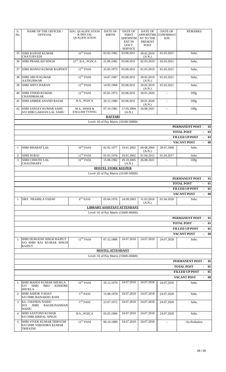| S.<br>No.      | <b>NAME OF THE OFFICER /</b><br><b>OFFICIAL</b>                                                                       | EDU. QUALIFICATION<br>& SPECIAL<br><b>QUALIFICATION</b> | DATE OF<br><b>BIRTH</b>    | DATE OF<br><b>FIRST</b><br>APPOINTM<br><b>ENT IN</b><br>GOVT.<br><b>SERVICE</b> | DATE OF<br><b>APPOINTME</b><br>NT TO THE<br>PRESENT<br><b>POST</b> | DATE OF<br><b>CONFIRMAT</b><br><b>ION</b> | <b>REMARKS</b>                                 |          |
|----------------|-----------------------------------------------------------------------------------------------------------------------|---------------------------------------------------------|----------------------------|---------------------------------------------------------------------------------|--------------------------------------------------------------------|-------------------------------------------|------------------------------------------------|----------|
| 35             | SHRI RAJESH KUMAR<br><b>CHATURVEDI</b>                                                                                | $10^{TH}$ PASS                                          | 02.02.1982                 | 03.08.2011                                                                      | 28.02.2019<br>(A.N.)                                               | 01.03.2021                                | Subs.                                          |          |
| 36             | <b>SHRI PRAHLAD SINGH</b>                                                                                             | $12TH$ , B.A., PGDCA                                    | 21.06.1982                 | 03.08.2011                                                                      | 02.03.2019                                                         | 02.03.2021                                | Subs.                                          |          |
| 37             | SHRI MANOJ KUMAR RAJPOOT                                                                                              | 12TH PASS                                               | 25.05.1975                 | 03.08.2011                                                                      | 01.03.2019                                                         | 01.03.2021                                | Subs.                                          |          |
| 38             | SHRI ARUN KUMAR<br><b>AATKURWAR</b>                                                                                   | $12^{TH}$ PASS                                          | 14.07.1987                 | 03.08.2011                                                                      | 28.02.2019<br>(A.N.)                                               | 01.03.2021                                | Subs.                                          |          |
| 39             | <b>SHRI SHIVCHARAN</b>                                                                                                | $12^{TH}$ PASS                                          | 14.05.1968                 | 03.08.2011                                                                      | 28.02.2019<br>(A.N.)                                               | 01.03.2021                                | Subs.                                          |          |
| 40             | <b>SHRI VINOD KUMAR</b><br><b>CHANDRAKAR</b>                                                                          | $12^{TH}$ PASS                                          | 05.01.1972                 | 03.08.2011                                                                      | 30.01.2020                                                         |                                           | Offg.                                          |          |
| 41             | <b>SHRI AMBER ANAND RAJAK</b>                                                                                         | B.A., PGDCA                                             | 20.12.1980                 | 03.08.2011                                                                      | 30.01.2020<br>(A.N.)                                               | $\blacksquare$                            | Offg.                                          |          |
| 42             | SHRI SANJAY KUMAR SAHU<br><b>S/O SHRI LAKHAN LAL SAHU</b>                                                             | M.A., HINDI &<br><b>ENGLISH TYPING</b>                  | 07.10.1982                 | 17.05.2004<br>(A.N.)                                                            | 26.08.2021                                                         |                                           | Offg.                                          |          |
|                |                                                                                                                       |                                                         | <b>DAFTARI</b>             |                                                                                 |                                                                    |                                           |                                                |          |
|                |                                                                                                                       |                                                         |                            | Level- 02 of Pay Matrix (16100-50900)                                           |                                                                    |                                           | PERMANENT POST -                               | 03       |
|                |                                                                                                                       |                                                         |                            |                                                                                 |                                                                    |                                           | <b>TOTAL POST</b>                              | 03       |
|                |                                                                                                                       |                                                         |                            |                                                                                 |                                                                    |                                           | <b>FILLED UP POST</b>                          | 03       |
|                |                                                                                                                       |                                                         |                            |                                                                                 |                                                                    |                                           | <b>VACANT POST</b>                             | 00       |
| $\mathbf{1}$   | <b>SHRI BHARAT LAL</b>                                                                                                | $10^{TH}$ PASS                                          | 02.02.1977                 | 19.01.2002                                                                      | 09.08.2004<br>(A.N.)                                               | 28.07.2008                                | Subs.                                          |          |
| 2              | <b>SHRI SURAJ</b>                                                                                                     | $12^{TH}$ PASS                                          | 01.03.1976                 | 19.01.2002                                                                      | 01.04.2015                                                         | 01.04.2017                                | Subs.                                          |          |
| 3              | <b>SHRI CHHOTE LAL</b><br><b>CHAUDHARY</b>                                                                            | $10^{\mathrm{TH}}$ PASS                                 | 15.08.1982                 | 29.10.2005<br>(A.N.)                                                            | 26.08.2021                                                         |                                           | Offg.                                          |          |
|                |                                                                                                                       |                                                         | <b>HOSTEL STORE KEEPER</b> |                                                                                 |                                                                    |                                           |                                                |          |
|                |                                                                                                                       |                                                         |                            | Level- 02 of Pay Matrix (16100-50900)                                           |                                                                    |                                           | PERMANENT POST -                               | 01       |
|                |                                                                                                                       |                                                         |                            |                                                                                 |                                                                    |                                           |                                                |          |
|                | <b>TOTAL POST</b><br>01                                                                                               |                                                         |                            |                                                                                 |                                                                    |                                           |                                                |          |
|                |                                                                                                                       |                                                         |                            |                                                                                 |                                                                    |                                           | <b>FILLED UP POST</b>                          | 01       |
|                |                                                                                                                       |                                                         |                            |                                                                                 |                                                                    |                                           | <b>VACANT POST</b>                             | 00       |
| 1              | SMT. PRAMILA YADAV                                                                                                    | $8^{\mathrm{TH}}$ PASS                                  | 05.04.1976                 | 24.09.2003                                                                      | 31.03.2018<br>(A.N.)                                               | 01.04.2020                                | Subs.                                          |          |
|                |                                                                                                                       |                                                         |                            | <b>LIBRARY ASSISTANT ATTENDANT</b>                                              |                                                                    |                                           |                                                |          |
|                |                                                                                                                       |                                                         |                            | Level- 01 of Pay Matrix (15600-49400)                                           |                                                                    |                                           |                                                |          |
|                |                                                                                                                       |                                                         |                            |                                                                                 |                                                                    |                                           | PERMANENT POST -                               | 01       |
|                |                                                                                                                       |                                                         |                            |                                                                                 |                                                                    |                                           | <b>TOTAL POST</b><br><b>FILLED UP POST</b>     | 01<br>01 |
|                |                                                                                                                       |                                                         |                            |                                                                                 |                                                                    |                                           | <b>VACANT POST</b><br>$\overline{\phantom{0}}$ | 00       |
| $\mathbf{1}$   | SHRI DURGESH SINGH RAJPUT<br>S/O SHRI RAJ KUMAR SINGH<br><b>RAJPUT</b>                                                | $12^{TH}$ PASS                                          | 07.12.1886                 | 24.07.2018                                                                      | 24.07.2018                                                         | 24.07.2020                                | Subs.                                          |          |
|                |                                                                                                                       |                                                         | <b>HOSTEL ATTENDANT</b>    |                                                                                 |                                                                    |                                           |                                                |          |
|                |                                                                                                                       |                                                         |                            | Level- 01 of Pay Matrix (15600-49400)                                           |                                                                    |                                           |                                                |          |
|                |                                                                                                                       |                                                         |                            |                                                                                 |                                                                    |                                           | PERMANENT POST-                                | 05       |
|                |                                                                                                                       |                                                         |                            |                                                                                 |                                                                    |                                           | <b>TOTAL POST</b>                              | 05       |
|                |                                                                                                                       |                                                         |                            |                                                                                 |                                                                    |                                           | <b>FILLED UP POST</b><br>$\sim$                | 05       |
| $\mathbf{1}$   | SHRI MANOJ KUMAR SHUKLA<br>S/O<br><b>SHRI</b><br><b>BRIJ</b><br><b>KISHORE</b>                                        | $10^{TH}$ PASS                                          | 20.12.1979                 | 24.07.2018                                                                      | 24.07.2018                                                         | 24.07.2020                                | <b>VACANT POST</b><br>Subs.                    | 00       |
| $\overline{2}$ | <b>SHUKLA</b><br><b>SHRI ASHOK YADAV</b>                                                                              | $5TH$ PASS                                              | 15.08.1979                 | 24.07.2018                                                                      | 24.07.2018                                                         | 24.07.2020                                | Subs.                                          |          |
| 3              | <b>S/O SHRI BAISAKHU RAM</b><br>KU. CHANDA NAIDU<br>D/O<br>SHRI<br><b>RAGHUNANDAN</b>                                 | $5TH$ PASS                                              | 23.07.1972                 | 24.07.2018                                                                      | 24.07.2018                                                         | 24.07.2020                                | Subs.                                          |          |
| 4              | <b>NAIDU</b><br><b>SHRI SANTOSH KUMAR</b>                                                                             | B.A., PGDCA                                             | 05.03.1984                 | 24.07.2018                                                                      | 24.07.2018                                                         | 24.07.2020                                | Subs.                                          |          |
| 5              | <b>S/O SHRI KRIPAL SINGH</b><br><b>SHRI VIVEK KUMAR TRIPATHI</b><br><b>S/O SHRI VIRENDRA KUMAR</b><br><b>TRIPATHI</b> | $12^{TH}$ PASS                                          | 06.10.1989                 | 24.07.2018                                                                      | 24.07.2018                                                         | $\overline{\phantom{a}}$                  | On Probation                                   |          |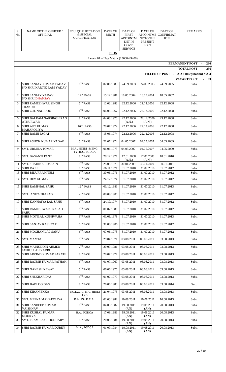| S.<br>No. | NAME OF THE OFFICER /<br><b>OFFICIAL</b>            | <b>EDU. QUALIFICATION</b><br>& SPECIAL<br><b>QUALIFICATION</b> | <b>DATE OF</b><br><b>BIRTH</b> | DATE OF<br><b>FIRST</b><br><b>APPOINTM</b><br><b>ENT IN</b><br>GOVT.<br><b>SERVICE</b> | <b>DATE OF</b><br><b>APPOINTME</b><br>NT TO THE<br>PRESENT<br><b>POST</b> | DATE OF<br><b>CONFIRMAT</b><br><b>ION</b> | <b>REMARKS</b>                    |
|-----------|-----------------------------------------------------|----------------------------------------------------------------|--------------------------------|----------------------------------------------------------------------------------------|---------------------------------------------------------------------------|-------------------------------------------|-----------------------------------|
|           |                                                     |                                                                | <b>PEON</b>                    |                                                                                        |                                                                           |                                           |                                   |
|           |                                                     |                                                                |                                | Level- 01 of Pay Matrix (15600-49400)                                                  |                                                                           |                                           |                                   |
|           |                                                     |                                                                |                                |                                                                                        |                                                                           |                                           | PERMANENT POST<br>236             |
|           |                                                     |                                                                |                                |                                                                                        |                                                                           |                                           | <b>TOTAL POST</b><br>236          |
|           |                                                     |                                                                |                                |                                                                                        |                                                                           | FILLED UP POST -                          | $232 + 1$ (Deputation) = 233      |
| 1         | SHRI SANJAY KUMAR YADAV,                            | 8 <sup>TH</sup> PASS                                           | 07.06.1980                     | 24.09.2003                                                                             | 24.09.2003                                                                | 24.09.2005                                | <b>VACANT POST</b><br>03<br>Subs. |
|           | <b>S/O SHRI KARTIK RAM YADAV</b>                    |                                                                |                                |                                                                                        |                                                                           |                                           |                                   |
| 2         | <b>SHRI SANJAY YADAV</b><br><b>S/O SHRI DHANSAY</b> | $12^{TH}$ PASS                                                 | 15.12.1981                     | 18.05.2004                                                                             | 18.05.2004                                                                | 18.05.2007                                | Subs.                             |
| 3         | <b>SHRI RAMESHWAR SINGH</b>                         | $5TH$ PASS                                                     | 12.03.1983                     | 22.12.2006                                                                             | 22.12.2006                                                                | 22.12.2008                                | Subs.                             |
| 4         | <b>THAKUR</b><br>SHRI C.H. NAGRAJU                  | 4TH PASS                                                       | 06.05.1967                     | 22.12.2006                                                                             | 22.12.2006                                                                | 22.12.2008                                | Subs.                             |
| 5         | <b>SHRI BALRAM NARSINGH RAO</b><br><b>ATKURWAR</b>  | $8^{TH}$ PASS                                                  | 04.08.1970                     | 22.12.2006<br>(A.N.)                                                                   | 22/12/2006<br>(A.N.)                                                      | 23.12.2008                                | Subs.                             |
| 6         | <b>SHRI AJIT KUMAR</b>                              | $10^{TH}$ PASS                                                 | 20.07.1974                     | 22.12.2006                                                                             | 22.12.2006                                                                | 22.12.2008                                | Subs.                             |
| 7         | MAHAROLIYA<br>SHRI RAMJI JAGAT                      | $8TH$ PASS                                                     | 15.06.1974                     | 22.12.2006                                                                             | 22.12.2006                                                                | 22.12.2008                                | Subs.                             |
| 8         | <b>SHRI ASHOK KUMAR YADAV</b>                       | $5TH$ PASS                                                     | 21.07.1974                     | 04.05.2007                                                                             | 04.05.2007                                                                | 04.05.2009                                | Subs.                             |
| 9         | <b>SMT. URMILA TOMAR</b>                            | M.A., HINDI & ENG.<br>TYPING, PGDCA                            | 06.06.1973                     | 04.05.2007                                                                             | 04.05.2007                                                                | 04.05.2009                                | Subs.                             |
| 10        | <b>SMT. BASANTI PANT</b>                            | 8 <sup>TH</sup> PASS                                           | 28.12.1977                     | 17.01.2008<br>(A.N.)                                                                   | 17.01.2008<br>(A.N.)                                                      | 18.01.2010                                | Subs.                             |
| 11        | SMT. SHAHINA HUSSAIN                                | $5TH$ PASS                                                     | 25.05.1973                     | 30.01.2009                                                                             | 30.01.2009                                                                | 30.01.2011                                | Subs.                             |
| 12        | <b>SHRI RAJU</b>                                    | $8^{\mathrm{TH}}$ PASS                                         | 06.11.1971                     | 31.07.2010                                                                             | 31.07.2010                                                                | 31.07.2012                                | Subs.                             |
| 13        | SHRI BIDURRAM TELI                                  | $8^{\mathrm{TH}}$ PASS                                         | 30.06.1976                     | 31.07.2010                                                                             | 31.07.2010                                                                | 31.07.2012                                | Subs.                             |
| 14        | SMT. DEV KUMARI                                     | $8^{\mathrm{TH}}$ PASS                                         | 24.12.1974                     | 31.07.2010                                                                             | 31.07.2010                                                                | 31.07.2012                                | Subs.                             |
| 15        | SHRI RAMPHAL SAHU                                   | $12^{\mathrm{TH}}$ PASS                                        | 03/12/1983                     | 31.07.2010                                                                             | 31.07.2010                                                                | 31.07.2013                                | Subs.                             |
|           | 16 SMT. ANITA PRASAD                                | $4TH$ PASS                                                     | 08/09/1980                     | 31.07.2010                                                                             | 31.07.2010                                                                | 31.07.2012                                | Subs.                             |
| 17        | SHRI KANHAIYA LAL SAHU                              | $8^{\mathrm{TH}}$ PASS                                         | 24/10/1974                     | 31.07.2010                                                                             | 31.07.2010                                                                | 31.07.2012                                | Subs.                             |
| 18        | <b>SHRI RAMESHWAR PRASAD</b><br><b>SAHU</b>         | $5^{\mathrm{TH}}$ PASS                                         | 01.07.1986                     | 31.07.2010                                                                             | 31.07.2010                                                                | 31.07.2012                                | Subs.                             |
| 19        | SHRI MOTILAL KUSHWAHA                               | 9TH PASS                                                       | 01/01/1978                     | 31.07.2010                                                                             | 31.07.2010                                                                | 31.07.2013                                | Subs.                             |
| 20        | SHRI SANJAY KASHYAP                                 | $5TH$ PASS                                                     | 31/08/1986                     | 31.07.2010                                                                             | 31.07.2010                                                                | 31.07.2012                                | Subs.                             |
| 21        | SHRI MOCHAN LAL SAHU                                | $8^{\mathrm{TH}}$ PASS                                         | 07.06.1973                     | 31.07.2010                                                                             | 31.07.2010                                                                | 31.07.2012                                | Subs.                             |
| 22        | <b>SMT. MAMTA</b>                                   | $5TH$ PASS                                                     | 29.04.1971                     | 03.08.2011                                                                             | 03.08.2011                                                                | 03.08.2013                                | Subs.                             |
| 23        | SHRI MAINUDDIN AHMED<br><b>JAFRULLAH KADRI</b>      | 7TH PASS                                                       | 20.09.1981                     | 03.08.2011                                                                             | 03.08.2011                                                                | 03.08.2013                                | Subs.                             |
| 24        | SHRI ARVIND KUMAR PARATE                            | $8TH$ PASS                                                     | 20.07.1977                     | 03.08.2011                                                                             | 03.08.2011                                                                | 03.08.2013                                | Subs.                             |
| 25        | SHRI RAJESH KUMAR PATHAK                            | $8TH$ PASS                                                     | 01.07.1969                     | 03.08.2011                                                                             | 03.08.2011                                                                | 03.08.2013                                | Subs.                             |
| 26        | SHRI GANESH KEWAT                                   | $5TH$ PASS                                                     | 06.06.1976                     | 03.08.2011                                                                             | 03.08.2011                                                                | 03.08.2013                                | Subs.                             |
| 27        | <b>SHRI SHEKHAR DAS</b>                             | $8^{\mathrm{TH}}$ PASS                                         | 01.07.1979                     | 03.08.2011                                                                             | 03.08.2011                                                                | 03.08.2013                                | Subs.                             |
| 28        | SHRI BABLOO DAS                                     | $8TH$ PASS                                                     | 26.06.1980                     | 03.08.2011                                                                             | 03.08.2011                                                                | 03.08.2014                                | Sub.                              |
| 29        | <b>SHRI KIRAN EKKA</b>                              | P.G.D.C.A., B.A., HINDI<br>TYP.                                | 21.04.1975                     | 03.08.2011                                                                             | 03.08.2011                                                                | 03.08.2013                                | Subs.                             |
| 30        | SMT. MEENA MAHAROLIYA                               | B.A., P.G.D.C.A.                                               | 02.03.1982                     | 10.08.2011                                                                             | 10.08.2011                                                                | 10.08.2013                                | Subs.                             |
| 31        | SHRI SANDEEP KUMAR<br>VAISHNAV                      | $8TH$ PASS                                                     | 04.03.1982                     | 19.08.2011<br>(AN)                                                                     | 19.08.2011<br>(AN)                                                        | 20.08.2013                                | Subs.                             |
| 32        | SHRI KUSHAL KUMAR<br><b>MOURYA</b>                  | B.A., PGDCA                                                    | 17.09.1983                     | 19.08.2011<br>(AN)                                                                     | 19.08.2011<br>(AN)                                                        | 20.08.2013                                | Subs.                             |
| 33        | <b>SMT. PRAMILA CHOUDHARY</b>                       | $8^{\mathrm{TH}}$ PASS                                         | 20.05.1984                     | 19.08.2011<br>(AN)                                                                     | 19.08.2011<br>(AN)                                                        | 20.08.2013                                | Subs.                             |
| 34        | SHRI RAJESH KUMAR DUBEY                             | M.A., PGDCA                                                    | 01.09.1984                     | 19.08.2011<br>(AN)                                                                     | 19.08.2011<br>(AN)                                                        | 20.08.2013                                | Subs.                             |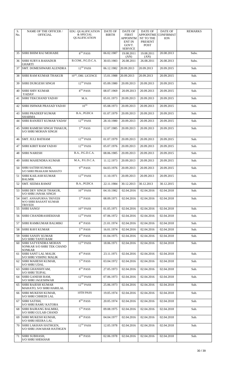| S.<br>No. | NAME OF THE OFFICER /<br><b>OFFICIAL</b>                           | EDU. QUALIFICATION<br>& SPECIAL<br><b>QUALIFICATION</b> | DATE OF<br><b>BIRTH</b> | DATE OF<br><b>FIRST</b><br>APPOINTM<br><b>ENT IN</b><br>GOVT.<br><b>SERVICE</b> | <b>DATE OF</b><br><b>APPOINTME</b><br>NT TO THE<br>PRESENT<br><b>POST</b> | DATE OF<br><b>CONFIRMAT</b><br><b>ION</b> | <b>REMARKS</b> |
|-----------|--------------------------------------------------------------------|---------------------------------------------------------|-------------------------|---------------------------------------------------------------------------------|---------------------------------------------------------------------------|-------------------------------------------|----------------|
| 35        | SHRI BHIM RAJ MOHABE                                               | $8TH$ PASS                                              | 06.02.1987              | 19.08.2011<br>(AN)                                                              | 19.08.2011<br>(AN)                                                        | 20.08.2013                                | Subs.          |
| 36        | <b>SHRI SURYA BAHADUR</b><br>GHARTI                                | B.COM., P.G.D.C.A.                                      | 30.03.1983              | 26.08.2011                                                                      | 26.08.2011                                                                | 26.08.2013                                | Subs.          |
| 37        | <b>SMT. DOMESHWARI ALENDRA</b>                                     | $12^{\mathrm{TH}}$ PASS                                 | 06.12.1982              | 20.09.2013                                                                      | 20.09.2013                                                                | 20.09.2015                                | Sub.           |
| 38        | SHRI RAM KUMAR THAKUR                                              | 10TH, DRI. LICENCE                                      | 15.01.1988              | 20.09.2013                                                                      | 20.09.2013                                                                | 20.09.2015                                | Sub.           |
| 39        | SHRI DURGESH SINGH                                                 | $12^{TH}$ PASS                                          | 05.09.1980              | 20.09.2013                                                                      | 20.09.2013                                                                | 20.09.2015                                | Sub.           |
| 40        | SHRI SHIV KUMAR<br>YADAV                                           | $8^{\mathrm{TH}}$ PASS                                  | 08.07.1969              | 20.09.2013                                                                      | 20.09.2013                                                                | 20.09.2015                                | Sub.           |
| 41        | <b>SHRI TEKCHAND YADAV</b>                                         | M.A.                                                    | 05.01.1973              | 20.09.2013                                                                      | 20.09.2013                                                                | 20.09.2015                                | Sub.           |
| 42        | SHRI ISHWAR PRASAD YADAV                                           | $10^{TH}$                                               | 05.08.1973              | 20.09.2013                                                                      | 20.09.2013                                                                | 20.09.2015                                | Sub.           |
| 43        | <b>SHRI PRADEEP KUMAR</b><br><b>SHARMA</b>                         | B.A., PGDCA                                             | 01.07.1979              | 20.09.2013                                                                      | 20.09.2013                                                                | 20.09.2015                                | Sub.           |
| 44        | <b>SHRI RANJEET KUMAR YADAV</b>                                    | $12^{\mathrm{TH}}$ PASS                                 | 28.10.1980              | 20.09.2013                                                                      | 20.09.2013                                                                | 20.09.2015                                | Sub.           |
| 45        | <b>SHRI RAMESH SINGH THAKUR,</b><br><b>S/O SHRI MOHAN SINGH</b>    | $5TH$ PASS                                              | 12.07.1985              | 20.09.2013                                                                      | 20.09.2013                                                                | 20.09.2015                                | Sub.           |
| 46        | <b>SMT. JULI BATHAM</b>                                            | $12^{TH}$ PASS                                          | 01.07.1979              | 20.09.2013                                                                      | 20.09.2013                                                                | 20.09.2015                                | Sub.           |
| 47        | <b>SHRI KIRIT RAM YADAV</b>                                        | $12^{TH}$ PASS                                          | 05.07.1976              | 20.09.2013                                                                      | 20.09.2013                                                                | 20.09.2015                                | Sub.           |
| 48        | <b>SHRI NARESH</b>                                                 | B.A., P.G.D.C.A.                                        | 08.06.1985              | 20.09.2013                                                                      | 20.09.2013                                                                | 20.09.2015                                | Sub.           |
| 49        | <b>SHRI MAHENDRA KUMAR</b>                                         | M.A., P.G.D.C.A.                                        | 11.12.1973              | 20.09.2013                                                                      | 20.09.2013                                                                | 20.09.2015                                | Sub.           |
| 50        | <b>SHRI SATISH KUMAR,</b><br>S/O SHRI PRAKASH MAHATO               | $9TH$ PASS                                              | 04.03.1976              | 20.09.2013                                                                      | 20.09.2013                                                                | 20.09.2015                                | Sub.           |
| 51        | <b>SHRI KAILASH KUMAR</b><br><b>BALMIK</b>                         | $12^{TH}$ PASS                                          | 11.10.1971              | 20.09.2013                                                                      | 20.09.2013                                                                | 20.09.2015                                | Sub.           |
| 52        | <b>SMT. SEEMA RAWAT</b>                                            | B.A., PGDCA                                             | 22.11.1984              | 30.12.2013                                                                      | 30.12.2013                                                                | 30.12.2015                                | Sub.           |
| 53        | <b>SHRI DEV SINGH THAKUR,</b><br>S/O SHRI JANAK SINGH              | $10^{\mathrm{TH}}$ PASS                                 | 04.10.1982              | 02.04.2016                                                                      | 02.04.2016                                                                | 02.04.2018                                | Sub.           |
| 54        | SMT. ANNAPURNA TRIVEDI<br>W/O SHRI BASANT KUMAR<br><b>TRIVEDI</b>  | $5^{\mathrm{TH}}$ PASS                                  | 08.09.1971              | 02.04.2016                                                                      | 02.04.2016                                                                | 02.04.2018                                | Sub.           |
| 55        | <b>SHRI SANOJ</b>                                                  | $10^{\mathrm{TH}}$ PASS                                 | 01.05.1971              | 02.04.2016                                                                      | 02.04.2016                                                                | 02.04.2018                                | Sub.           |
| 56        | <b>SHRI CHANDRASHEKHAR</b>                                         | 12TH PASS                                               | 07.06.1972              | 02.04.2016                                                                      | 02.04.2016                                                                | 02.04.2018                                | Sub.           |
| 57        | SHRI RAMKUMAR BALMIKI                                              | $8TH$ PASS                                              | 21.01.1974              | 02.04.2016                                                                      | 02.04.2016                                                                | 02.04.2018                                | Sub.           |
| 58        | <b>SHRI RAVI KUMAR</b>                                             | $5^{\mathrm{TH}}$ PASS                                  | 16.01.1974              | 02.04.2016                                                                      | 02.04.2016                                                                | 02.04.2018                                | Sub.           |
| 59        | <b>SHRI SANJIV KUMAR</b><br><b>S/O SHRI TANTI RAM</b>              | $8^{\mathrm{TH}}$ PASS                                  | 01.04.1975              | 02.04.2016                                                                      | 02.04.2016                                                                | 02.04.2018                                | Sub.           |
| 60        | SHRI SATYENDRA MOHAN<br>SONKAR S/O SHRI TEK CHAND<br><b>SONKAR</b> | $12^{TH}$ PASS                                          | 18.06.1971              | 02.04.2016                                                                      | 02.04.2016                                                                | 02.04.2018                                | Sub.           |
| 61        | <b>SHRI SANT LAL MALIK</b><br><b>S/O SHRI VISHNU MALIK</b>         | $8TH$ PASS                                              | 23.11.1971              | 02.04.2016                                                                      | 02.04.2016                                                                | 02.04.2018                                | Sub.           |
|           | 62 SHRI MAHESH KUMAR,<br><b>S/O SHRI UDAL</b>                      | $5TH$ PASS                                              | 03.04.1972              | 02.04.2016                                                                      | 02.04.2016                                                                | 02.04.2018                                | Sub.           |
| 63        | <b>SHRI GHANSHYAM,</b><br><b>S/O SHRI TEJPAL</b>                   | $8^{\mathrm{TH}}$ PASS                                  | 27.05.1973              | 02.04.2016                                                                      | 02.04.2016                                                                | 02.04.2018                                | Sub.           |
| 64        | <b>SHRI GANESH RAM,</b><br><b>S/O SHRI JAGESHWAR</b>               | $12^{TH}$ PASS                                          | 07.06.1973              | 02.04.2016                                                                      | 02.04.2016                                                                | 02.04.2018                                | Sub.           |
| 65        | <b>SHRI RAJESH KUMAR</b><br>MAHATO, S/O SHRI HARILAL               | $12$ <sup>TH</sup> PASS                                 | 25.06.1973              | 02.04.2016                                                                      | 02.04.2016                                                                | 02.04.2018                                | Sub.           |
| 66        | <b>SHRI MUKESH KUMAR,</b><br>S/O SHRI CHHEDI LAL                   | 10TH PASS                                               | 19.05.1974              | 02.04.2016                                                                      | 02.04.2016                                                                | 02.04.2018                                | Sub.           |
| 67        | SHRI SATISH,<br>S/O SHRI RAMU KATORA                               | $8^{\mathrm{TH}}$ PASS                                  | 20.05.1974              | 02.04.2016                                                                      | 02.04.2016                                                                | 02.04.2018                                | Sub.           |
| 68        | <b>SHRI BAJRANG BALMIKI,</b><br>S/O SHRI GULAB CHAND               | $5TH$ PASS                                              | 09.08.1975              | 02.04.2016                                                                      | 02.04.2016                                                                | 02.04.2018                                | Sub.           |
| 69        | SHRI MUKESH KUMAR,<br>S/O SHRI HEERA LAL                           | $8TH$ PASS                                              | 04.04.1977              | 02.04.2016                                                                      | 02.04.2016                                                                | 02.04.2018                                | Sub.           |
| 70        | <b>SHRI LAKHAN HATHGEN.</b><br><b>S/O SHRI JAWAHAR HATHGEN</b>     | $12^{TH}$ PASS                                          | 12.05.1978              | 02.04.2016                                                                      | 02.04.2016                                                                | 02.04.2018                                | Sub.           |
| 71        | <b>SHRI SUBHASH.</b><br>S/O SHRI SHEKHAR                           | $8TH$ PASS                                              | 02.06.1978              | 02.04.2016                                                                      | 02.04.2016                                                                | 02.04.2018                                | Sub.           |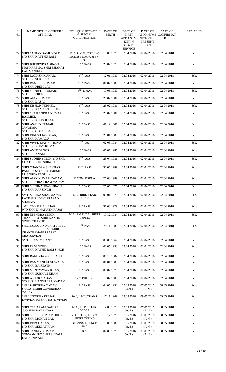| S.<br>No. | NAME OF THE OFFICER /<br><b>OFFICIAL</b>                                       | EDU. QUALIFICATION<br>& SPECIAL<br><b>QUALIFICATION</b>          | DATE OF<br><b>BIRTH</b> | DATE OF<br>FIRST<br><b>APPOINTM</b><br><b>ENT IN</b><br>GOVT.<br><b>SERVICE</b> | <b>DATE OF</b><br><b>APPOINTME</b><br>NT TO THE<br><b>PRESENT</b><br><b>POST</b> | DATE OF<br><b>CONFIRMAT</b><br><b>ION</b> | <b>REMARKS</b> |
|-----------|--------------------------------------------------------------------------------|------------------------------------------------------------------|-------------------------|---------------------------------------------------------------------------------|----------------------------------------------------------------------------------|-------------------------------------------|----------------|
| 72        | SHRI SANJAY SAMUNDRE,<br><b>S/O SHRI NATTHU RAM</b>                            | 12 <sup>TH</sup> , L.M.V., DRIVING<br>LICENSE L.M.V. & 3W-<br>NT | 15.08.1978              | 02.04.2016                                                                      | 02.04.2016                                                                       | 02.04.2018                                | Sub.           |
| 73        | SHRI BHUPENDRA SINGH<br><b>MANHARE S/O SHRI BHARAT</b><br><b>LAL MANHARE</b>   | $10^{TH}$ PASS                                                   | 20.07.1979              | 02.04.2016                                                                      | 02.04.2016                                                                       | 02.04.2018                                | Sub.           |
| 74        | SHRI JAGDISH KUMAR,<br><b>S/O SHRI SUKHI LAL</b>                               | 8 <sup>TH</sup> PASS                                             | 12.01.1980              | 02.04.2016                                                                      | 02.04.2016                                                                       | 02.04.2018                                | Sub.           |
| 75        | SHRI RAMESH KUMAR,<br><b>S/O SHRI PREM LAL</b>                                 | $10^{TH}$ PASS                                                   | 01.02.1980              | 02.04.2016                                                                      | 02.04.2016                                                                       | 02.04.2018                                | Sub.           |
| 76        | <b>SHRI MANJEET KUMAR,</b><br><b>S/O SHRI PREM LAL</b>                         | $8TH$ , L.M.V.                                                   | 17.06.1980              | 02.04.2016                                                                      | 02.04.2016                                                                       | 02.04.2018                                | Sub.           |
| 77        | <b>SHRI AJAY KUMAR,</b><br><b>S/O SHRI DASAI</b>                               | 8 <sup>TH</sup> PASS                                             | 20.02.1981              | 02.04.2016                                                                      | 02.04.2016                                                                       | 02.04.2018                                | Sub.           |
| 78        | <b>SHRI KISHOR TURKEL,</b><br><b>S/O SHRI KAMAL TURKEL</b>                     | 8 <sup>TH</sup> PASS                                             | 25.02.1981              | 02.04.2016                                                                      | 02.04.2016                                                                       | 02.04.2018                                | Sub.           |
| 79        | <b>SHRI SHAILENDRA KUMAR</b><br>BALMIKI,<br><b>S/O SHRI KHUSHI LAL</b>         | $8^{\mathrm{TH}}$ PASS                                           | 25.07.1981              | 02.04.2016                                                                      | 02.04.2016                                                                       | 02.04.2018                                | Sub.           |
| 80        | <b>SHRI ANAND KUMAR</b><br>JANOKAR,<br><b>S/O SHRI GOPAL DAS</b>               | $8TH$ PASS                                                       | 07.12.1981              | 02.04.2016                                                                      | 02.04.2016                                                                       | 02.04.2018                                | Sub.           |
| 81        | <b>SHRI DINESH JANOKAR,</b><br><b>S/O SHRI KAMALU</b>                          | $5^{\mathrm{TH}}$ PASS                                           | 23.01.1983              | 02.04.2016                                                                      | 02.04.2016                                                                       | 02.04.2018                                | Sub.           |
| 82        | <b>SHRI VIVEK MAHAROLIYA,</b><br>S/O SHRI VIJAY KUMAR                          | $8TH$ PASS                                                       | 02.05.1984              | 02.04.2016                                                                      | 02.04.2016                                                                       | 02.04.2018                                | Sub.           |
| 83        | SHRI AMIT DAGOR,<br><b>S/O SHRI ANAND</b>                                      | $10^{TH}$ PASS                                                   | 07.07.1985              | 02.04.2016                                                                      | 02.04.2016                                                                       | 02.04.2018                                | Sub.           |
| 84        | SHRI SUDHIR SINGH, S/O SHRI<br><b>CHATURBHUJ SHINGH</b>                        | 8 <sup>TH</sup> PASS                                             | 23.04.1986              | 02.04.2016                                                                      | 02.04.2016                                                                       | 02.04.2018                                | Sub.           |
| 85        | <b>SHRI CHANDRA SHEKHAR</b><br>PANDEY S/O SHRI HARISH<br><b>CHANDRA PANDEY</b> | $12^{TH}$ PASS                                                   | 30.06.1989              | 02.04.2016                                                                      | 02.04.2016                                                                       | 02.04.2018                                | Sub.           |
| 86        | SHRI AJAY KUMAR YADAV,<br><b>S/O SHRI FIRAT RAM YADAV</b>                      | B.COM, PGDCA                                                     | 27.08.1989              | 02.04.2016                                                                      | 02.04.2016                                                                       | 02.04.2018                                | Sub.           |
| 87        | SHRI SUKHNANDAN SINGH.<br><b>S/O SHRI RAJ SINGH</b>                            | $5TH$ PASS                                                       | 25.06.1975              | 02.04.2016                                                                      | 02.04.2016                                                                       | 02.04.2018                                | Sub.           |
| 88        | SMT. SARIKA SHARMA W/O<br><b>LATE SHRI DEVI PRASAD</b><br>SHARMA               | B.A.- IIIRD YEAR,<br>PGDCA                                       | 05.01.1979              | 02.04.2016                                                                      | 02.04.2016                                                                       | 02.04.2018                                | Sub.           |
| 89        | SMT. YASHODA RAJAK<br>W/O SHRI DINANATH RAJAK                                  | $8TH$ PASS                                                       | 31.08.1979              | 02.04.2016                                                                      | 02.04.2016                                                                       | 02.04.2018                                | Sub.           |
| 90        | SHRI UPENDRA SINGH<br>THAKUR S/O SHRI NANHE<br><b>SINGH THAKUR</b>             | M.A, P.G.D.C.A., HINDI<br><b>TYPING</b>                          | 19.12.1984              | 02.04.2016                                                                      | 02.04.2016                                                                       | 02.04.2018                                | Sub.           |
| 91        | SHRI BALGOVIND CHATURVEDI<br>S/O SHRI<br>CHANDRAMANI PRASAD                    | $12^{TH}$ PASS                                                   | 29.11.1985              | 02.04.2016                                                                      | 02.04.2016                                                                       | 02.04.2018                                | Sub.           |
| 92        | <b>CHATURVEDI</b><br><b>SMT. SHAMIM BANO</b>                                   | $5TH$ PASS                                                       | 09.08.1967              | 02.04.2016                                                                      | 02.04.2016                                                                       | 02.04.2018                                | Sub.           |
| 93        | SHRI RAVI SINGH,<br>S/O SHRI NATHU RAM SINGH                                   | $10^{TH}$ PASS                                                   | 08.05.1993              | 02.04.2016                                                                      | 02.04.2016                                                                       | 02.04.2018                                | Sub.           |
| 94        | SHRI RAM BHAROSH SAHU                                                          | $5TH$ PASS                                                       | 06.10.1982              | 02.04.2016                                                                      | 02.04.2016                                                                       | 02.04.2018                                | Sub.           |
| 95        | SHRI RAMMANI KUSHWAHA,<br><b>S/O SHRI BAIJNATH</b>                             | $5TH$ PASS                                                       | 01.01.1988              | 02.04.2016                                                                      | 02.04.2016                                                                       | 02.04.2018                                | Sub.           |
| 96        | SHRI MUNOWWAR KHAN,<br><b>S/O SHRI SUBHAN KHAN</b>                             | $5^{\mathrm{TH}}$ PASS                                           | 09.07.1973              | 02.04.2016                                                                      | 02.04.2016                                                                       | 02.04.2018                                | Sub.           |
| 97        | SHRI ASHOK YADAV,<br><b>S/O SHRI HANSH LAL YADAV</b>                           | $12TH$ , DRI. LIC.                                               | 10.02.1989              | 02.04.2016                                                                      | 02.04.2016                                                                       | 02.04.2018                                | Sub.           |
| 98        | SHRI SAHENDRA YADAV<br><b>S/O LATE SHRI GOVERDHAN</b><br><b>YADAV</b>          | 8 <sup>TH</sup> PASS                                             | 04.05.1992              | 07.05.2016<br>(A.N.)                                                            | 07.05.2016<br>(A.N.)                                                             | 08.05.2018                                | Sub.           |
| 99        | <b>SHRI JITENDRA KUMAR</b><br>DWIVEDI S/O SHRI H.S. DWIVEDI                    | $10^{\mathrm{TH}}$ , L.M.V/TRANS.                                | 17.11.1969              | 09.05.2016                                                                      | 09.05.2016                                                                       | 09.05.2018                                | Sub.           |
|           | 100 SHRI TEEJARAM DAHIRE<br><b>S/O SHRI RATANDAS</b>                           | M.A., LL.B., B.LIB.,<br>PGDCA                                    | 14.03.1973              | 07.05.2016<br>(A.N.)                                                            | 07.05.2016<br>(A.N.)                                                             | 08.05.2018                                | Sub.           |
| 101       | <b>SHRI SUSHIL KUMAR DHURI</b><br><b>S/O SHRI MOHAN LAL</b>                    | B.SC., LL.B., PGDCA,<br><b>HINDI TYPING</b>                      | 15.12.1979              | 07.05.2016<br>(A.N.)                                                            | 07.05.2016<br>(A.N.)                                                             | 08.05.2018                                | Sub.           |
| 102       | SHRI DEVCHARAN,<br><b>S/O SHRI SEEPAT RAM</b>                                  | DRIVING LISENCE,<br>$10^{\mathrm{TH},}$                          | 15.06.1985              | 07.05.2016<br>(A.N.)                                                            | 07.05.2016<br>(A.N.)                                                             | 08.05.2018                                | Sub.           |
| 103       | <b>SHRI SANJAY KUMAR</b><br>SONWANI S/O SHRI SHYAM<br><b>LAL SONWANI</b>       | B.A.                                                             | 07.05.1979              | 07.05.2016<br>(A.N.)                                                            | 07.05.2016<br>(A.N.)                                                             | 08.05.2018                                | Sub.           |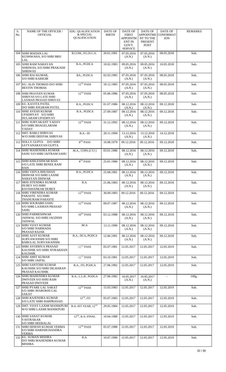| S.<br>No. | NAME OF THE OFFICER /<br><b>OFFICIAL</b>                                           | EDU. QUALIFICATION<br>& SPECIAL<br><b>QUALIFICATION</b> | DATE OF<br><b>BIRTH</b> | DATE OF<br><b>FIRST</b><br>APPOINTM<br><b>ENT IN</b><br>GOVT.<br><b>SERVICE</b> | <b>DATE OF</b><br><b>APPOINTME</b><br>NT TO THE<br>PRESENT<br><b>POST</b> | <b>DATE OF</b><br><b>CONFIRMAT</b><br><b>ION</b> | <b>REMARKS</b> |
|-----------|------------------------------------------------------------------------------------|---------------------------------------------------------|-------------------------|---------------------------------------------------------------------------------|---------------------------------------------------------------------------|--------------------------------------------------|----------------|
|           | 104 SHRI MADAN LAL<br>KUSHWAHA, S/O SHRI BRIJ<br>LAL                               | B.COM., P.G.D.C.A.                                      | 20.01.1981              | 07.05.2016<br>(A.N.)                                                            | 07.05.2016<br>(A.N.)                                                      | 08.05.2018                                       | Sub.           |
| 105       | <b>SHRI RAM NARAYAN</b><br>SHRIWAS, S/O SHRI PRAKASH<br><b>SHRIWAS</b>             | B.A., PGDCA                                             | 10.02.1983              | 09.05.2016<br>(A.N.)                                                            | 09.05.2016<br>(A.N.)                                                      | 10.05.2018                                       | Sub.           |
|           | 106 SHRI RAJ KUMAR,<br><b>S/O SHRI KARIGIR</b>                                     | BA., PGDCA                                              | 02.03.1985              | 07.05.2016<br>(A.N.)                                                            | 07.05.2016<br>(A.N.)                                                      | 08.05.2018                                       | Sub.           |
|           | 107 KU. ALIS THOMAS D/O SHRI<br><b>BESTIN THOMAS</b>                               | $12^{TH}$ PASS                                          | 18.12.1985              | 07.05.2016<br>(A.N.)                                                            | 07.05.2016<br>(A.N.)                                                      | 08.05.2018                                       | Sub.           |
| 108       | <b>SHRI PRAVEEN KUMAR</b><br><b>SHRIVAS S/O LATE SHRI</b><br>LAXMAN PRASAD SHRIVAS | $12^{TH}$ PASS                                          | 05.06.1986              | 07.05.2016<br>(A.N.)                                                            | 07.05.2016<br>(A.N.)                                                      | 08.05.2018                                       | Sub.           |
|           | 109 KU. KAVITA PATEL<br>D/O SHRI JOGIRAM PATEL                                     | B.A., PGDCA                                             | 01.07.1986              | 08.12.2016<br>(A.N.)                                                            | 08.12.2016<br>(A.N.)                                                      | 09.12.2018                                       | Sub.           |
| 110       | <b>SHRI AVESH KUMAR</b><br>UPADHYAY S/O SHRI<br>DULARAM UPADHYAY                   | B.A., PGDCA                                             | 27.09.1987              | 08.12.2016<br>(A.N.)                                                            | 08.12.2016<br>(A.N.)                                                      | 09.12.2018                                       | Sub.           |
| 111       | <b>SHRI SURYAKANT YADAV</b><br><b>S/O SHRI BHAGELARAM</b><br>YADAV                 | $12^{\mathrm{TH}}$ PASS                                 | 31.12.1992              | 08.12.2016<br>(A.N.)                                                            | 08.12.2016<br>(A.N.)                                                      | 09.12.2018                                       | Sub.           |
| 112       | <b>SMT. BABLI SHRIVAS</b><br>W/O SHRI DEEPAK SHRIVAS                               | $B.A.-III$                                              | 20.11.1994              | 13.12.2016<br>(A.N.)                                                            | 13.12.2016<br>(A.N.)                                                      | 14.12.2018                                       | Sub.           |
| 113       | DOLLY GUPTA D/O SHRI<br>SATYANARAYAN GUPTA                                         | $8^{\mathrm{TH}}$ PASS                                  | 10.08.1979              | 09.12.2016                                                                      | 09.12.2016                                                                | 09.12.2018                                       | Sub.           |
| 114       | <b>SHRI MAHENDRA KUMAR</b><br>SAHU S/O SHRI JAITRAM SAHU                           | M.A., COPA (I.T.I)                                      | 03.01.1980              | 08.12.2016<br>(A.N.)                                                            | 08.12.2016<br>(A.N.)                                                      | 09.12.2018                                       | Sub.           |
|           | 115 SHRI KHILESHWAR BAIS<br><b>S/O LATE SHRI BENEE RAM</b><br><b>BAIS</b>          | $8TH$ PASS                                              | 25.01.1980              | 08.12.2016<br>(A.N.)                                                            | 08.12.2016<br>(A.N.)                                                      | 09.12.2018                                       | Sub.           |
|           | 116 SHRI VIDYA BHUSHAN<br>DHIWAR S/O SHRI LAXMI<br>NARAYAN DHIWAR                  | B.A., PGDCA                                             | 25.08.1981              | 08.12.2016<br>(A.N.)                                                            | 08.12.2016<br>(A.N.)                                                      | 09.12.2018                                       | Sub.           |
| 117       | SRHI JITENDRA KUMAR<br><b>DUBEY S/O SHRI</b><br>RAVISHANKAR DUBEY                  | B.A.                                                    | 21.06.1983              | 08.12.2016<br>(A.N.)                                                            | 08.12.2016<br>(A.N.)                                                      | 09.12.2018                                       | Sub.           |
|           | 118 SHRI VIRENDRA KUMAR<br>PARASTE S/O SHRI<br>THANURAM PARASTE                    | $12^{TH}$ PASS                                          | 30.09.1983              | 09.12.2016                                                                      | 09.12.2016                                                                | 09.12.2018                                       | Sub.           |
|           | 119 SHRI SOURABH SAHU<br><b>S/O SHRI LAXMAN PRASAD</b><br>SAHU                     | $12$ <sup>TH</sup> PASS                                 | 09.07.1987              | 08.12.2016<br>(A.N.)                                                            | 08.12.2016<br>(A.N.)                                                      | 09.12.2018                                       | Sub.           |
|           | 120 SHRI PARMESHWAR<br>JAISWAL S/O SHRI JAGDISH<br>JAISWAL                         | $10^{TH}$ PASS                                          | 03.12.1988              | 08.12.2016<br>(A.N.)                                                            | 08.12.2016<br>(A.N.)                                                      | 09.12.2018                                       | Sub.           |
|           | 121 SHRI VIJAY KUMAR<br><b>S/O SHRI NARMADA</b><br>PRASAD RAJAK                    | <b>BCA</b>                                              | 13.11.1990              | 08.12.2016<br>(A.N.)                                                            | 08.12.2016<br>(A.N.)                                                      | 09.12.2018                                       | Sub.           |
|           | 122 SHRI AJAY KUMAR<br>SURYAWANSHI S/O SHRI<br>BABULAL SURYAWANSHI                 | B.A., DCA, PGDCA                                        | 12.06.1991              | 08.12.2016<br>(A.N.)                                                            | 08.12.2016<br>(A.N.)                                                      | 09.12.2018                                       | Sub.           |
|           | 123 SHRI AYODHYA PRASAD<br>KAUSHIK S/O SHRI JIVRAKHAN<br><b>KAUSHIK</b>            | $12^{TH}$ PASS                                          | 05.07.1981              | 12.05.2017                                                                      | 12.05.2017                                                                | 12.05.2019                                       | Sub.           |
| 124       | <b>SHRI AMIT KUMAR</b><br><b>S/O SHRI JAIPAL</b>                                   | $12$ <sup>TH</sup> PASS                                 | 03.10.1981              | 12.05.2017                                                                      | 12.05.2017                                                                | 12.05.2019                                       | Sub.           |
|           | 125 SHRI SANTOSH KUMAR<br>KAUSHIK S/O SHRI DILHARAN<br>PRASAD KAUSHIK              | B.A., ITI, PGDCA                                        | 27.06.1982              | 12.05.2017                                                                      | 12.05.2017                                                                | 12.05.2019                                       | Sub.           |
|           | 126 SHRI MAHENDRA KUMAR<br>DWIVEDI S/O SHRI RAM<br>PRASAD DWIVEDI                  | B.A., L.L.B., PGDCA                                     | 27.06.1982              | 16.05.2017<br>(A.N.)                                                            | 16.05.2017<br>(A.N.)                                                      | $\sim$                                           | Offg.          |
|           | 127 SHRI PYARE LAL SAKAT<br>S/O SHRI JHAROKHI LAL<br><b>SAKAT</b>                  | $12^{TH}$ PASS                                          | 15.03.1983              | 12.05.2017                                                                      | 12.05.2017                                                                | 12.05.2019                                       | Sub.           |
|           | 128 SHRI RAJENDRA KUMAR<br><b>S/O LATE SHRI HARPRASAD</b>                          | $12^{TH}$ , ITI                                         | 05.07.1983              | 12.05.2017                                                                      | 12.05.2017                                                                | 12.05.2019                                       | Sub.           |
| 129       | <b>SMT. VIJAY LAXMI MANIKPURI</b><br>W/O SHRI LAXMI MANIKPURI                      | B.A.-IST YEAR, 12TH                                     | 29.05.1984              | 12.05.2017                                                                      | 12.05.2017                                                                | 12.05.2019                                       | Sub.           |
|           | 130 SHRI SANAT KUMAR<br>VASTRAKAR<br><b>S/O SHRI HEERALAL</b>                      | $12TH$ , B.A.-FINAL                                     | 10.04.1988              | 12.05.2017                                                                      | 12.05.2017                                                                | 12.05.2019                                       | Sub.           |
|           | 131 SHRI DINESH KUMAR VERMA<br>S/O SHRI HARISHCHANDRA<br>VERMA                     | $12^{TH}$ PASS                                          | 05.07.1988              | 12.05.2017                                                                      | 12.05.2017                                                                | 12.05.2019                                       | Sub.           |
|           | 132 KU. SUMAN MISHRA<br>D/O SHRI MAHENDRA KUMAR<br><b>MISHRA</b>                   | B.A.                                                    | 10.07.1990              | 12.05.2017                                                                      | 12.05.2017                                                                | 12.05.2019                                       | Sub.           |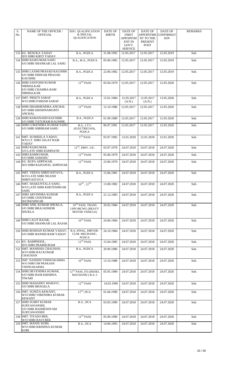| S.<br>No. | NAME OF THE OFFICER /<br><b>OFFICIAL</b>                                                     | EDU. QUALIFICATION<br>& SPECIAL<br><b>QUALIFICATION</b>             | DATE OF<br><b>BIRTH</b> | DATE OF<br><b>FIRST</b><br><b>APPOINTM</b><br><b>ENT IN</b><br>GOVT.<br><b>SERVICE</b> | <b>DATE OF</b><br><b>APPOINTME</b><br>NT TO THE<br>PRESENT<br><b>POST</b> | <b>DATE OF</b><br><b>CONFIRMAT</b><br><b>ION</b> | <b>REMARKS</b> |
|-----------|----------------------------------------------------------------------------------------------|---------------------------------------------------------------------|-------------------------|----------------------------------------------------------------------------------------|---------------------------------------------------------------------------|--------------------------------------------------|----------------|
|           | 133 KU. RENUKA YADAV<br>D/O SHRI KIRTI YADAV                                                 | B.A., PGDCA                                                         | 31.08.1992              | 12.05.2017                                                                             | 12.05.2017                                                                | 12.05.2019                                       | Sub.           |
|           | 134 SHRI RAJKUMAR SAHU<br><b>S/O SHRI SHANKAR LAL SAHU</b>                                   | B.A., M.A., PGDCA                                                   | 05.06.1982              | 12.05.2017                                                                             | 12.05.2017                                                                | 12.05.2019                                       | Sub.           |
|           | 135 SHRI LAXMI PRASAD KAUSHIK<br><b>S/O SHRI ISHWAR PRASAD</b><br><b>KAUSHIK</b>             | B.A., PGDCA                                                         | 22.06.1982              | 12.05.2017                                                                             | 12.05.2017                                                                | 12.05.2019                                       | Sub.           |
|           | 136 SHRI SANTOSH KUMAR<br><b>NIRMALKAR</b><br><b>S/O SHRI CHAMRA RAM</b><br><b>NIRMALKAR</b> | $12^{TH}$ PASS                                                      | 05.04.1979              | 12.05.2017                                                                             | 12.05.2017                                                                | 12.05.2020                                       | Sub.           |
| 137       | <b>SMT. PREETI SARAF</b><br>W/O SHRI PARESH SARAF                                            | B.A., PGDCA                                                         | 15.01.1984              | 12.05.2017<br>(A.N.)                                                                   | 12.05.2017<br>(A.N.)                                                      | 13.05.2020                                       | Sub.           |
| 138       | SHRI DHARMENDRA ANCHAL<br><b>S/O SHRI KRISHNAMURTI</b><br><b>ANCHAL</b>                      | $12^{TH}$ PASS                                                      | 12.10.1986              | 12.05.2017                                                                             | 12.05.2017                                                                | 12.05.2020                                       | Sub.           |
|           | 139 SHRI RAMANAND KAUSHIK<br>S/O SHRI TATURAM KAUSHIK                                        | B.A., PGDCA                                                         | 01.09.1989              | 12.05.2017                                                                             | 12.05.2017                                                                | 12.05.2020                                       | Sub.           |
| 140       | SHRI LOKENDRA KUMAR SAHU<br><b>S/O SHRI SHRIRAM SAHU</b>                                     | B.A., I.T.C.<br>(ELECTRICIAN),<br>PGDCA                             | 06.07.1991              | 12.05.2017                                                                             | 12.05.2017                                                                | 12.05.2020                                       | Sub.           |
|           | 141 SMT. SUSHEELA YADAV,<br>W/O LT. SHRI JAGAT RAM<br><b>YADAV</b>                           | $5TH$ PASS                                                          | 03.07.1992              | 12.01.2018                                                                             | 12.01.2018                                                                | 12.01.2020                                       | Sub.           |
|           | 142 SHRI RAJKUMAR,<br><b>S/O LATE SHRI RAMNATH</b>                                           | $12TH$ , DRIV. LIC.                                                 | 03.07.1978              | 24.07.2018                                                                             | 24.07.2018                                                                | 24.07.2020                                       | Sub.           |
|           | 143 SHRI RAMKUMAR,<br><b>S/O SHRI SAMARU</b>                                                 | $12^{TH}$ PASS                                                      | 05.06.1979              | 24.07.2018                                                                             | 24.07.2018                                                                | 24.07.2020                                       | Sub.           |
|           | 144 KU. RUPA ADPEWAR,<br>D/O SHRI RAJGOPAL ADPEWAR                                           | $12^{\mathrm{TH}}$ PASS                                             | 23.06.1979              | 24.07.2018                                                                             | 24.07.2018                                                                | 24.07.2020                                       | Sub.           |
|           | 145 SMT. VEENA SHRIVASTAVA,<br>W/O LATE SHRI NILESH<br><b>SHRIVASTAVA</b>                    | B.A., PGDCA                                                         | 15.06.1981              | 24.07.2018                                                                             | 24.07.2018                                                                | 24.07.2020                                       | Sub.           |
|           | 146 SMT. SHAKUNTALA SAHU,<br>W/O LATE SHRI KHETESHWAR<br>SAHU                                | $10^{\mathrm{TH}}$ , $12^{\mathrm{TH}}$                             | 13.08.1982              | 24.07.2018                                                                             | 24.07.2018                                                                | 24.07.2020                                       | Sub.           |
|           | 147 SHRI ARVINDRA KUMAR<br><b>S/O SHRI CHAITRAM</b><br><b>HATKESHWAR</b>                     | B.A., PGDCA                                                         | 21.12.1983              | 24.07.2018                                                                             | 24.07.2018                                                                | 24.07.2020                                       | Sub.           |
|           | 148 SHRI ANIL KUMAR SHUKLA,<br><b>S/O SHRI BRAJ KISHOR</b><br><b>SHUKLA</b>                  | 10TH PASS, TRANS<br><b>LMV/MCWG (HEAVY</b><br><b>MOTOR VEHICLE)</b> | 20.02.1984              | 24.07.2018                                                                             | 24.07.2018                                                                | 24.07.2020                                       | Sub.           |
|           | 149 SHRI LALIT RAJAK,<br>S/O SHRI SHANKAR LAL RAJAK                                          | $10^{\mathrm{TH}}$ PASS                                             | 24.06.1984              | 24.07.2018                                                                             | 24.07.2018                                                                | 24.07.2020                                       | Sub.           |
|           | 150 SHRI ROSHAN KUMAR YADAV,<br><b>S/O SHRI BANSHI RAM YADAV</b>                             | B.A.-FINAL, DIRVER-<br>CUM-MECHANIC,<br>PGDCA                       | 24.10.1984              | 24.07.2018                                                                             | 24.07.2018                                                                | 24.07.2020                                       | Sub.           |
|           | 151 KU. RAMPHOOL,<br>D/O SHRI PRABHURAM                                                      | $12^{\mathrm{TH}}$ PASS                                             | 15.04.1985              | 24.07.2018                                                                             | 24.07.2018                                                                | 24.07.2020                                       | Sub.           |
|           | 152 SMT. MANISHA CHAUHAN,<br>W/O SHRI RAJ KUMAR<br><b>CHAUHAN</b>                            | B.A., PGDCA                                                         | 20.09.1986              | 24.07.2018                                                                             | 24.07.2018                                                                | 24.07.2020                                       | Sub.           |
|           | 153 SMT. NANDINI VISHWAKARMA<br>W/O SHRI OM PRAKASH<br>VISHWAKARMA                           | $10^{\mathrm{TH}}$ PASS                                             | 13.10.1988              | 24.07.2018                                                                             | 24.07.2018                                                                | 24.07.2020                                       | Sub.           |
|           | 154 SHRI DEVENDRA KUMAR,<br><b>S/O SHRI RAM KRISHNA</b><br><b>TIWARI</b>                     | 12 <sup>TH</sup> PASS, ITI (DIESEL<br>MACHANIC) B.A.-I              | 05.05.1989              | 24.07.2018                                                                             | 24.07.2018                                                                | 24.07.2020                                       | Sub.           |
|           | 155 SHRI MAHADEV MARAVI,<br><b>S/O SHRI BHAGELA</b>                                          | $12^{TH}$ PASS                                                      | 14.03.1990              | 24.07.2018                                                                             | 24.07.2018                                                                | 24.07.2020                                       | Sub.           |
|           | 156 SMT. SUNITA KEWANT,<br>W/O SHRI VIRENDRA KUMAR<br><b>KEWANT</b>                          | $12^{TH}$ , DCA                                                     | 01.04.1990              | 24.07.2018                                                                             | 24.07.2018                                                                | 24.07.2020                                       | Sub.           |
|           | <b>157 SHRI SUMIT KUMAR</b><br>SURYAWANSHI,<br>S/O SHRI RADHESHYAM<br><b>SURYAWANSHI</b>     | B.A., DCA                                                           | 03.05.1990              | 24.07.2018                                                                             | 24.07.2018                                                                | 24.07.2020                                       | Sub.           |
|           | 158 SMT. TIYASO BEK,<br>W/O SHRI RAVI BEK                                                    | $12^{TH}$ PASS                                                      | 05.09.1990              | 24.07.2018                                                                             | 24.07.2018                                                                | 24.07.2020                                       | Sub.           |
|           | 159 SMT. MANJU KORI.<br>W/O SHRI KRISHNA KUMAR<br>KORI                                       | B.A., DCA                                                           | 14.06.1993              | 24.07.2018                                                                             | 24.07.2018                                                                | 24.07.2020                                       | Sub.           |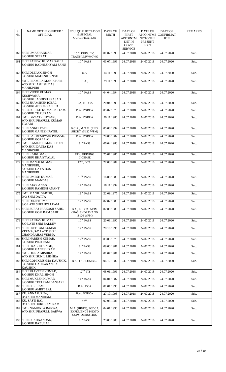| S.<br>No. | NAME OF THE OFFICER /<br><b>OFFICIAL</b>                                       | EDU. QUALIFICATION<br>& SPECIAL                                          | DATE OF<br><b>BIRTH</b> | DATE OF<br><b>FIRST</b>                                     | <b>DATE OF</b><br><b>APPOINTME</b>  | <b>DATE OF</b><br><b>CONFIRMAT</b> | <b>REMARKS</b> |
|-----------|--------------------------------------------------------------------------------|--------------------------------------------------------------------------|-------------------------|-------------------------------------------------------------|-------------------------------------|------------------------------------|----------------|
|           |                                                                                | <b>QUALIFICATION</b>                                                     |                         | <b>APPOINTM</b><br><b>ENT IN</b><br>GOVT.<br><b>SERVICE</b> | NT TO THE<br>PRESENT<br><b>POST</b> | <b>ION</b>                         |                |
|           | 160 SHRI UMASHANKAR,<br><b>S/O SHRI SEEPAT</b>                                 | $10^{TH}$ , DRIV, LIC.<br>TRANS/LMV/MCWG                                 | 01.07.1993              | 24.07.2018                                                  | 24.07.2018                          | 24.07.2020                         | Sub.           |
|           | 161 SHRI PANKAJ KUMAR SAHU,<br><b>S/O SHRI RADHESHYAM SAHU</b>                 | $10^{TH}$ PASS                                                           | 03.07.1993              | 24.07.2018                                                  | 24.07.2018                          | 24.07.2020                         | Sub.           |
|           | 162  SHRI DEEPAK SINGH<br><b>S/O SHRI MAHESH SINGH</b>                         | B.A.                                                                     | 14.11.1993              | 24.07.2018                                                  | 24.07.2018                          | 24.07.2020                         | Sub.           |
|           | 163 SMT. PRAMILA MANIKPURI,<br>W/O SHRI ASHISH DAS<br><b>MANIKPURI</b>         | <b>B.A.,</b>                                                             | 29.11.1993              | 24.07.2018                                                  | 24.07.2018                          | 24.07.2020                         | Sub.           |
|           | 164 SHRI VIVEK KUMAR<br>KUSHWAHA,                                              | $10^{TH}$ PASS                                                           | 04.04.1994              | 24.07.2018                                                  | 24.07.2018                          | 24.07.2020                         | Sub.           |
|           | S/O SHRI JAGDISH PRASAD<br>165 SHRI SHAMSHER IQBAL,<br>S/O SHRI ABDUL RASHID   | B.A, PGDCA                                                               | 20.04.1995              | 24.07.2018                                                  | 24.07.2018                          | 24.07.2020                         | Sub.           |
|           | 166 SHRI SURESH KUMAR NETAM,<br>S/O SHRI TIJAU RAM                             | B.A., PGDCA                                                              | 05.07.1978              | 24.07.2018                                                  | 24.07.2018                          | 24.07.2020                         | Sub.           |
|           | 167 SMT. GAYATRI TIWARI,<br>W/O SHRI PRAFULL KUMAR<br><b>TIWARI</b>            | B.A., PGDCA                                                              | 20.11.1980              | 24.07.2018                                                  | 24.07.2018                          | 24.07.2020                         | Sub.           |
|           | 168 SHRI ANKIT PATEL,<br><b>S/O SHRI GANESH PATEL</b>                          | B.C.A., M.O.M. (ENG.<br>SHORT. @120 WPM)                                 | 05.08.1994              | 24.07.2018                                                  | 24.07.2018                          | 24.07.2020                         | Sub.           |
|           | 169 SHRI PARMESHWAR PRASAD,<br>S/O SHRI GORE LAL                               | B.A., PGDCA                                                              | 20.06.1982              | 24.07.2018                                                  | 24.07.2018                          | 24.07.2020                         | Sub.           |
|           | 170 SMT. KAMLESH MANIKPURI,<br>W/O SHRI DAINA DAS<br><b>MANIKPURI</b>          | $8TH$ PASS                                                               | 06.04.1983              | 24.07.2018                                                  | 24.07.2018                          | 24.07.2020                         | Sub.           |
|           | 171 SHRI RAJKUMAR,<br><b>S/O SHRI BHAIYYALAL</b>                               | 8TH, DRIVING<br><b>LICENSE</b>                                           | 25.07.1986              | 24.07.2018                                                  | 24.07.2018                          | 24.07.2020                         | Sub.           |
| 172       | <b>SHRI MANOJ KUMAR</b><br>MANIKPURI,<br><b>S/O SHRI DAYA DAS</b><br>MANIKPURI | $12^{TH}$ , DCA                                                          | 27.08.1987              | 24.07.2018                                                  | 24.07.2018                          | 24.07.2020                         | Sub.           |
|           | 173 SHRI UMESH KUMAR,<br><b>S/O SHRI MANDAS</b>                                | $10^{TH}$ PASS                                                           | 16.08.1988              | 24.07.2018                                                  | 24.07.2018                          | 24.07.2020                         | Sub.           |
|           | 174 SHRI AJAY ANANT,<br><b>S/O SHRI RAMESH ANANT</b>                           | 12TH PASS                                                                | 18.11.1994              | 24.07.2018                                                  | 24.07.2018                          | 24.07.2020                         | Sub.           |
|           | 175 SMT. MANJU SARTHI,<br>D/O SHRI DATTA                                       | $12^{TH}$ PASS                                                           | 22.09.1977              | 24.07.2018                                                  | 24.07.2018                          | 24.07.2020                         | Sub.           |
|           | 176 SHRI DILIP KUMAR,<br>S/O LATE SHRI HOLI RAM                                | $12$ <sup>TH</sup> PASS                                                  | 02.07.1983              | 24.07.2018                                                  | 24.07.2018                          | 24.07.2020                         | Sub.           |
| 177       | SHRI SURAJ PRAKASH SAHU,<br><b>S/O SHRI GOPI RAM SAHU</b>                      | B.A., PGDCA, MOM<br>(ENG. SHORTHAND<br>@120 WPM)                         | 07.09.1989              | 24.07.2018                                                  | 24.07.2018                          | 24.07.2020                         | Sub.           |
|           | 178 SHRI SANJAY KUMAR,<br><b>S/O LATE SHRI BALDEV</b>                          | $10^{TH}$ PASS                                                           | 20.08.1990              | 24.07.2018                                                  | 24.07.2018                          | 24.07.2020                         | Sub.           |
|           | 179 SHRI PREETAM KUMAR<br>VERMA, S/O LATE SHRI<br><b>CHANDRAHAS VERMA</b>      | $12^{TH}$ PASS                                                           | 28.10.1995              | 24.07.2018                                                  | 24.07.2018                          | 24.07.2020                         | Sub.           |
|           | 180 SHRI NARESH KUMAR,<br>S/O SHRI PILU RAM                                    | $12^{TH}$ PASS                                                           | 03.05.1979              | 24.07.2018                                                  | 24.07.2018                          | 24.07.2020                         | Sub.           |
| 181       | <b>SHRI PRABHU SINGH,</b><br><b>S/O SHRI GANESH RAM</b>                        | $8TH$ PASS                                                               | 09.03.1981              | 24.07.2018                                                  | 24.07.2018                          | 24.07.2020                         | Sub.           |
| 182       | SMT. DEEPA MISHRA,<br>W/O SHRI SUNIL MISHRA                                    | $12$ <sup>TH</sup> PASS                                                  | 01.07.1981              | 24.07.2018                                                  | 24.07.2018                          | 24.07.2020                         | Sub.           |
|           | 183 SHRI GOPI KRISHNA KAUSHIK,<br>S/O SHRI GAUKARAN LAL<br><b>KAUSHIK</b>      | B.A., ITI-PLUMBER                                                        | 06.12.1982              | 24.07.2018                                                  | 24.07.2018                          | 24.07.2020                         | Sub.           |
|           | 184 SHRI PRAVEEN KUMAR,<br><b>S/O SHRI DHAL SINGH</b>                          | $12^{TH}$ , ITI                                                          | 08.01.1991              | 24.07.2018                                                  | 24.07.2018                          | 24.07.2020                         | Sub.           |
| 185       | <b>SHRI MUKESH KUMAR,</b><br><b>S/O SHRI TEEJ RAM BANJARE</b>                  | $12$ <sup>TH</sup> PASS                                                  | 04.01.1987              | 24.07.2018                                                  | 24.07.2018                          | 24.07.2020                         | Sub.           |
|           | 186 SHRI SHRIRAM,<br><b>S/O SHRI AMRIT LAL</b>                                 | B.A., DCA                                                                | 01.01.1990              | 24.07.2018                                                  | 24.07.2018                          | 24.07.2020                         | Sub.           |
|           | 187 KU. ANNAPURNA,<br>D/O SHRI MANIRAM                                         | B.A., PGDCA                                                              | 27.10.1993              | 24.07.2018                                                  | 24.07.2018                          | 24.07.2020                         | Sub.           |
|           | 188  KU. SASTI BAI,<br>D/O SHRI DUKHRAM RAM                                    | $12^{\mathrm{TH}}$                                                       | 02.05.1986              | 24.07.2018                                                  | 24.07.2018                          | 24.07.2020                         | Sub.           |
| 189       | <b>SMT. NAMRATA BARWA,</b><br>W/O SHRI PRAFULL BARWA                           | M.A. (HINDI), PGDCA,<br><b>EXPERIENCE PHOTO</b><br><b>COPY OPERATING</b> | 04.01.1990              | 24.07.2018                                                  | 24.07.2018                          | 24.07.2020                         | Sub.           |
|           | 190 SHRI SUKHNANDAN,<br><b>S/O SHRI BABULAL</b>                                | $8TH$ PASS                                                               | 23.03.1988              | 24.07.2018                                                  | 24.07.2018                          | 24.07.2020                         | Sub.           |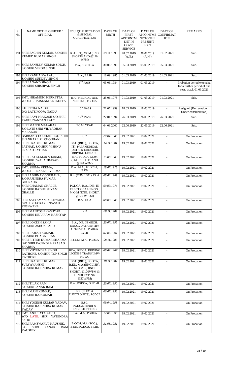| S.<br>No. | NAME OF THE OFFICER /<br><b>OFFICIAL</b>                                               | <b>EDU. QUALIFICATION</b><br>& SPECIAL                                                                             | <b>DATE OF</b><br><b>BIRTH</b> | <b>DATE OF</b><br><b>FIRST</b>                       | <b>DATE OF</b><br>APPOINTME                | DATE OF<br><b>CONFIRMAT</b> | <b>REMARKS</b>                                                                      |
|-----------|----------------------------------------------------------------------------------------|--------------------------------------------------------------------------------------------------------------------|--------------------------------|------------------------------------------------------|--------------------------------------------|-----------------------------|-------------------------------------------------------------------------------------|
|           |                                                                                        | <b>QUALIFICATION</b>                                                                                               |                                | APPOINTM<br><b>ENT IN</b><br>GOVT.<br><b>SERVICE</b> | <b>NT TO THE</b><br>PRESENT<br><b>POST</b> | <b>ION</b>                  |                                                                                     |
|           | 191 SHRI SACHIN KUMAR, S/O SHRI<br>KUMUD KUMAR SINGH                                   | B.SC. (IT), MOM (ENG.<br>SHORTHAND @120<br>WPM)                                                                    | 09.11.1995                     | 28.02.2019<br>(A.N.)                                 | 28.02.2019<br>(A.N.)                       | 01.02.2021                  | Sub.                                                                                |
|           | 192 SHRI SANJEEV KUMAR SINGH,<br><b>S/O SHRI VINOD SINGH</b>                           | B.A, P.G.D.C.A                                                                                                     | 30.06.1996                     | 05.03.2019                                           | 05.03.2019                                 | 05.03.2021                  | Sub.                                                                                |
|           | 193 SHRI KANHAIYA LAL,                                                                 | B.A., B.LIB                                                                                                        | 18.09.1985                     | 01.03.2019                                           | 01.03.2019                                 | 01.03.2021                  | Sub.                                                                                |
|           | <b>S/O SHRI SUKDEV SINGH</b><br>194 SHRI ANAND SINGH,<br>S/O SHRI SHISHPAL SINGH       | $5^{\mathrm{TH}}$ PASS                                                                                             | 03.06.1984                     | 01.03.2019                                           | 01.03.2019                                 |                             | Probation period extended<br>for a further period of one<br>year. w.e.f. 01.03.2021 |
|           | 195 SMT. HIRAMUNI KERKETTA,<br>W/O SHRI PASLAM KERKETTA                                | <b>B.A., MEDICAL AND</b><br>NURSING, PGDCA                                                                         | 25.06.1978                     | 01.03.2019                                           | 01.03.2019                                 | 01.03.2021                  | Sub.                                                                                |
|           | 196 KU. RICHA NAIDU<br>D/O LATE POOJA NAIDU                                            | $10^{TH}$ PASS                                                                                                     | 21.07.1999                     | 18.03.2019                                           | 18.03.2019                                 | $\blacksquare$              | Resigned (Resignation is<br>Under consideration)                                    |
|           | 197 SHRI RAVI PRAKASH S/O SHRI<br><b>RAGHUNANDAN RAUT</b>                              | $12$ <sup>TH</sup> PASS                                                                                            | 22.01.1994                     | 26.03.2019                                           | 26.03.2019                                 | 26.03.2021                  | Sub.                                                                                |
|           | 198 SHRI MANOJ MALAKAR<br>S/O LATE SHRI VIDYADHAR<br><b>MALAKAR</b>                    | <b>BCA-I YEAR</b>                                                                                                  | 04.08.2000                     | 22.06.2019                                           | 22.06.2019                                 | 22.06.2021                  | Sub.                                                                                |
|           | 199 BABBAN CHOUHAN S/O SHRI<br>SHANKAR LAL CHOUHAN                                     | 8 <sup>TH</sup>                                                                                                    | 20.01.1986                     | 19.02.2021                                           | 19.02.2021                                 |                             | On Probation                                                                        |
| 200       | <b>SHRI PRADEEP KUMAR</b><br>PATHAK, S/O SHRI VISHNU<br>PRASAD PATHAK                  | B.SC.(BIO.), PGDCA,<br>ITI, PAPAMEDICAL<br>(ORTH. & DRESSER),<br>DRIVING LICENCE                                   | 14.11.1981                     | 19.02.2021                                           | 19.02.2021                                 |                             | On Probation                                                                        |
|           | 201 SHRI RAJ KUMAR SHARMA,<br><b>S/O SHRI JWALA PRASAD</b><br><b>SHARMA</b>            | B.A., PGDCA, MOM<br>(ENG. SHORTHAND<br>@120 WPM)                                                                   | 15.08.1983                     | 19.02.2021                                           | 19.02.2021                                 | $\blacksquare$              | On Probation                                                                        |
|           | 202 SMT. SEEMA VERMA,<br>W/O SHRI RAKESH VERMA                                         | B.A., M.A., PGDCPA,<br>B.ED                                                                                        | 18.07.1978                     | 19.02.2021                                           | 19.02.2021                                 | $\blacksquare$              | On Probation                                                                        |
| 203       | SHRI ABHINAV GOURAHA,<br><b>S/O RAJENDRA KUMAR</b><br><b>GOURAHA</b>                   | B.E. (COMP. SC.), DCA                                                                                              | 08.02.1989                     | 19.02.2021                                           | 19.02.2021                                 | ÷.                          | On Probation                                                                        |
| 204       | SHRI CHAMAN GHALLE,<br><b>S/O SHRI RADHE SHYAM</b><br><b>GHALLE</b>                    | PGDCA, B.A., DIP. IN<br>ELECTRICAL ENGG.,<br>M.O.M (ENG. SHORT.<br>@120 W.P.M)                                     | 09.09.1976                     | 19.02.2021                                           | 19.02.2021                                 | $\blacksquare$              | On Probation                                                                        |
| 205       | SHRI SATYAMANI KUSHWAHA,<br><b>S/O SHRI GORAKH PRASAD</b><br><b>KUSHWAHA</b>           | B.A., DCA                                                                                                          | 08.09.1986                     | 19.02.2021                                           | 19.02.2021                                 |                             | On Probation                                                                        |
| 206       | <b>SHRI MANTOSH KASHYAP</b><br>S/O SHRI KEJU RAM KASHYAP                               | <b>BCA</b>                                                                                                         | 08.11.1989                     | 19.02.2021                                           | 19.02.2021                                 |                             | On Probation                                                                        |
|           | 207 SHRI LOKESH SAHU,<br><b>S/O SHRI ASHOK SAHU</b>                                    | B.A., DIP. IN MECH.<br><b>ENGG., DATA ENTRY</b><br>OPERATOR, PGDCA                                                 | 20.07.1995                     | 19.02.2021                                           | 19.02.2021                                 |                             | On Probation                                                                        |
| 208       | <b>SHRI RAJESH KUMAR,</b><br><b>S/O SHRI BHAGAT RAM</b>                                | 12TH                                                                                                               | 07.06.1991                     | 19.02.2021                                           | 19.02.2021                                 | $\blacksquare$              | On Probation                                                                        |
|           | 209 SHRI RITESH KUMAR SHARMA,<br><b>S/O SHRI RAJENDRA PRASAD</b><br><b>SHARMA</b>      | B.COM, M.A., PGDCA                                                                                                 | 08.11.1986                     | 19.02.2021                                           | 19.02.2021                                 |                             | On Probation                                                                        |
| 210       | <b>SHRI VIJYENDRA SINGH</b><br>RATHORE, S/O SHRI TOP SINGH<br><b>RATHORE</b>           | BCA, PGDCA, DRIVING<br>LICENSE TRANS/LMV/<br><b>MCWG</b>                                                           | 08.02.1987                     | 19.02.2021                                           | 19.02.2021                                 | $\mathbf{r}$                | On Probation                                                                        |
| 211       | <b>SHRI PRADEEP KUMAR</b><br><b>SURYAVANSHI</b><br><b>S/O SHRI RAJENDRA KUMAR</b>      | B.SC.(BIO.), PGDCA,<br>B.ED, M.A.(ENGLISH),<br>M.O.M. (HINDI<br>SHORT. @100WPM &<br><b>HINDI TYPING</b><br>@30WPM) | 18.11.1987                     | 19.02.2021                                           | 19.02.2021                                 | $\sim$                      | On Probation                                                                        |
|           | 212 SHRI TILAK RAM,<br><b>S/O SHRI JANAK RAM</b>                                       | B.A., PGDCA, D.ED.-II                                                                                              | 20.07.1990                     | 19.02.2021                                           | 19.02.2021                                 | $\blacksquare$              | On Probation                                                                        |
|           | 213 SHRI MANI KUMAR,<br><b>S/O SHRI RAJKUMAR</b>                                       | <b>B.E.</b> (ELEC. &<br>ELECTRONICS), PGDCA                                                                        | 06.07.1993                     | 19.02.2021                                           | 19.02.2021                                 |                             | On Probation                                                                        |
|           | 214 SHRI YOGESH KUMAR YADAV,<br>S/O SHRI RAJENDRA KUMAR<br>YADAV                       | B.SC,<br>PGDCA, HINDI &<br><b>ENGLISH TYPING</b>                                                                   | 09.04.1998                     | 19.02.2021                                           | 19.02.2021                                 |                             | On Probation                                                                        |
|           | 215 SMT. ANJULATA SAHU,<br>W/O LATE. SHRI YATENDRA<br>SAHU                             | B.A., M.A., PGDCA                                                                                                  | 12.06.1990                     | 19.02.2021                                           | 19.02.2021                                 |                             | On Probation                                                                        |
| 216       | SHRI RAMSWARUP KAUSHIK,<br><b>SHRI</b><br>S/O<br><b>KANAK</b><br>RAM<br><b>KAUSHIK</b> | B.COM, M.A.(SOC.),<br>B.ED., PGDCA, B.LIB.                                                                         | 31.08.1981                     | 19.02.2021                                           | 19.02.2021                                 | $\blacksquare$              | On Probation                                                                        |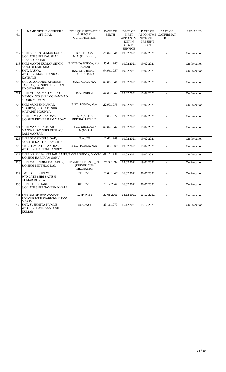| S.<br>No. | NAME OF THE OFFICER /<br><b>OFFICIAL</b>                                        | EDU. QUALIFICATION<br>& SPECIAL<br>QUALIFICATION    | <b>DATE OF</b><br><b>BIRTH</b> | <b>DATE OF</b><br><b>FIRST</b><br><b>APPOINTM</b><br><b>ENT IN</b><br>GOVT.<br><b>SERVICE</b> | DATE OF<br><b>APPOINTME</b><br>NT TO THE<br><b>PRESENT</b><br><b>POST</b> | DATE OF<br><b>CONFIRMAT</b><br><b>ION</b> | <b>REMARKS</b> |
|-----------|---------------------------------------------------------------------------------|-----------------------------------------------------|--------------------------------|-----------------------------------------------------------------------------------------------|---------------------------------------------------------------------------|-------------------------------------------|----------------|
| 217       | <b>SHRI KRISHN KUMAR LOHAR,</b><br><b>S/O LATE SHRI KAUSHAL</b><br>PRASAD LOHAR | B.A., PGDCA,<br>M.A. (PREVIOUS)                     | 26.07.1984                     | 19.02.2021                                                                                    | 19.02.2021                                                                |                                           | On Probation   |
|           | 218 SHRI MANOJ KUMAR SINGH,<br><b>S/O SHRI LAIN SINGH</b>                       | B.SC(BIO), PGDCA, M.A.<br>(HINDI)                   | 30.04.1986                     | 19.02.2021                                                                                    | 19.02.2021                                                                | $\blacksquare$                            | On Probation   |
|           | 219 SMT. RASNA,<br>W/O SHRI MANISHANKAR<br><b>KATHALE</b>                       | B.A., M.A. (HINDI),<br>PGDCA, B.ED                  | 04.06.1987                     | 19.02.2021                                                                                    | 19.02.2021                                                                | $\overline{a}$                            | On Probation   |
| 220       | SHRI ANAND PRATAP SINGH<br>PARIHAR, S/O SHRI SHIVBHAN<br><b>SINGH PARIHAR</b>   | B.A., PGDCA, M.A.                                   | 02.08.1984                     | 19.02.2021                                                                                    | 19.02.2021                                                                | $\overline{a}$                            | On Probation   |
| 221       | SHRI MOHAMMAD MERAJ<br>MEMON, S/O SHRI MOHAMMAD<br><b>SIDDIK MEMON</b>          | B.A., PGDCA                                         | 01.05.1987                     | 19.02.2021                                                                                    | 19.02.2021                                                                | $\overline{a}$                            | On Probation   |
|           | 222 SHRI MUKESH KUMAR<br>MOURYA, S/O LATE SHRI<br><b>MATADIN MOURYA</b>         | B.SC., PGDCA, M.A.                                  | 22.09.1975                     | 19.02.2021                                                                                    | 19.02.2021                                                                |                                           | On Probation   |
| 223       | SHRI RAM LAL YADAV,<br><b>S/O SHRI RIDHEE RAM YADAV</b>                         | 12 <sup>TH</sup> (ARTS),<br><b>DRIVING LICENCE</b>  | 10.05.1977                     | 19.02.2021                                                                                    | 19.02.2021                                                                | $\overline{a}$                            | On Probation   |
|           | 224 SHRI MANISH KUMAR<br>MANSAR S/O SHRI DHELAU<br><b>RAM MANSAR</b>            | B.SC. (BIOLOGY),<br>ITI (ELEC.)                     | 02.07.1987                     | 19.02.2021                                                                                    | 19.02.2021                                                                |                                           | On Probation   |
| 225       | <b>SHRI DEV SINGH SIDAR,</b><br><b>S/O SHRI KARTIK RAM SIDAR</b>                | B.A., ITI                                           | 12.02.1989                     | 19.02.2021                                                                                    | 19.02.2021                                                                | $\blacksquare$                            | On Probation   |
| 226       | SMT. HEMLATA PANDEY,<br>W/O SHRI HARIOM PANDEY                                  | B.SC., PGDCA, M.A.                                  | 15.09.1990                     | 19.02.2021                                                                                    | 19.02.2021                                                                | $\overline{a}$                            | On Probation   |
| 227       | SHRI KRISHNA KUMAR SAHU, B.COM, PGDCA, M.COM<br><b>S/O SHRI HARI RAM SAHU</b>   |                                                     | 09.10.1991                     | 19.02.2021                                                                                    | 19.02.2021                                                                |                                           | On Probation   |
| 228       | SHRI MAHENDRA BAHADUR,<br><b>S/O SHRI MITTHOO LAL</b>                           | ITI (MECH. DIESEL), ITI<br>(DRIVER CUM<br>MECHANIC) | 19.11.1992                     | 19.02.2021                                                                                    | 19.02.2021                                                                |                                           | On Probation   |
| 229       | <b>SMT. BEBI DHRUW</b><br><b>W/O LATE SHRI SATISH</b><br><b>KUMAR DHRUW</b>     | 7TH PASS                                            | 20.09.1988                     | 26.07.2021                                                                                    | 26.07.2021                                                                | $\mathbf{r}$                              | On Probation   |
| 230       | <b>SHRI ISHU KHARE</b><br><b>S/O LATE SHRI NAVEEN KHARE</b>                     | 8TH PASS                                            | 25.12.2001                     | 26.07.2021                                                                                    | 26.07.2021                                                                |                                           | On Probation   |
| 231       | <b>SHRI SATISH RAW AUCHAR</b><br>S/O LATE SHRI JAGESHWAR RAW<br><b>AUCHAR</b>   | 12TH PASS                                           | 21.06.2003                     | 13.12.2021                                                                                    | 13.12.2021                                                                | $\blacksquare$                            | On Probation   |
|           | 232 SMT. SUSHMITA KUMLE<br>W/O SHRI LATE SANTOSH<br><b>KUMAR</b>                | 8TH PASS                                            | 23.11.1979                     | 15.12.2021                                                                                    | 15.12.2021                                                                |                                           | On Probation   |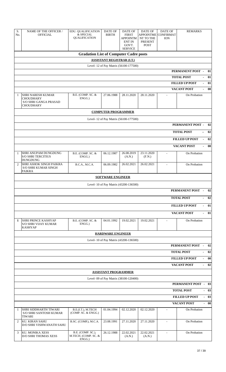| S.<br>No.                                                        | <b>NAME OF THE OFFICER /</b><br><b>OFFICIAL</b>                                           | EDU. QUALIFICATION<br>& SPECIAL<br><b>QUALIFICATION</b> | <b>DATE OF</b><br><b>BIRTH</b> | DATE OF<br><b>FIRST</b><br><b>APPOINTM</b><br><b>ENT IN</b><br>GOVT.<br><b>SERVICE</b> | <b>DATE OF</b><br><b>APPOINTME</b><br>NT TO THE<br>PRESENT<br><b>POST</b> | <b>DATE OF</b><br><b>CONFIRMAT</b><br><b>ION</b> | <b>REMARKS</b>                                   |  |  |  |
|------------------------------------------------------------------|-------------------------------------------------------------------------------------------|---------------------------------------------------------|--------------------------------|----------------------------------------------------------------------------------------|---------------------------------------------------------------------------|--------------------------------------------------|--------------------------------------------------|--|--|--|
|                                                                  |                                                                                           | <b>Gradation List of Computer Cadre posts</b>           |                                |                                                                                        |                                                                           |                                                  |                                                  |  |  |  |
| <b>ASSISTANT REGISTRAR (I.T.)</b>                                |                                                                                           |                                                         |                                |                                                                                        |                                                                           |                                                  |                                                  |  |  |  |
|                                                                  |                                                                                           |                                                         |                                | Level- 12 of Pay Matrix (56100-177500)                                                 |                                                                           |                                                  |                                                  |  |  |  |
|                                                                  |                                                                                           |                                                         |                                |                                                                                        |                                                                           |                                                  | PERMANENT POST -<br>01                           |  |  |  |
|                                                                  |                                                                                           |                                                         |                                |                                                                                        |                                                                           |                                                  | <b>TOTAL POST</b><br>01<br>$\overline{a}$        |  |  |  |
|                                                                  |                                                                                           |                                                         |                                |                                                                                        |                                                                           |                                                  | <b>FILLED UP POST</b><br>01<br>$\frac{1}{2}$     |  |  |  |
|                                                                  |                                                                                           |                                                         |                                |                                                                                        |                                                                           |                                                  | <b>VACANT POST</b><br>00<br>L,                   |  |  |  |
| 1                                                                | <b>SHRI NARESH KUMAR</b><br><b>CHOUDHARY</b><br>S/O SHRI GANGA PRASAD<br><b>CHOUDHARY</b> | B.E. (COMP. SC. &<br>ENGG.)                             | 27.06.1988                     | 28.11.2020                                                                             | 28.11.2020                                                                |                                                  | On Probation                                     |  |  |  |
|                                                                  |                                                                                           |                                                         | <b>COMPUTER PROGRAMMER</b>     |                                                                                        |                                                                           |                                                  |                                                  |  |  |  |
|                                                                  |                                                                                           |                                                         |                                | Level- 12 of Pay Matrix (56100-177500)                                                 |                                                                           |                                                  |                                                  |  |  |  |
|                                                                  |                                                                                           |                                                         |                                |                                                                                        |                                                                           |                                                  | PERMANENT POST -<br>02                           |  |  |  |
|                                                                  |                                                                                           |                                                         |                                |                                                                                        |                                                                           |                                                  | 02<br><b>TOTAL POST</b><br>$\equiv$              |  |  |  |
|                                                                  |                                                                                           |                                                         |                                |                                                                                        |                                                                           |                                                  | 02<br><b>FILLED UP POST</b><br>$\overline{a}$    |  |  |  |
|                                                                  |                                                                                           |                                                         |                                |                                                                                        |                                                                           |                                                  | <b>VACANT POST</b><br>00<br>$\overline{a}$       |  |  |  |
|                                                                  |                                                                                           |                                                         |                                |                                                                                        |                                                                           |                                                  |                                                  |  |  |  |
| $\mathbf{1}$                                                     | <b>SHRI ANUPAM DUNGDUNG</b><br><b>S/O SHRI TERCITIUS</b><br><b>DUNGDUNG</b>               | B.E. (COMP. SC. &<br>ENGG.)                             | 06.12.1987                     | 26.08.2019<br>(A.N.)                                                                   | 23.11.2020<br>(F.N.)                                                      | $\blacksquare$                                   | On Probation                                     |  |  |  |
| $\overline{2}$                                                   | <b>SHRI ASHOK SINGH PAIKRA</b><br>S/O SHRI KUMAR SINGH<br>PAIKRA                          | B.C.A., M.C.A.                                          | 06.09.1982                     | 26.02.2021                                                                             | 26.02.2021                                                                | $\blacksquare$                                   | On Probation                                     |  |  |  |
|                                                                  |                                                                                           |                                                         | <b>SOFTWARE ENGINEER</b>       |                                                                                        |                                                                           |                                                  |                                                  |  |  |  |
|                                                                  |                                                                                           |                                                         |                                |                                                                                        |                                                                           |                                                  |                                                  |  |  |  |
| Level- 10 of Pay Matrix (43200-136500)<br>PERMANENT POST -<br>02 |                                                                                           |                                                         |                                |                                                                                        |                                                                           |                                                  |                                                  |  |  |  |
|                                                                  | 02<br><b>TOTAL POST</b><br>$\blacksquare$                                                 |                                                         |                                |                                                                                        |                                                                           |                                                  |                                                  |  |  |  |
|                                                                  | <b>FILLED UP POST</b><br>01<br>$\overline{a}$                                             |                                                         |                                |                                                                                        |                                                                           |                                                  |                                                  |  |  |  |
|                                                                  |                                                                                           |                                                         |                                |                                                                                        |                                                                           |                                                  | <b>VACANT POST</b><br>01<br>L,                   |  |  |  |
| 1                                                                | <b>SHRI PRINCE KASHYAP</b><br><b>S/O SHRI VIJAY KUMAR</b><br><b>KASHYAP</b>               | B.E. (COMP. SC. &<br>ENGG.)                             | 04.01.1992                     | 19.02.2021                                                                             | 19.02.2021                                                                |                                                  | On Probation                                     |  |  |  |
|                                                                  |                                                                                           |                                                         | <b>HARDWARE ENGINEER</b>       |                                                                                        |                                                                           |                                                  |                                                  |  |  |  |
|                                                                  |                                                                                           |                                                         |                                | Level- 10 of Pay Matrix (43200-136500)                                                 |                                                                           |                                                  |                                                  |  |  |  |
|                                                                  |                                                                                           |                                                         |                                |                                                                                        |                                                                           |                                                  | PERMANENT POST<br>02<br>$\overline{\phantom{a}}$ |  |  |  |
|                                                                  |                                                                                           |                                                         | 02<br><b>TOTAL POST</b><br>L,  |                                                                                        |                                                                           |                                                  |                                                  |  |  |  |
|                                                                  | 00<br><b>FILLED UP POST</b><br>$\overline{a}$                                             |                                                         |                                |                                                                                        |                                                                           |                                                  |                                                  |  |  |  |
|                                                                  | 02<br><b>VACANT POST</b><br>L,                                                            |                                                         |                                |                                                                                        |                                                                           |                                                  |                                                  |  |  |  |
| <b>ASSISTANT PROGRAMMER</b>                                      |                                                                                           |                                                         |                                |                                                                                        |                                                                           |                                                  |                                                  |  |  |  |
|                                                                  | Level- 09 of Pay Matrix (38100-120400)                                                    |                                                         |                                |                                                                                        |                                                                           |                                                  |                                                  |  |  |  |
| <b>PERMANENT POST - 03</b>                                       |                                                                                           |                                                         |                                |                                                                                        |                                                                           |                                                  |                                                  |  |  |  |
|                                                                  | <b>TOTAL POST</b><br>03<br>$\overline{\phantom{0}}$                                       |                                                         |                                |                                                                                        |                                                                           |                                                  |                                                  |  |  |  |
|                                                                  | $-03$<br><b>FILLED UP POST</b>                                                            |                                                         |                                |                                                                                        |                                                                           |                                                  |                                                  |  |  |  |
|                                                                  | <b>VACANT POST</b><br>$-00$                                                               |                                                         |                                |                                                                                        |                                                                           |                                                  |                                                  |  |  |  |
| 1                                                                | SHRI SIDDHARTH TIWARI<br>S/O SHRI SANTOSH KUMAR<br>TIWARI                                 | B.E.(I.T.), M.TECH<br>(COMP, SC, & ENGG.)               | 01.04.1994                     | 02.12.2020                                                                             | 02.12.2020                                                                | $\blacksquare$                                   | On Probation                                     |  |  |  |
| 2                                                                | <b>KU. KIRAN SAHU</b><br>D/O SHRI VISHWANATH SAHU                                         | B.SC. (COMP.), M.C.A.                                   | 23.08.1991                     | 27.11.2020                                                                             | 27.11.2020                                                                | $\sim$                                           | On Probation                                     |  |  |  |
| 3                                                                | KU. MONIKA XESS<br><b>D/O SHRI THOMAS XESS</b>                                            | B.E. (COMP. SC.),<br>M.TECH. (COMP. SC. &<br>ENGG.)     | 26.12.1988                     | 22.02.2021<br>(A.N.)                                                                   | 22.02.2021<br>(A.N.)                                                      | $\omega$                                         | On Probation                                     |  |  |  |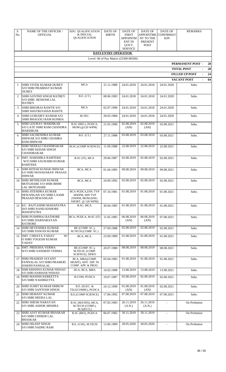| S.<br>No.      | <b>NAME OF THE OFFICER /</b><br><b>OFFICIAL</b>                                    | EDU. QUALIFICATION<br>& SPECIAL<br>QUALIFICATION                                     | DATE OF<br><b>BIRTH</b>     | <b>DATE OF</b><br><b>FIRST</b><br><b>APPOINTM</b><br><b>ENT IN</b><br>GOVT.<br><b>SERVICE</b> | <b>DATE OF</b><br><b>APPOINTME</b><br>NT TO THE<br><b>PRESENT</b><br><b>POST</b> | DATE OF<br><b>CONFIRMAT</b><br><b>ION</b>                               | <b>REMARKS</b>                      |  |
|----------------|------------------------------------------------------------------------------------|--------------------------------------------------------------------------------------|-----------------------------|-----------------------------------------------------------------------------------------------|----------------------------------------------------------------------------------|-------------------------------------------------------------------------|-------------------------------------|--|
|                |                                                                                    |                                                                                      | <b>DATA ENTRY OPERATIOR</b> |                                                                                               |                                                                                  |                                                                         |                                     |  |
|                |                                                                                    |                                                                                      |                             | Level- 06 of Pay Matrix (25300-80500)                                                         |                                                                                  |                                                                         |                                     |  |
|                |                                                                                    |                                                                                      |                             |                                                                                               |                                                                                  |                                                                         | PERMANENT POST -<br>28              |  |
|                |                                                                                    |                                                                                      |                             |                                                                                               |                                                                                  |                                                                         | <b>TOTAL POST</b><br>28<br>L,<br>24 |  |
|                |                                                                                    |                                                                                      |                             |                                                                                               |                                                                                  | <b>FILLED UP POST</b><br>$\overline{\phantom{a}}$<br><b>VACANT POST</b> |                                     |  |
| $\mathbf{1}$   | SHRI VIVEK KUMAR DUBEY<br><b>S/O SHRI PRABHAT KUMAR</b><br><b>DUBEY</b>            | <b>MCA</b>                                                                           | 21.11.1980                  | 24.01.2018                                                                                    | 24.01.2018                                                                       | 24.01.2020                                                              | 04<br>Subs.                         |  |
| $\overline{2}$ | SHRI GOVIND SINGH RATREY<br><b>S/O SHRI RESHAM LAL</b><br><b>RATREY</b>            | B.E. (I.T.)                                                                          | 08.06.1983                  | 24.01.2018                                                                                    | 24.01.2018                                                                       | 24.01.2020                                                              | Subs.                               |  |
| 3              | <b>SHRI BHOJRAJ RAWTE S/O</b><br><b>SHRI SHATRUGHAN RAWTE</b>                      | <b>MCA</b>                                                                           | 02.07.1990                  | 24.01.2018                                                                                    | 24.01.2018                                                                       | 24.01.2020                                                              | Subs.                               |  |
| $\overline{4}$ | <b>SHRI GURUDEV KUMAR S/O</b><br>SHRI BHAGOLI RAM KOSRIA                           | M.TEC.                                                                               | 28.03.1984                  | 24.01.2018                                                                                    | 24.01.2018                                                                       | 24.01.2020                                                              | Subs.                               |  |
| 5              | <b>SHRI GOURAV MARDIKAR</b><br><b>S/O LATE SHRI RAM CHANDRA</b><br><b>MARDIKAR</b> | B.SC (BIO.), PGDCA,<br>MOM (@120 WPM)                                                | 21.03.1990                  | 02.08.2019<br>(AN)                                                                            | 02.08.2019<br>(AN)                                                               | 03.08.2021                                                              | Subs.                               |  |
| 6              | <b>SHRI SACHENDRA KUMAR</b><br>DHIWAR S/O SHRI CHAMRA<br><b>RAM DHIWAR</b>         | B.E. (I.T.)                                                                          | 27.11.1988                  | 03.08.2019                                                                                    | 03.08.2019                                                                       | 03.08.2021                                                              | Subs.                               |  |
| 7              | <b>SHRI NEERAJ CHANDRAKAR</b><br><b>S/O SHRI KEDAR SINGH</b><br><b>CHANDRAKAR</b>  | M.SC.(COMP SCIENCE)                                                                  | 11.09.1988                  | 22.08.2019                                                                                    | 22.08.2019                                                                       | 22.08.2021                                                              | Subs.                               |  |
| 8              | <b>SMT. HARSHIKA RAMTEKE</b><br>W/O SHRI SAURABH KUMAR<br><b>RAMTEKE</b>           | B.SC (IT), MCA                                                                       | 29.06.1987                  | 02.08.2019                                                                                    | 02.08.2019                                                                       | 02.08.2021                                                              | Subs.                               |  |
| 9              | SHRI RITESH KUMAR DHIWAR<br>S/O SHRI MANAHARAN PRASAD<br>DHIWAR                    | BCA, MCA                                                                             | 01.04.1985                  | 09.08.2019                                                                                    | 09.08.2019                                                                       | 09.08.2021                                                              | Subs.                               |  |
| 10             | <b>SHRI MITHILESH KUMAR</b><br>MOTGHARE S/O SHRI BHIM<br><b>LAL MOTGHARE</b>       | BCA, MCA                                                                             | 24.09.1992                  | 02.08.2019                                                                                    | 02.08.2019                                                                       | 02.08.2021                                                              | Subs.                               |  |
| 11             | <b>SHRI JITENDRA KUMAR</b><br>DEWANGAN S/O SHRI LAXMI<br>PRASAD DEWANGAN           | <b>BCA PGDCA, ENG TYP</b><br>30WPM, HIN TYP<br>25WPM, MOM (ENG.<br>SHORT. @ 120 WPM) | 07.10.1981                  | 01.08.2019                                                                                    | 01.08.2019                                                                       | 01.08.2021                                                              | Subs.                               |  |
| 12             | KU. RAJYASHRI MAHAPATRA<br>D/O SHRI NAND KISHORE<br>MAHAPATRA                      | B.SC, MCA                                                                            | 30.04.1985                  | 01.08.2019                                                                                    | 01.08.2019                                                                       | 01.08.2021                                                              | Subs.                               |  |
| 13             | <b>SHRI PUSHPRAJ RATHORE</b><br><b>S/O SHRI HARNARAYAN</b><br><b>RATHORE</b>       | BCA, PGDCA, M.SC (IT)                                                                | 11.05.1985                  | 06.08.2019<br>(AN)                                                                            | 06.08.2019<br>(AN)                                                               | 07.08.2021                                                              | Subs.                               |  |
| 14             | <b>SHRI DEVENDRA KUMAR</b><br><b>S/O SHRI PAWAN KUMAR</b>                          | BE (COMP. SC.),<br>M.TECH.(COMP. SC.)                                                | 27.09.1988                  | 02.08.2019                                                                                    | 02.08.2019                                                                       | 02.08.2021                                                              | Subs.                               |  |
| 15             | <b>SMT. CHHAYA YADAV</b><br>W/<br>O SHRI YOGESH KUMAR<br><b>YADAV</b>              | BCA, MCA                                                                             | 23.09.1989                  | 01.08.2019                                                                                    | 01.08.2019                                                                       | 01.08.2021                                                              | Subs.                               |  |
| 16             | <b>SMT. PREKSHA VERMA</b><br>W/O SHRI SANDEEP VERMA                                | BE (COMP. SC.),<br>M.TECH. (COMP.<br><b>SCIENCE), DDEO</b>                           | 20.07.1988                  | 08.08.2019                                                                                    | 08.08.2019                                                                       | 08.08.2021                                                              | Subs.                               |  |
| 17             | <b>SHRI PRADEEP JAYANT</b><br>PANNALAL S/O SHRI PRAMOD<br><b>JOSEPH PANNALAL</b>   | BCA, MBA(COMP.<br>MGMT), ADV. DIP. IN<br>COMP. APP. & PROG.                          | 05.04.1985                  | 01.08.2019                                                                                    | 01.08.2019                                                                       | 01.08.2021                                                              | Subs.                               |  |
| 18             | SHRI KRISHNA KUMAR NISHAD<br>S/O SHRI HARIHAR NISHAD                               | DCA, BCA, MBA                                                                        | 10.02.1988                  | 13.08.2019                                                                                    | 13.08.2019                                                                       | 13.08.2021                                                              | Subs.                               |  |
| 19             | <b>SHRI MANISH KERKETTA</b><br><b>S/O SHRI N KERKETTA</b>                          | B.COM, PGDCA                                                                         | 19.07.1987                  | 02.08.2019                                                                                    | 02.08.2019                                                                       | 02.08.2021                                                              | Subs.                               |  |
| 20             | <b>SHRI SUMIT KUMAR DHRUW</b><br><b>S/O SHRI SANTOSH SINGH</b>                     | <b>B.E.</b> (ELEC. &<br>TELECOMM.), PGDCA                                            | 24.12.1990                  | 01.08.2019<br>(AN)                                                                            | 01.08.2019<br>(AN)                                                               | 02.08.2021                                                              | Subs.                               |  |
| 21             | <b>SHRI HEMANT KUMAR</b><br><b>S/O SHRI HEERA LAL</b>                              | <b>B.E.(COMP SCIENCE)</b>                                                            | 17.06.1992                  | 07.08.2019                                                                                    | 07.08.2019                                                                       | 07.08.2021                                                              | Subs.                               |  |
| 22             | <b>SHRI SHESH NARAYAN</b><br><b>S/O SHRI ASHOK MISHRA</b>                          | B.SC (MATHS), MCA,<br>M.TECH (COMP.),<br>M.A(ECO.)                                   | 07.05.1983                  | 26.11.2019<br>(A.N.)                                                                          | 26.11.2019<br>(A.N.)                                                             |                                                                         | On Probation                        |  |
| 23             | <b>SHRI AJAY KUMAR BHASKAR</b><br><b>S/O SHRI CHHEDI LAL</b><br><b>BHASKAR</b>     | B.SC (BIO), PGDCA                                                                    | 06.07.1982                  | 30.11.2019                                                                                    | 30.11.2019                                                                       |                                                                         | On Probation                        |  |
| 24             | <b>SHRI DILEEP SINGH</b><br>S/O SHRI SADHU RAM                                     | B.E. (CSE), M.TECH                                                                   | 13.06.1989                  | 28.05.2020                                                                                    | 28.05.2020                                                                       |                                                                         | On Probation                        |  |